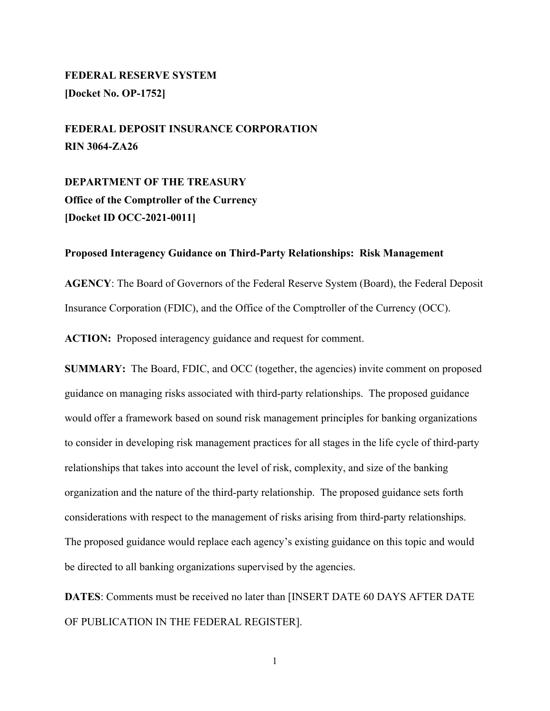# **FEDERAL RESERVE SYSTEM [Docket No. OP-1752]**

**FEDERAL DEPOSIT INSURANCE CORPORATION RIN 3064-ZA26**

**DEPARTMENT OF THE TREASURY Office of the Comptroller of the Currency [Docket ID OCC-2021-0011]**

#### **Proposed Interagency Guidance on Third-Party Relationships: Risk Management**

**AGENCY**: The Board of Governors of the Federal Reserve System (Board), the Federal Deposit Insurance Corporation (FDIC), and the Office of the Comptroller of the Currency (OCC).

**ACTION:** Proposed interagency guidance and request for comment.

**SUMMARY:** The Board, FDIC, and OCC (together, the agencies) invite comment on proposed guidance on managing risks associated with third-party relationships. The proposed guidance would offer a framework based on sound risk management principles for banking organizations to consider in developing risk management practices for all stages in the life cycle of third-party relationships that takes into account the level of risk, complexity, and size of the banking organization and the nature of the third-party relationship. The proposed guidance sets forth considerations with respect to the management of risks arising from third-party relationships. The proposed guidance would replace each agency's existing guidance on this topic and would be directed to all banking organizations supervised by the agencies.

**DATES**: Comments must be received no later than [INSERT DATE 60 DAYS AFTER DATE OF PUBLICATION IN THE FEDERAL REGISTER].

1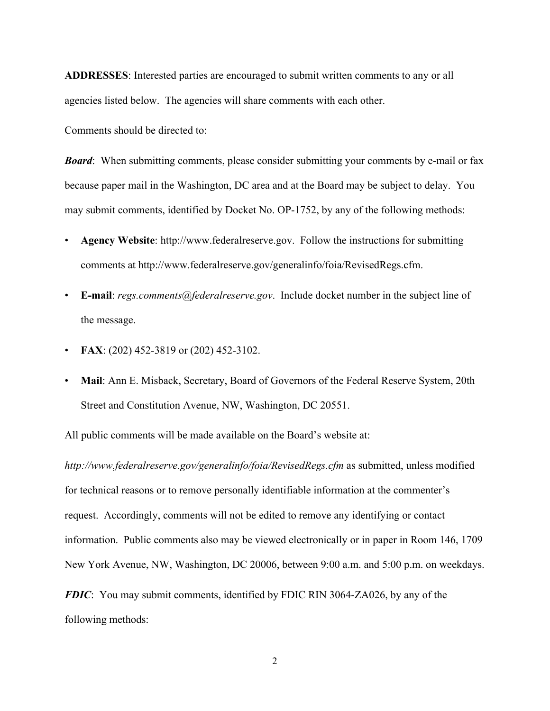**ADDRESSES**: Interested parties are encouraged to submit written comments to any or all agencies listed below. The agencies will share comments with each other.

Comments should be directed to:

*Board*: When submitting comments, please consider submitting your comments by e-mail or fax because paper mail in the Washington, DC area and at the Board may be subject to delay. You may submit comments, identified by Docket No. OP-1752, by any of the following methods:

- **Agency Website**: http://www.federalreserve.gov. Follow the instructions for submitting comments at http://www.federalreserve.gov/generalinfo/foia/RevisedRegs.cfm.
- **E-mail**: *regs.comments@federalreserve.gov*. Include docket number in the subject line of the message.
- **FAX**: (202) 452-3819 or (202) 452-3102.
- **Mail**: Ann E. Misback, Secretary, Board of Governors of the Federal Reserve System, 20th Street and Constitution Avenue, NW, Washington, DC 20551.

All public comments will be made available on the Board's website at:

*http://www.federalreserve.gov/generalinfo/foia/RevisedRegs.cfm* as submitted, unless modified for technical reasons or to remove personally identifiable information at the commenter's request. Accordingly, comments will not be edited to remove any identifying or contact information. Public comments also may be viewed electronically or in paper in Room 146, 1709 New York Avenue, NW, Washington, DC 20006, between 9:00 a.m. and 5:00 p.m. on weekdays.

*FDIC*: You may submit comments, identified by FDIC RIN 3064-ZA026, by any of the following methods: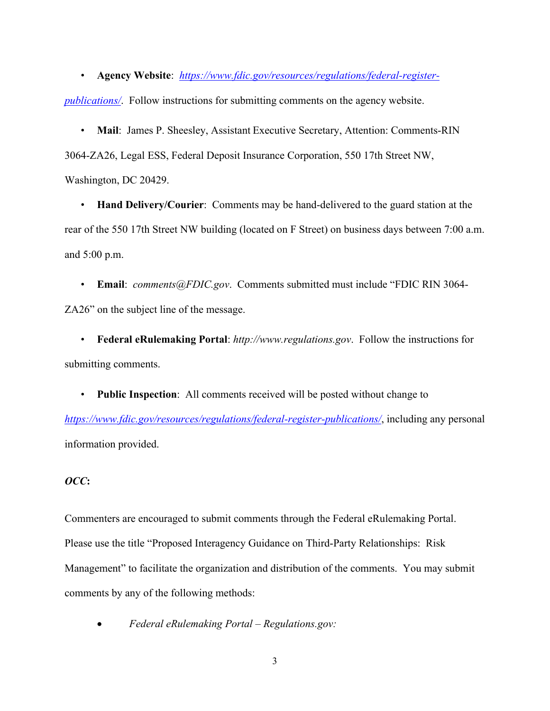• **Agency Website**: *[https://www.fdic.gov/resources/regulations/federal-register-](https://www.fdic.gov/resources/regulations/federal-register-publications/)*

*[publications/](https://www.fdic.gov/resources/regulations/federal-register-publications/)*. Follow instructions for submitting comments on the agency website.

• **Mail**: James P. Sheesley, Assistant Executive Secretary, Attention: Comments-RIN 3064-ZA26, Legal ESS, Federal Deposit Insurance Corporation, 550 17th Street NW, Washington, DC 20429.

• **Hand Delivery/Courier**: Comments may be hand-delivered to the guard station at the rear of the 550 17th Street NW building (located on F Street) on business days between 7:00 a.m. and 5:00 p.m.

• **Email**: *comments@FDIC.gov*. Comments submitted must include "FDIC RIN 3064- ZA26" on the subject line of the message.

• **Federal eRulemaking Portal**: *http://www.regulations.gov*. Follow the instructions for submitting comments.

• **Public Inspection**: All comments received will be posted without change to *<https://www.fdic.gov/resources/regulations/federal-register-publications/>*, including any personal information provided.

# *OCC***:**

Commenters are encouraged to submit comments through the Federal eRulemaking Portal. Please use the title "Proposed Interagency Guidance on Third-Party Relationships: Risk Management" to facilitate the organization and distribution of the comments. You may submit comments by any of the following methods:

• *Federal eRulemaking Portal – Regulations.gov:*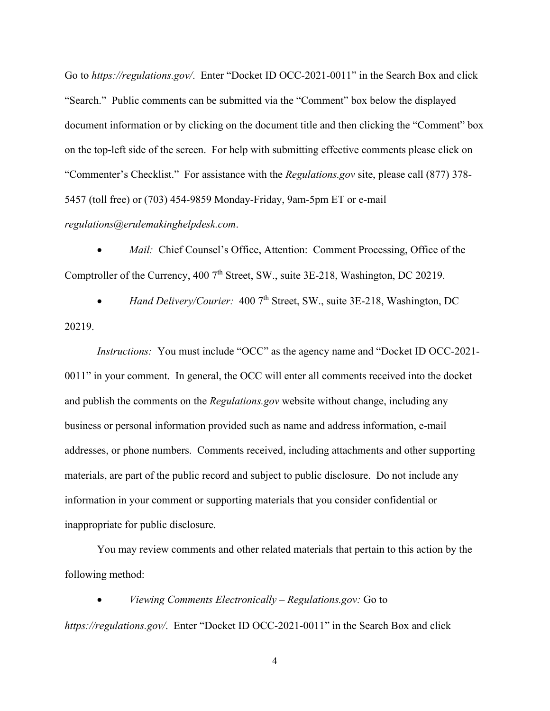Go to *https://regulations.gov/*. Enter "Docket ID OCC-2021-0011" in the Search Box and click "Search." Public comments can be submitted via the "Comment" box below the displayed document information or by clicking on the document title and then clicking the "Comment" box on the top-left side of the screen. For help with submitting effective comments please click on "Commenter's Checklist." For assistance with the *Regulations.gov* site, please call (877) 378- 5457 (toll free) or (703) 454-9859 Monday-Friday, 9am-5pm ET or e-mail *regulations@erulemakinghelpdesk.com*.

*Mail:* Chief Counsel's Office, Attention: Comment Processing, Office of the Comptroller of the Currency, 400 7<sup>th</sup> Street, SW., suite 3E-218, Washington, DC 20219.

Hand Delivery/Courier: 400 7<sup>th</sup> Street, SW., suite 3E-218, Washington, DC 20219.

*Instructions:* You must include "OCC" as the agency name and "Docket ID OCC-2021- 0011" in your comment.In general, the OCC will enter all comments received into the docket and publish the comments on the *Regulations.gov* website without change, including any business or personal information provided such as name and address information, e-mail addresses, or phone numbers. Comments received, including attachments and other supporting materials, are part of the public record and subject to public disclosure. Do not include any information in your comment or supporting materials that you consider confidential or inappropriate for public disclosure.

You may review comments and other related materials that pertain to this action by the following method:

• *Viewing Comments Electronically – Regulations.gov:* Go to *https://regulations.gov/*. Enter "Docket ID OCC-2021-0011" in the Search Box and click

4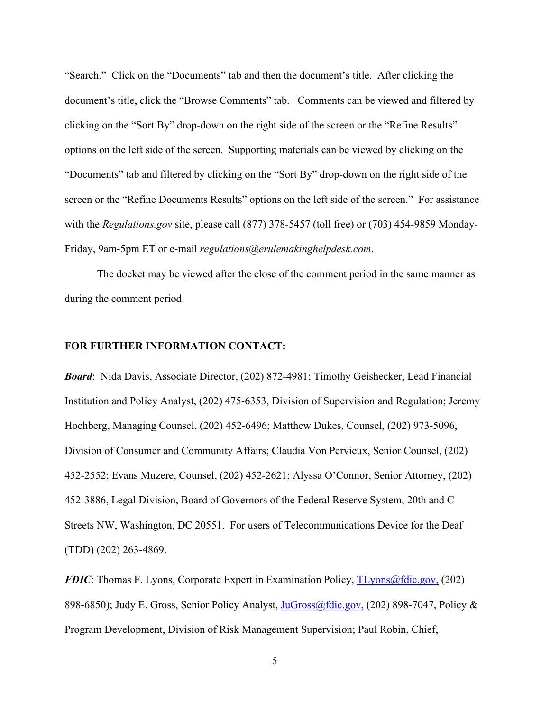"Search." Click on the "Documents" tab and then the document's title. After clicking the document's title, click the "Browse Comments" tab. Comments can be viewed and filtered by clicking on the "Sort By" drop-down on the right side of the screen or the "Refine Results" options on the left side of the screen. Supporting materials can be viewed by clicking on the "Documents" tab and filtered by clicking on the "Sort By" drop-down on the right side of the screen or the "Refine Documents Results" options on the left side of the screen." For assistance with the *Regulations.gov* site, please call (877) 378-5457 (toll free) or (703) 454-9859 Monday-Friday, 9am-5pm ET or e-mail *regulations@erulemakinghelpdesk.com*.

The docket may be viewed after the close of the comment period in the same manner as during the comment period.

# **FOR FURTHER INFORMATION CONTACT:**

*Board*: Nida Davis, Associate Director, (202) 872-4981; Timothy Geishecker, Lead Financial Institution and Policy Analyst, (202) 475-6353, Division of Supervision and Regulation; Jeremy Hochberg, Managing Counsel, (202) 452-6496; Matthew Dukes, Counsel, (202) 973-5096, Division of Consumer and Community Affairs; Claudia Von Pervieux, Senior Counsel, (202) 452-2552; Evans Muzere, Counsel, (202) 452-2621; Alyssa O'Connor, Senior Attorney, (202) 452-3886, Legal Division, Board of Governors of the Federal Reserve System, 20th and C Streets NW, Washington, DC 20551. For users of Telecommunications Device for the Deaf (TDD) (202) 263-4869.

*FDIC*: Thomas F. Lyons, Corporate Expert in Examination Policy, [TLyons@fdic.gov,](mailto:TLyons@fdic.gov,) (202) 898-6850); Judy E. Gross, Senior Policy Analyst, [JuGross@fdic.gov,](mailto:JuGross@fdic.gov,) (202) 898-7047, Policy & Program Development, Division of Risk Management Supervision; Paul Robin, Chief,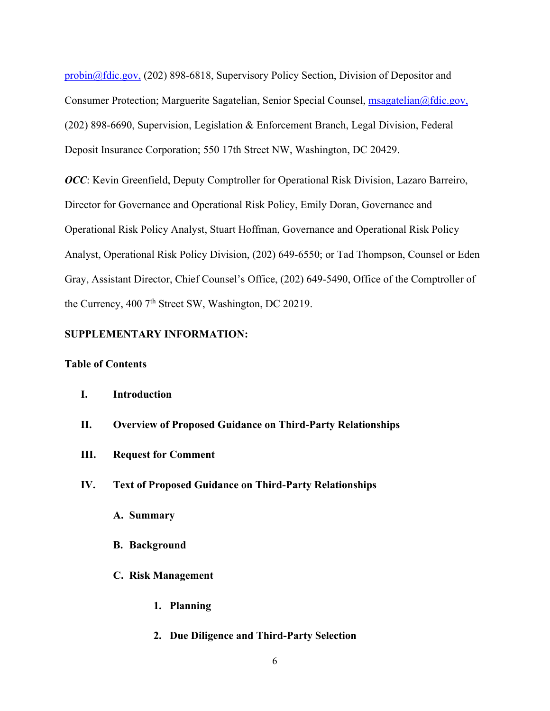[probin@fdic.gov,](mailto:probin@fdic.gov) (202) 898-6818, Supervisory Policy Section, Division of Depositor and Consumer Protection; Marguerite Sagatelian, Senior Special Counsel, [msagatelian@fdic.gov,](mailto:msagatelian@fdic.gov) (202) 898-6690, Supervision, Legislation & Enforcement Branch, Legal Division, Federal Deposit Insurance Corporation; 550 17th Street NW, Washington, DC 20429.

*OCC*: Kevin Greenfield, Deputy Comptroller for Operational Risk Division, Lazaro Barreiro, Director for Governance and Operational Risk Policy, Emily Doran, Governance and Operational Risk Policy Analyst, Stuart Hoffman, Governance and Operational Risk Policy Analyst, Operational Risk Policy Division, (202) 649-6550; or Tad Thompson, Counsel or Eden Gray, Assistant Director, Chief Counsel's Office, (202) 649-5490, Office of the Comptroller of the Currency, 400  $7<sup>th</sup>$  Street SW, Washington, DC 20219.

# **SUPPLEMENTARY INFORMATION:**

# **Table of Contents**

#### **I. Introduction**

- **II. Overview of Proposed Guidance on Third-Party Relationships**
- **III. Request for Comment**
- **IV. Text of Proposed Guidance on Third-Party Relationships**
	- **A. Summary**
	- **B. Background**
	- **C. Risk Management**
		- **1. Planning**
		- **2. Due Diligence and Third-Party Selection**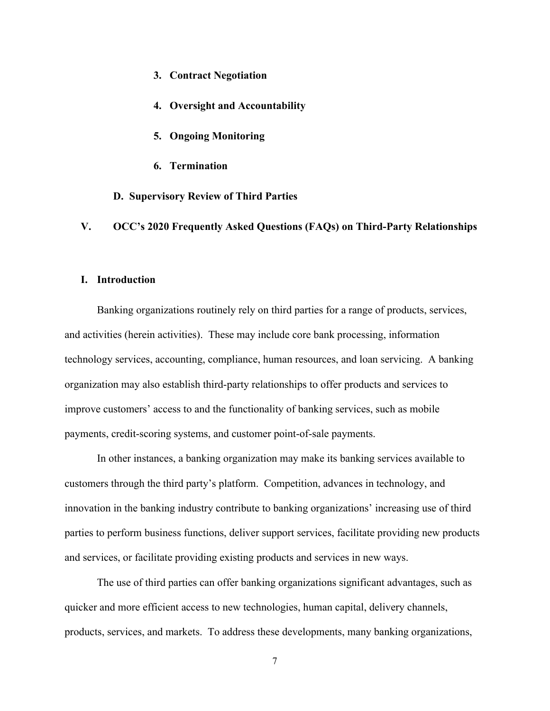- **3. Contract Negotiation**
- **4. Oversight and Accountability**
- **5. Ongoing Monitoring**
- **6. Termination**

**D. Supervisory Review of Third Parties**

**V. OCC's 2020 Frequently Asked Questions (FAQs) on Third-Party Relationships**

## **I. Introduction**

Banking organizations routinely rely on third parties for a range of products, services, and activities (herein activities). These may include core bank processing, information technology services, accounting, compliance, human resources, and loan servicing. A banking organization may also establish third-party relationships to offer products and services to improve customers' access to and the functionality of banking services, such as mobile payments, credit-scoring systems, and customer point-of-sale payments.

In other instances, a banking organization may make its banking services available to customers through the third party's platform. Competition, advances in technology, and innovation in the banking industry contribute to banking organizations' increasing use of third parties to perform business functions, deliver support services, facilitate providing new products and services, or facilitate providing existing products and services in new ways.

The use of third parties can offer banking organizations significant advantages, such as quicker and more efficient access to new technologies, human capital, delivery channels, products, services, and markets. To address these developments, many banking organizations,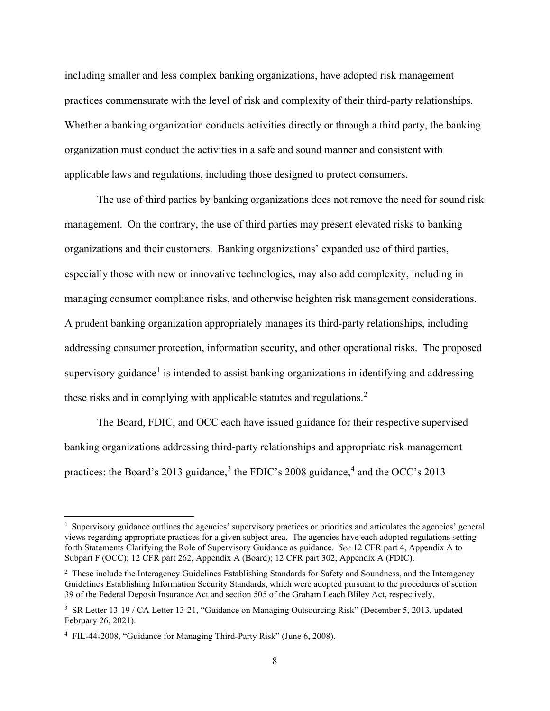including smaller and less complex banking organizations, have adopted risk management practices commensurate with the level of risk and complexity of their third-party relationships. Whether a banking organization conducts activities directly or through a third party, the banking organization must conduct the activities in a safe and sound manner and consistent with applicable laws and regulations, including those designed to protect consumers.

The use of third parties by banking organizations does not remove the need for sound risk management. On the contrary, the use of third parties may present elevated risks to banking organizations and their customers. Banking organizations' expanded use of third parties, especially those with new or innovative technologies, may also add complexity, including in managing consumer compliance risks, and otherwise heighten risk management considerations. A prudent banking organization appropriately manages its third-party relationships, including addressing consumer protection, information security, and other operational risks. The proposed supervisory guidance<sup>[1](#page-7-0)</sup> is intended to assist banking organizations in identifying and addressing these risks and in complying with applicable statutes and regulations.<sup>[2](#page-7-1)</sup>

The Board, FDIC, and OCC each have issued guidance for their respective supervised banking organizations addressing third-party relationships and appropriate risk management practices: the Board's 201[3](#page-7-2) guidance, $3$  the FDIC's 2008 guidance, $4$  and the OCC's 2013

<span id="page-7-0"></span><sup>&</sup>lt;sup>1</sup> Supervisory guidance outlines the agencies' supervisory practices or priorities and articulates the agencies' general views regarding appropriate practices for a given subject area. The agencies have each adopted regulations setting forth Statements Clarifying the Role of Supervisory Guidance as guidance. *See* 12 CFR part 4, Appendix A to Subpart F (OCC); 12 CFR part 262, Appendix A (Board); 12 CFR part 302, Appendix A (FDIC).

<span id="page-7-1"></span><sup>&</sup>lt;sup>2</sup> These include the Interagency Guidelines Establishing Standards for Safety and Soundness, and the Interagency Guidelines Establishing Information Security Standards, which were adopted pursuant to the procedures of section 39 of the Federal Deposit Insurance Act and section 505 of the Graham Leach Bliley Act, respectively.

<span id="page-7-2"></span><sup>&</sup>lt;sup>3</sup> SR Letter 13-19 / CA Letter 13-21, "Guidance on Managing Outsourcing Risk" (December 5, 2013, updated February 26, 2021).

<span id="page-7-3"></span><sup>4</sup> FIL-44-2008, "Guidance for Managing Third-Party Risk" (June 6, 2008).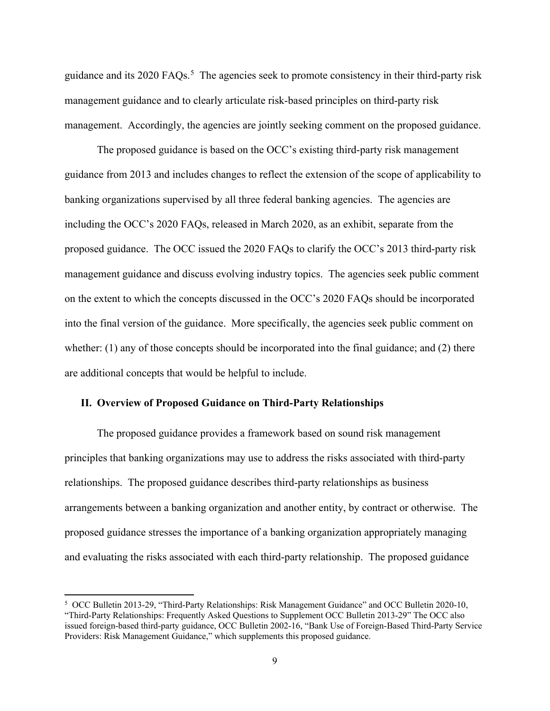guidance and its 2020 FAQs.<sup>[5](#page-8-0)</sup> The agencies seek to promote consistency in their third-party risk management guidance and to clearly articulate risk-based principles on third-party risk management. Accordingly, the agencies are jointly seeking comment on the proposed guidance.

The proposed guidance is based on the OCC's existing third-party risk management guidance from 2013 and includes changes to reflect the extension of the scope of applicability to banking organizations supervised by all three federal banking agencies. The agencies are including the OCC's 2020 FAQs, released in March 2020, as an exhibit, separate from the proposed guidance. The OCC issued the 2020 FAQs to clarify the OCC's 2013 third-party risk management guidance and discuss evolving industry topics. The agencies seek public comment on the extent to which the concepts discussed in the OCC's 2020 FAQs should be incorporated into the final version of the guidance. More specifically, the agencies seek public comment on whether: (1) any of those concepts should be incorporated into the final guidance; and (2) there are additional concepts that would be helpful to include.

# **II. Overview of Proposed Guidance on Third-Party Relationships**

The proposed guidance provides a framework based on sound risk management principles that banking organizations may use to address the risks associated with third-party relationships. The proposed guidance describes third-party relationships as business arrangements between a banking organization and another entity, by contract or otherwise. The proposed guidance stresses the importance of a banking organization appropriately managing and evaluating the risks associated with each third-party relationship. The proposed guidance

<span id="page-8-0"></span><sup>5</sup> OCC Bulletin 2013-29, "Third-Party Relationships: Risk Management Guidance" and OCC Bulletin 2020-10, "Third-Party Relationships: Frequently Asked Questions to Supplement OCC Bulletin 2013-29" The OCC also issued foreign-based third-party guidance, OCC Bulletin 2002-16, "Bank Use of Foreign-Based Third-Party Service Providers: Risk Management Guidance," which supplements this proposed guidance.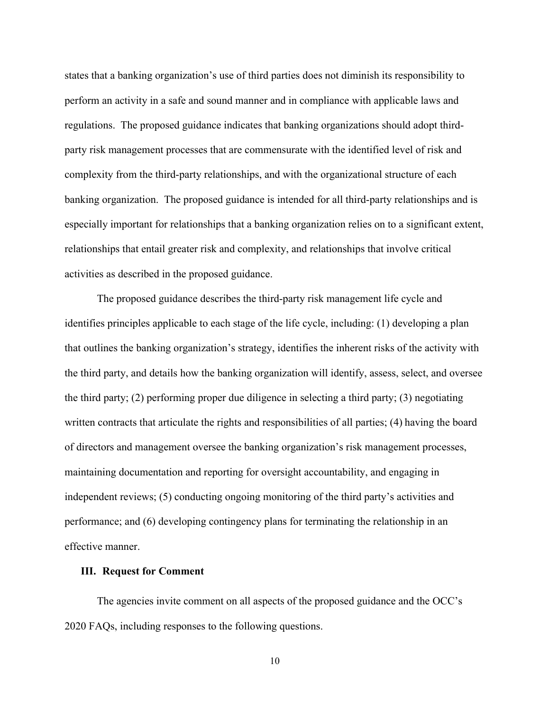states that a banking organization's use of third parties does not diminish its responsibility to perform an activity in a safe and sound manner and in compliance with applicable laws and regulations. The proposed guidance indicates that banking organizations should adopt thirdparty risk management processes that are commensurate with the identified level of risk and complexity from the third-party relationships, and with the organizational structure of each banking organization. The proposed guidance is intended for all third-party relationships and is especially important for relationships that a banking organization relies on to a significant extent, relationships that entail greater risk and complexity, and relationships that involve critical activities as described in the proposed guidance.

The proposed guidance describes the third-party risk management life cycle and identifies principles applicable to each stage of the life cycle, including: (1) developing a plan that outlines the banking organization's strategy, identifies the inherent risks of the activity with the third party, and details how the banking organization will identify, assess, select, and oversee the third party; (2) performing proper due diligence in selecting a third party; (3) negotiating written contracts that articulate the rights and responsibilities of all parties; (4) having the board of directors and management oversee the banking organization's risk management processes, maintaining documentation and reporting for oversight accountability, and engaging in independent reviews; (5) conducting ongoing monitoring of the third party's activities and performance; and (6) developing contingency plans for terminating the relationship in an effective manner.

#### **III. Request for Comment**

The agencies invite comment on all aspects of the proposed guidance and the OCC's 2020 FAQs, including responses to the following questions.

10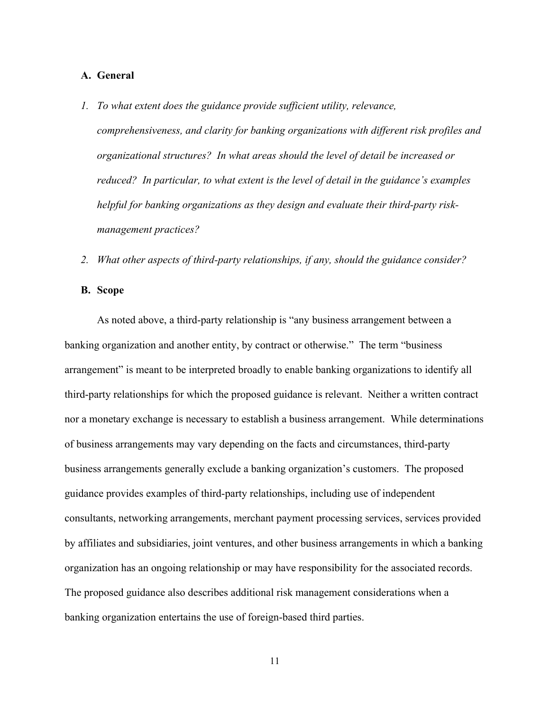# **A. General**

- *1. To what extent does the guidance provide sufficient utility, relevance, comprehensiveness, and clarity for banking organizations with different risk profiles and organizational structures? In what areas should the level of detail be increased or reduced? In particular, to what extent is the level of detail in the guidance's examples helpful for banking organizations as they design and evaluate their third-party riskmanagement practices?*
- *2. What other aspects of third-party relationships, if any, should the guidance consider?*

# **B. Scope**

As noted above, a third-party relationship is "any business arrangement between a banking organization and another entity, by contract or otherwise." The term "business arrangement" is meant to be interpreted broadly to enable banking organizations to identify all third-party relationships for which the proposed guidance is relevant. Neither a written contract nor a monetary exchange is necessary to establish a business arrangement. While determinations of business arrangements may vary depending on the facts and circumstances, third-party business arrangements generally exclude a banking organization's customers. The proposed guidance provides examples of third-party relationships, including use of independent consultants, networking arrangements, merchant payment processing services, services provided by affiliates and subsidiaries, joint ventures, and other business arrangements in which a banking organization has an ongoing relationship or may have responsibility for the associated records. The proposed guidance also describes additional risk management considerations when a banking organization entertains the use of foreign-based third parties.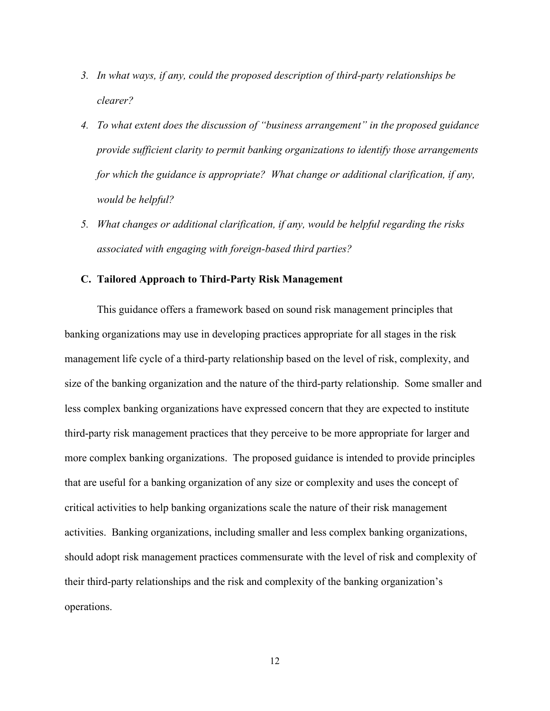- *3. In what ways, if any, could the proposed description of third-party relationships be clearer?*
- *4. To what extent does the discussion of "business arrangement" in the proposed guidance provide sufficient clarity to permit banking organizations to identify those arrangements for which the guidance is appropriate? What change or additional clarification, if any, would be helpful?*
- *5. What changes or additional clarification, if any, would be helpful regarding the risks associated with engaging with foreign-based third parties?*

# **C. Tailored Approach to Third-Party Risk Management**

This guidance offers a framework based on sound risk management principles that banking organizations may use in developing practices appropriate for all stages in the risk management life cycle of a third-party relationship based on the level of risk, complexity, and size of the banking organization and the nature of the third-party relationship. Some smaller and less complex banking organizations have expressed concern that they are expected to institute third-party risk management practices that they perceive to be more appropriate for larger and more complex banking organizations. The proposed guidance is intended to provide principles that are useful for a banking organization of any size or complexity and uses the concept of critical activities to help banking organizations scale the nature of their risk management activities. Banking organizations, including smaller and less complex banking organizations, should adopt risk management practices commensurate with the level of risk and complexity of their third-party relationships and the risk and complexity of the banking organization's operations.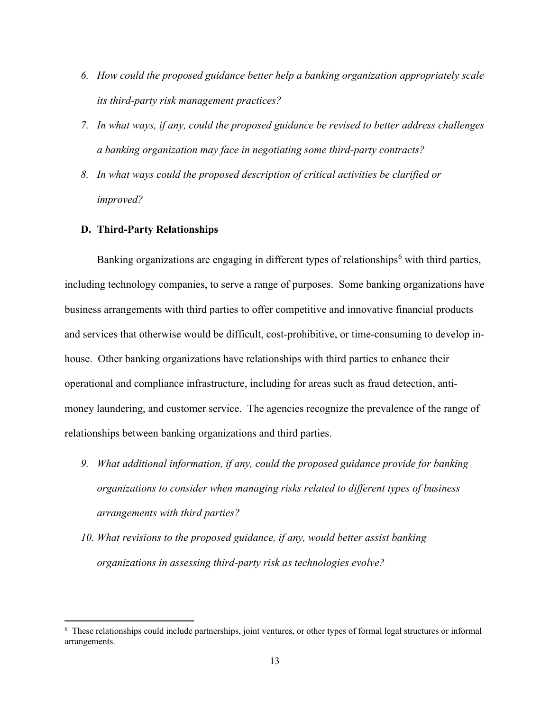- *6. How could the proposed guidance better help a banking organization appropriately scale its third-party risk management practices?*
- *7. In what ways, if any, could the proposed guidance be revised to better address challenges a banking organization may face in negotiating some third-party contracts?*
- *8. In what ways could the proposed description of critical activities be clarified or improved?*

# **D. Third-Party Relationships**

Banking organizations are engaging in different types of relationships<sup>[6](#page-12-0)</sup> with third parties, including technology companies, to serve a range of purposes. Some banking organizations have business arrangements with third parties to offer competitive and innovative financial products and services that otherwise would be difficult, cost-prohibitive, or time-consuming to develop inhouse. Other banking organizations have relationships with third parties to enhance their operational and compliance infrastructure, including for areas such as fraud detection, antimoney laundering, and customer service. The agencies recognize the prevalence of the range of relationships between banking organizations and third parties.

- *9. What additional information, if any, could the proposed guidance provide for banking organizations to consider when managing risks related to different types of business arrangements with third parties?*
- *10. What revisions to the proposed guidance, if any, would better assist banking organizations in assessing third-party risk as technologies evolve?*

<span id="page-12-0"></span><sup>&</sup>lt;sup>6</sup> These relationships could include partnerships, joint ventures, or other types of formal legal structures or informal arrangements.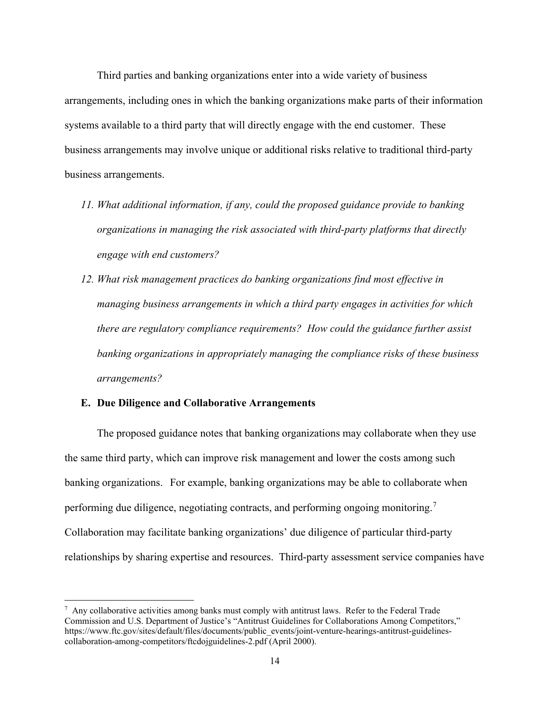Third parties and banking organizations enter into a wide variety of business arrangements, including ones in which the banking organizations make parts of their information systems available to a third party that will directly engage with the end customer. These business arrangements may involve unique or additional risks relative to traditional third-party business arrangements.

- *11. What additional information, if any, could the proposed guidance provide to banking organizations in managing the risk associated with third-party platforms that directly engage with end customers?*
- *12. What risk management practices do banking organizations find most effective in managing business arrangements in which a third party engages in activities for which there are regulatory compliance requirements? How could the guidance further assist banking organizations in appropriately managing the compliance risks of these business arrangements?*

#### **E. Due Diligence and Collaborative Arrangements**

The proposed guidance notes that banking organizations may collaborate when they use the same third party, which can improve risk management and lower the costs among such banking organizations. For example, banking organizations may be able to collaborate when performing due diligence, negotiating contracts, and performing ongoing monitoring.<sup>[7](#page-13-0)</sup> Collaboration may facilitate banking organizations' due diligence of particular third-party relationships by sharing expertise and resources. Third-party assessment service companies have

<span id="page-13-0"></span> $7$  Any collaborative activities among banks must comply with antitrust laws. Refer to the Federal Trade Commission and U.S. Department of Justice's "Antitrust Guidelines for Collaborations Among Competitors," https://www.ftc.gov/sites/default/files/documents/public\_events/joint-venture-hearings-antitrust-guidelinescollaboration-among-competitors/ftcdojguidelines-2.pdf (April 2000).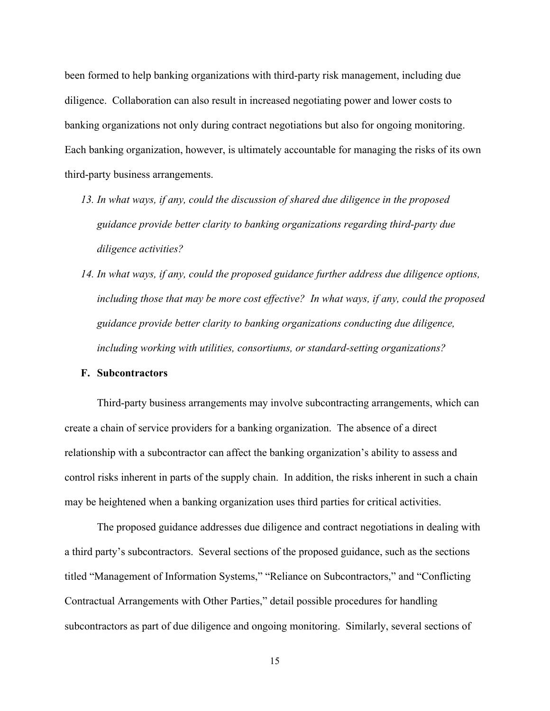been formed to help banking organizations with third-party risk management, including due diligence. Collaboration can also result in increased negotiating power and lower costs to banking organizations not only during contract negotiations but also for ongoing monitoring. Each banking organization, however, is ultimately accountable for managing the risks of its own third-party business arrangements.

- *13. In what ways, if any, could the discussion of shared due diligence in the proposed guidance provide better clarity to banking organizations regarding third-party due diligence activities?*
- *14. In what ways, if any, could the proposed guidance further address due diligence options, including those that may be more cost effective? In what ways, if any, could the proposed guidance provide better clarity to banking organizations conducting due diligence, including working with utilities, consortiums, or standard-setting organizations?*

# **F. Subcontractors**

Third-party business arrangements may involve subcontracting arrangements, which can create a chain of service providers for a banking organization. The absence of a direct relationship with a subcontractor can affect the banking organization's ability to assess and control risks inherent in parts of the supply chain. In addition, the risks inherent in such a chain may be heightened when a banking organization uses third parties for critical activities.

The proposed guidance addresses due diligence and contract negotiations in dealing with a third party's subcontractors. Several sections of the proposed guidance, such as the sections titled "Management of Information Systems," "Reliance on Subcontractors," and "Conflicting Contractual Arrangements with Other Parties," detail possible procedures for handling subcontractors as part of due diligence and ongoing monitoring. Similarly, several sections of

15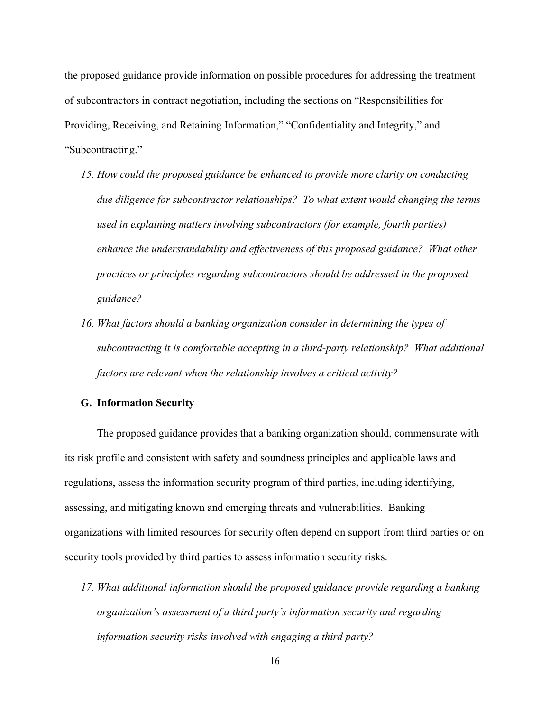the proposed guidance provide information on possible procedures for addressing the treatment of subcontractors in contract negotiation, including the sections on "Responsibilities for Providing, Receiving, and Retaining Information," "Confidentiality and Integrity," and "Subcontracting."

- *15. How could the proposed guidance be enhanced to provide more clarity on conducting due diligence for subcontractor relationships? To what extent would changing the terms used in explaining matters involving subcontractors (for example, fourth parties) enhance the understandability and effectiveness of this proposed guidance? What other practices or principles regarding subcontractors should be addressed in the proposed guidance?*
- *16. What factors should a banking organization consider in determining the types of subcontracting it is comfortable accepting in a third-party relationship? What additional factors are relevant when the relationship involves a critical activity?*

#### **G. Information Security**

The proposed guidance provides that a banking organization should, commensurate with its risk profile and consistent with safety and soundness principles and applicable laws and regulations, assess the information security program of third parties, including identifying, assessing, and mitigating known and emerging threats and vulnerabilities. Banking organizations with limited resources for security often depend on support from third parties or on security tools provided by third parties to assess information security risks.

*17. What additional information should the proposed guidance provide regarding a banking organization's assessment of a third party's information security and regarding information security risks involved with engaging a third party?*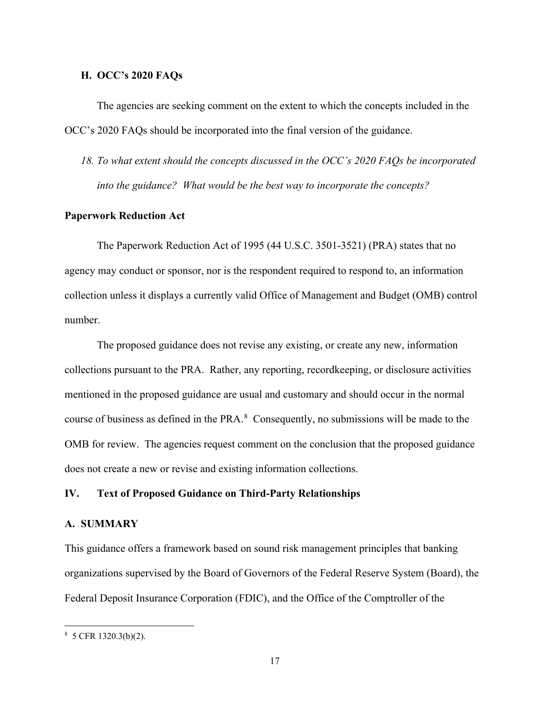# **H. OCC's 2020 FAQs**

The agencies are seeking comment on the extent to which the concepts included in the OCC's 2020 FAQs should be incorporated into the final version of the guidance.

*18. To what extent should the concepts discussed in the OCC's 2020 FAQs be incorporated into the guidance? What would be the best way to incorporate the concepts?*

# **Paperwork Reduction Act**

The Paperwork Reduction Act of 1995 (44 U.S.C. 3501-3521) (PRA) states that no agency may conduct or sponsor, nor is the respondent required to respond to, an information collection unless it displays a currently valid Office of Management and Budget (OMB) control number.

The proposed guidance does not revise any existing, or create any new, information collections pursuant to the PRA. Rather, any reporting, recordkeeping, or disclosure activities mentioned in the proposed guidance are usual and customary and should occur in the normal course of business as defined in the PRA. $8$  Consequently, no submissions will be made to the OMB for review. The agencies request comment on the conclusion that the proposed guidance does not create a new or revise and existing information collections.

# **IV. Text of Proposed Guidance on Third-Party Relationships**

#### **A. SUMMARY**

This guidance offers a framework based on sound risk management principles that banking organizations supervised by the Board of Governors of the Federal Reserve System (Board), the Federal Deposit Insurance Corporation (FDIC), and the Office of the Comptroller of the

<span id="page-16-0"></span><sup>8</sup> 5 CFR 1320.3(b)(2).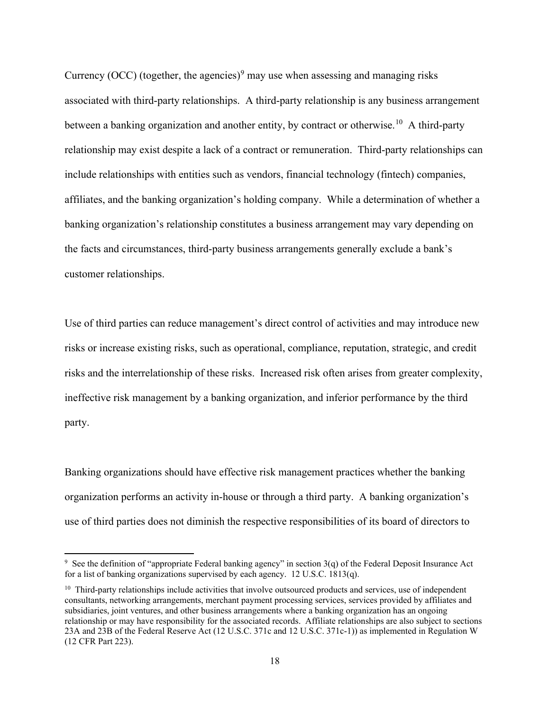Currency (OCC) (together, the agencies)<sup>[9](#page-17-0)</sup> may use when assessing and managing risks associated with third-party relationships. A third-party relationship is any business arrangement between a banking organization and another entity, by contract or otherwise.<sup>[10](#page-17-1)</sup> A third-party relationship may exist despite a lack of a contract or remuneration. Third-party relationships can include relationships with entities such as vendors, financial technology (fintech) companies, affiliates, and the banking organization's holding company. While a determination of whether a banking organization's relationship constitutes a business arrangement may vary depending on the facts and circumstances, third-party business arrangements generally exclude a bank's customer relationships.

Use of third parties can reduce management's direct control of activities and may introduce new risks or increase existing risks, such as operational, compliance, reputation, strategic, and credit risks and the interrelationship of these risks. Increased risk often arises from greater complexity, ineffective risk management by a banking organization, and inferior performance by the third party.

Banking organizations should have effective risk management practices whether the banking organization performs an activity in-house or through a third party. A banking organization's use of third parties does not diminish the respective responsibilities of its board of directors to

<span id="page-17-0"></span><sup>&</sup>lt;sup>9</sup> See the definition of "appropriate Federal banking agency" in section  $3(q)$  of the Federal Deposit Insurance Act for a list of banking organizations supervised by each agency. 12 U.S.C. 1813(q).

<span id="page-17-1"></span> $10$  Third-party relationships include activities that involve outsourced products and services, use of independent consultants, networking arrangements, merchant payment processing services, services provided by affiliates and subsidiaries, joint ventures, and other business arrangements where a banking organization has an ongoing relationship or may have responsibility for the associated records. Affiliate relationships are also subject to sections 23A and 23B of the Federal Reserve Act (12 U.S.C. 371c and 12 U.S.C. 371c-1)) as implemented in Regulation W (12 CFR Part 223).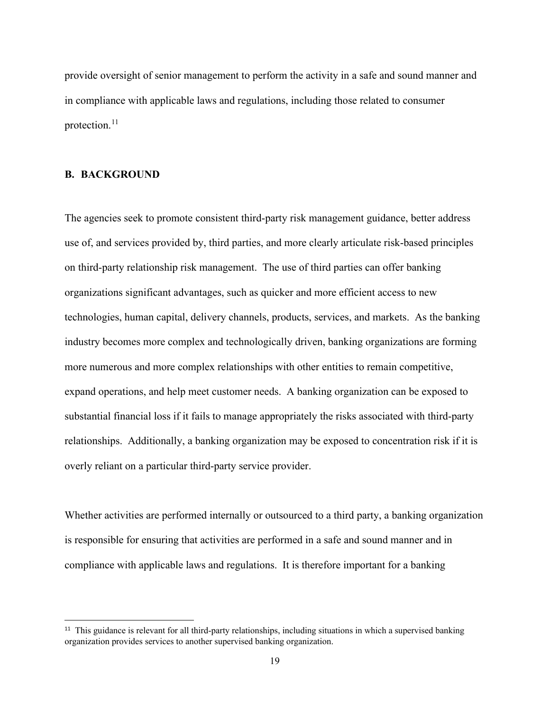provide oversight of senior management to perform the activity in a safe and sound manner and in compliance with applicable laws and regulations, including those related to consumer protection.<sup>[11](#page-18-0)</sup>

# **B. BACKGROUND**

The agencies seek to promote consistent third-party risk management guidance, better address use of, and services provided by, third parties, and more clearly articulate risk-based principles on third-party relationship risk management. The use of third parties can offer banking organizations significant advantages, such as quicker and more efficient access to new technologies, human capital, delivery channels, products, services, and markets. As the banking industry becomes more complex and technologically driven, banking organizations are forming more numerous and more complex relationships with other entities to remain competitive, expand operations, and help meet customer needs. A banking organization can be exposed to substantial financial loss if it fails to manage appropriately the risks associated with third-party relationships. Additionally, a banking organization may be exposed to concentration risk if it is overly reliant on a particular third-party service provider.

Whether activities are performed internally or outsourced to a third party, a banking organization is responsible for ensuring that activities are performed in a safe and sound manner and in compliance with applicable laws and regulations. It is therefore important for a banking

<span id="page-18-0"></span><sup>&</sup>lt;sup>11</sup> This guidance is relevant for all third-party relationships, including situations in which a supervised banking organization provides services to another supervised banking organization.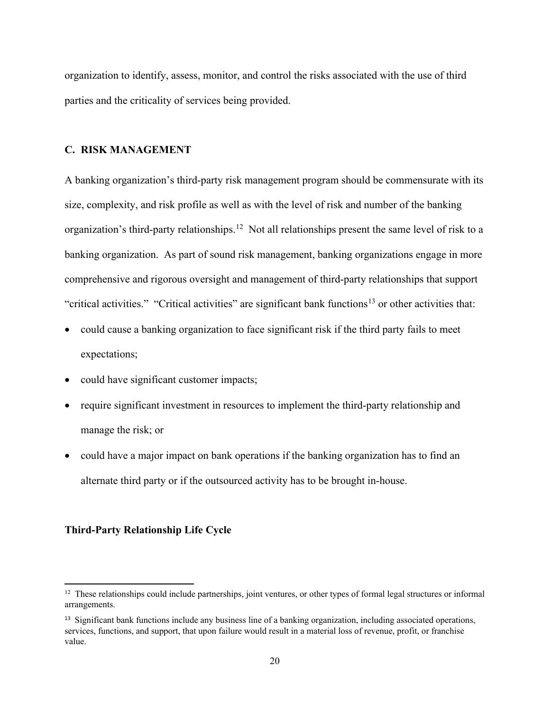organization to identify, assess, monitor, and control the risks associated with the use of third parties and the criticality of services being provided.

# **C. RISK MANAGEMENT**

A banking organization's third-party risk management program should be commensurate with its size, complexity, and risk profile as well as with the level of risk and number of the banking organization's third-party relationships.<sup>[12](#page-19-0)</sup> Not all relationships present the same level of risk to a banking organization. As part of sound risk management, banking organizations engage in more comprehensive and rigorous oversight and management of third-party relationships that support "critical activities." "Critical activities" are significant bank functions<sup>[13](#page-19-1)</sup> or other activities that:

- could cause a banking organization to face significant risk if the third party fails to meet expectations;
- could have significant customer impacts;
- require significant investment in resources to implement the third-party relationship and manage the risk; or
- could have a major impact on bank operations if the banking organization has to find an alternate third party or if the outsourced activity has to be brought in-house.

# **Third-Party Relationship Life Cycle**

<span id="page-19-0"></span> $12$  These relationships could include partnerships, joint ventures, or other types of formal legal structures or informal arrangements.

<span id="page-19-1"></span><sup>&</sup>lt;sup>13</sup> Significant bank functions include any business line of a banking organization, including associated operations, services, functions, and support, that upon failure would result in a material loss of revenue, profit, or franchise value.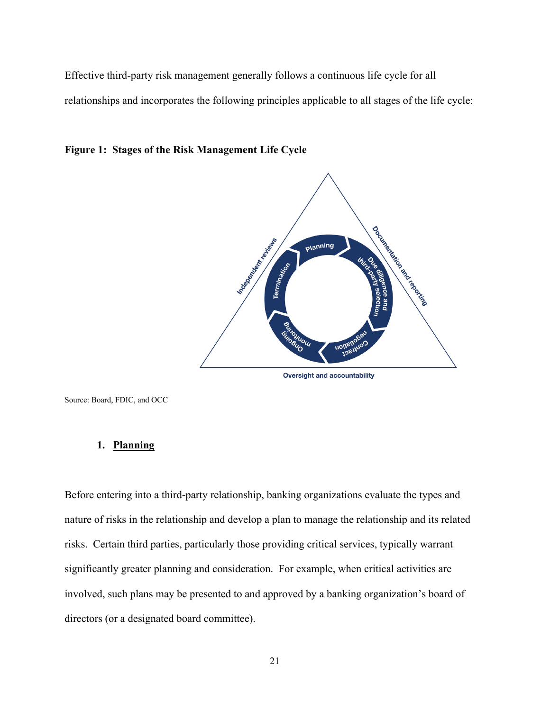Effective third-party risk management generally follows a continuous life cycle for all relationships and incorporates the following principles applicable to all stages of the life cycle:





**Oversight and accountability** 

Source: Board, FDIC, and OCC

# **1. Planning**

Before entering into a third-party relationship, banking organizations evaluate the types and nature of risks in the relationship and develop a plan to manage the relationship and its related risks. Certain third parties, particularly those providing critical services, typically warrant significantly greater planning and consideration. For example, when critical activities are involved, such plans may be presented to and approved by a banking organization's board of directors (or a designated board committee).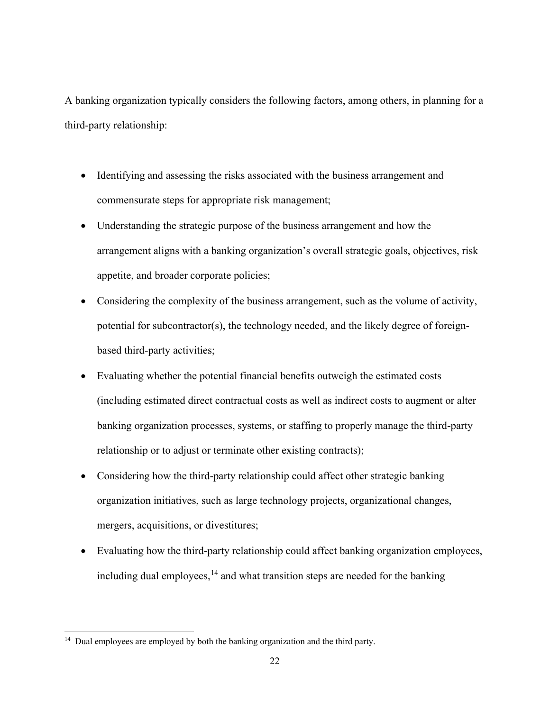A banking organization typically considers the following factors, among others, in planning for a third-party relationship:

- Identifying and assessing the risks associated with the business arrangement and commensurate steps for appropriate risk management;
- Understanding the strategic purpose of the business arrangement and how the arrangement aligns with a banking organization's overall strategic goals, objectives, risk appetite, and broader corporate policies;
- Considering the complexity of the business arrangement, such as the volume of activity, potential for subcontractor(s), the technology needed, and the likely degree of foreignbased third-party activities;
- Evaluating whether the potential financial benefits outweigh the estimated costs (including estimated direct contractual costs as well as indirect costs to augment or alter banking organization processes, systems, or staffing to properly manage the third-party relationship or to adjust or terminate other existing contracts);
- Considering how the third-party relationship could affect other strategic banking organization initiatives, such as large technology projects, organizational changes, mergers, acquisitions, or divestitures;
- Evaluating how the third-party relationship could affect banking organization employees, including dual employees,  $14$  and what transition steps are needed for the banking

<span id="page-21-0"></span><sup>&</sup>lt;sup>14</sup> Dual employees are employed by both the banking organization and the third party.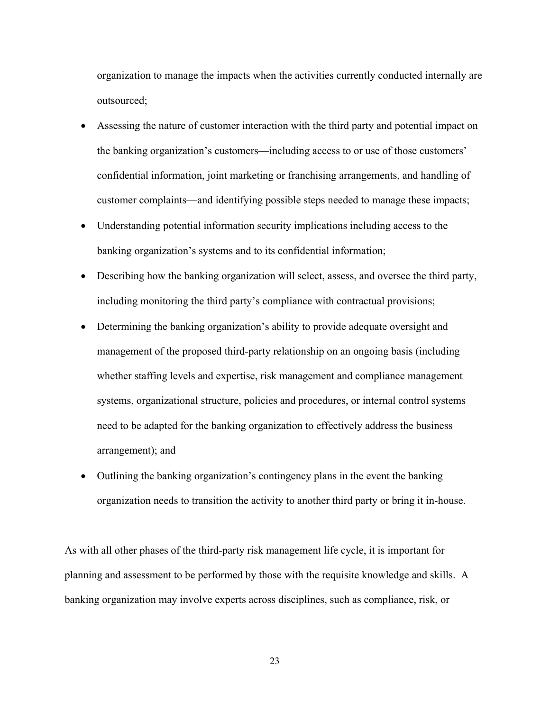organization to manage the impacts when the activities currently conducted internally are outsourced;

- Assessing the nature of customer interaction with the third party and potential impact on the banking organization's customers—including access to or use of those customers' confidential information, joint marketing or franchising arrangements, and handling of customer complaints—and identifying possible steps needed to manage these impacts;
- Understanding potential information security implications including access to the banking organization's systems and to its confidential information;
- Describing how the banking organization will select, assess, and oversee the third party, including monitoring the third party's compliance with contractual provisions;
- Determining the banking organization's ability to provide adequate oversight and management of the proposed third-party relationship on an ongoing basis (including whether staffing levels and expertise, risk management and compliance management systems, organizational structure, policies and procedures, or internal control systems need to be adapted for the banking organization to effectively address the business arrangement); and
- Outlining the banking organization's contingency plans in the event the banking organization needs to transition the activity to another third party or bring it in-house.

As with all other phases of the third-party risk management life cycle, it is important for planning and assessment to be performed by those with the requisite knowledge and skills. A banking organization may involve experts across disciplines, such as compliance, risk, or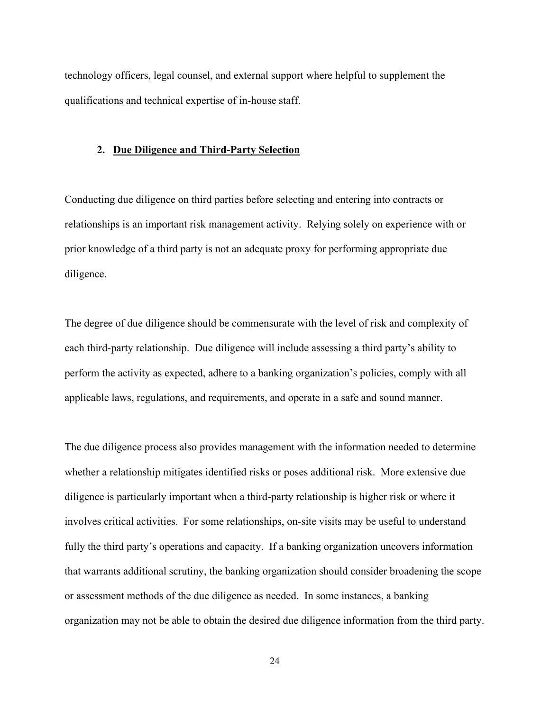technology officers, legal counsel, and external support where helpful to supplement the qualifications and technical expertise of in-house staff.

## **2. Due Diligence and Third-Party Selection**

Conducting due diligence on third parties before selecting and entering into contracts or relationships is an important risk management activity. Relying solely on experience with or prior knowledge of a third party is not an adequate proxy for performing appropriate due diligence.

The degree of due diligence should be commensurate with the level of risk and complexity of each third-party relationship. Due diligence will include assessing a third party's ability to perform the activity as expected, adhere to a banking organization's policies, comply with all applicable laws, regulations, and requirements, and operate in a safe and sound manner.

The due diligence process also provides management with the information needed to determine whether a relationship mitigates identified risks or poses additional risk. More extensive due diligence is particularly important when a third-party relationship is higher risk or where it involves critical activities. For some relationships, on-site visits may be useful to understand fully the third party's operations and capacity. If a banking organization uncovers information that warrants additional scrutiny, the banking organization should consider broadening the scope or assessment methods of the due diligence as needed. In some instances, a banking organization may not be able to obtain the desired due diligence information from the third party.

24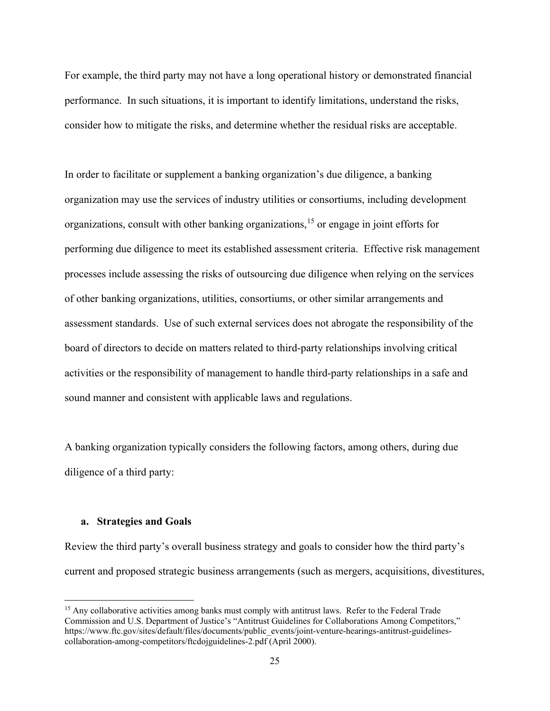For example, the third party may not have a long operational history or demonstrated financial performance. In such situations, it is important to identify limitations, understand the risks, consider how to mitigate the risks, and determine whether the residual risks are acceptable.

In order to facilitate or supplement a banking organization's due diligence, a banking organization may use the services of industry utilities or consortiums, including development organizations, consult with other banking organizations, [15](#page-24-0) or engage in joint efforts for performing due diligence to meet its established assessment criteria. Effective risk management processes include assessing the risks of outsourcing due diligence when relying on the services of other banking organizations, utilities, consortiums, or other similar arrangements and assessment standards. Use of such external services does not abrogate the responsibility of the board of directors to decide on matters related to third-party relationships involving critical activities or the responsibility of management to handle third-party relationships in a safe and sound manner and consistent with applicable laws and regulations.

A banking organization typically considers the following factors, among others, during due diligence of a third party:

# **a. Strategies and Goals**

Review the third party's overall business strategy and goals to consider how the third party's current and proposed strategic business arrangements (such as mergers, acquisitions, divestitures,

<span id="page-24-0"></span><sup>&</sup>lt;sup>15</sup> Any collaborative activities among banks must comply with antitrust laws. Refer to the Federal Trade Commission and U.S. Department of Justice's "Antitrust Guidelines for Collaborations Among Competitors," https://www.ftc.gov/sites/default/files/documents/public\_events/joint-venture-hearings-antitrust-guidelinescollaboration-among-competitors/ftcdojguidelines-2.pdf (April 2000).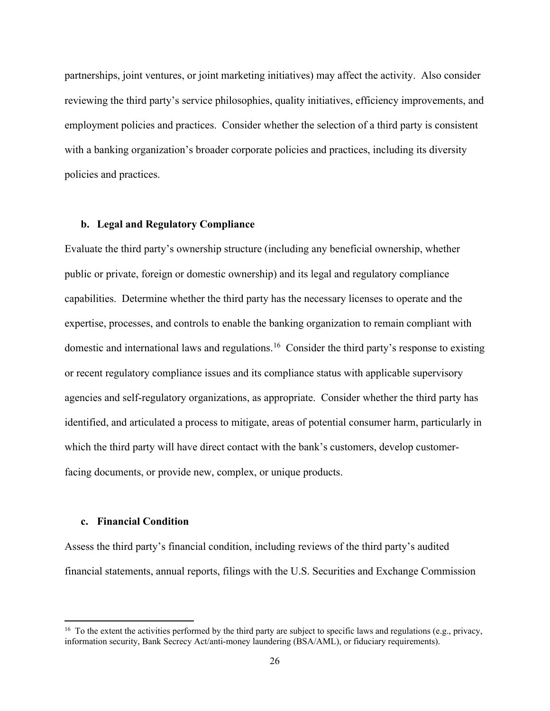partnerships, joint ventures, or joint marketing initiatives) may affect the activity. Also consider reviewing the third party's service philosophies, quality initiatives, efficiency improvements, and employment policies and practices. Consider whether the selection of a third party is consistent with a banking organization's broader corporate policies and practices, including its diversity policies and practices.

# **b. Legal and Regulatory Compliance**

Evaluate the third party's ownership structure (including any beneficial ownership, whether public or private, foreign or domestic ownership) and its legal and regulatory compliance capabilities. Determine whether the third party has the necessary licenses to operate and the expertise, processes, and controls to enable the banking organization to remain compliant with domestic and international laws and regulations.<sup>[16](#page-25-0)</sup> Consider the third party's response to existing or recent regulatory compliance issues and its compliance status with applicable supervisory agencies and self-regulatory organizations, as appropriate. Consider whether the third party has identified, and articulated a process to mitigate, areas of potential consumer harm, particularly in which the third party will have direct contact with the bank's customers, develop customerfacing documents, or provide new, complex, or unique products.

# **c. Financial Condition**

Assess the third party's financial condition, including reviews of the third party's audited financial statements, annual reports, filings with the U.S. Securities and Exchange Commission

<span id="page-25-0"></span> $16$  To the extent the activities performed by the third party are subject to specific laws and regulations (e.g., privacy, information security, Bank Secrecy Act/anti-money laundering (BSA/AML), or fiduciary requirements).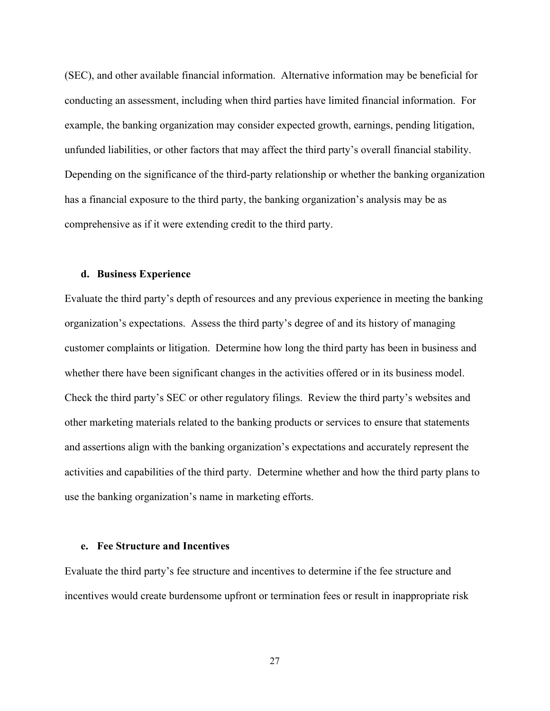(SEC), and other available financial information. Alternative information may be beneficial for conducting an assessment, including when third parties have limited financial information. For example, the banking organization may consider expected growth, earnings, pending litigation, unfunded liabilities, or other factors that may affect the third party's overall financial stability. Depending on the significance of the third-party relationship or whether the banking organization has a financial exposure to the third party, the banking organization's analysis may be as comprehensive as if it were extending credit to the third party.

# **d. Business Experience**

Evaluate the third party's depth of resources and any previous experience in meeting the banking organization's expectations. Assess the third party's degree of and its history of managing customer complaints or litigation. Determine how long the third party has been in business and whether there have been significant changes in the activities offered or in its business model. Check the third party's SEC or other regulatory filings. Review the third party's websites and other marketing materials related to the banking products or services to ensure that statements and assertions align with the banking organization's expectations and accurately represent the activities and capabilities of the third party. Determine whether and how the third party plans to use the banking organization's name in marketing efforts.

# **e. Fee Structure and Incentives**

Evaluate the third party's fee structure and incentives to determine if the fee structure and incentives would create burdensome upfront or termination fees or result in inappropriate risk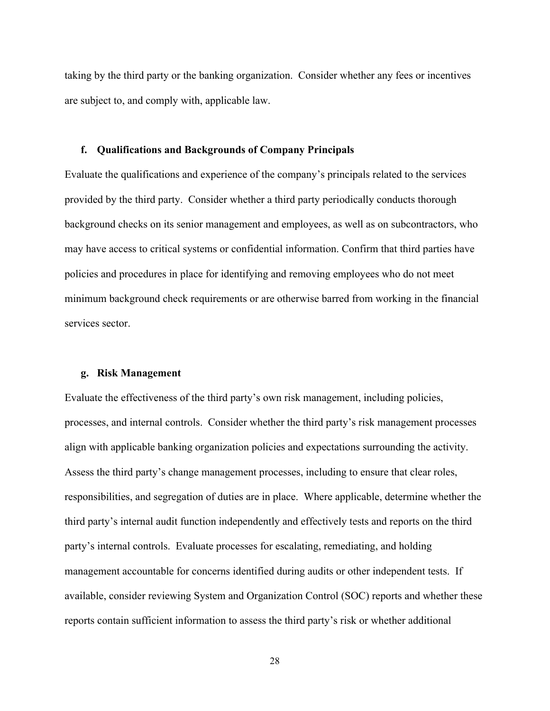taking by the third party or the banking organization. Consider whether any fees or incentives are subject to, and comply with, applicable law.

#### **f. Qualifications and Backgrounds of Company Principals**

Evaluate the qualifications and experience of the company's principals related to the services provided by the third party. Consider whether a third party periodically conducts thorough background checks on its senior management and employees, as well as on subcontractors, who may have access to critical systems or confidential information. Confirm that third parties have policies and procedures in place for identifying and removing employees who do not meet minimum background check requirements or are otherwise barred from working in the financial services sector.

# **g. Risk Management**

Evaluate the effectiveness of the third party's own risk management, including policies, processes, and internal controls. Consider whether the third party's risk management processes align with applicable banking organization policies and expectations surrounding the activity. Assess the third party's change management processes, including to ensure that clear roles, responsibilities, and segregation of duties are in place. Where applicable, determine whether the third party's internal audit function independently and effectively tests and reports on the third party's internal controls. Evaluate processes for escalating, remediating, and holding management accountable for concerns identified during audits or other independent tests. If available, consider reviewing System and Organization Control (SOC) reports and whether these reports contain sufficient information to assess the third party's risk or whether additional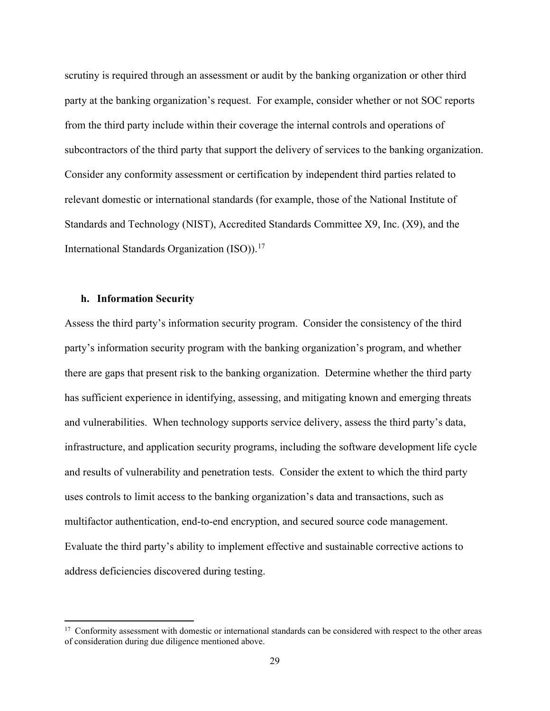scrutiny is required through an assessment or audit by the banking organization or other third party at the banking organization's request. For example, consider whether or not SOC reports from the third party include within their coverage the internal controls and operations of subcontractors of the third party that support the delivery of services to the banking organization. Consider any conformity assessment or certification by independent third parties related to relevant domestic or international standards (for example, those of the National Institute of Standards and Technology (NIST), Accredited Standards Committee X9, Inc. (X9), and the International Standards Organization (ISO)).<sup>[17](#page-28-0)</sup>

# **h. Information Security**

Assess the third party's information security program. Consider the consistency of the third party's information security program with the banking organization's program, and whether there are gaps that present risk to the banking organization. Determine whether the third party has sufficient experience in identifying, assessing, and mitigating known and emerging threats and vulnerabilities. When technology supports service delivery, assess the third party's data, infrastructure, and application security programs, including the software development life cycle and results of vulnerability and penetration tests. Consider the extent to which the third party uses controls to limit access to the banking organization's data and transactions, such as multifactor authentication, end-to-end encryption, and secured source code management. Evaluate the third party's ability to implement effective and sustainable corrective actions to address deficiencies discovered during testing.

<span id="page-28-0"></span><sup>&</sup>lt;sup>17</sup> Conformity assessment with domestic or international standards can be considered with respect to the other areas of consideration during due diligence mentioned above.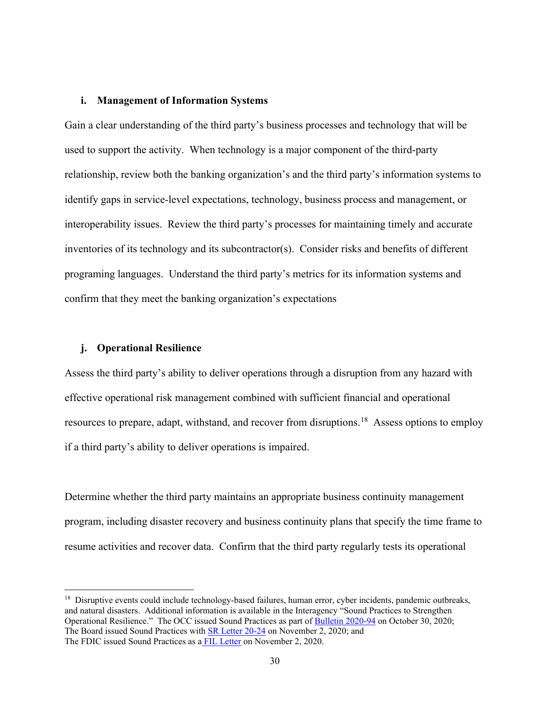#### **i. Management of Information Systems**

Gain a clear understanding of the third party's business processes and technology that will be used to support the activity. When technology is a major component of the third-party relationship, review both the banking organization's and the third party's information systems to identify gaps in service-level expectations, technology, business process and management, or interoperability issues. Review the third party's processes for maintaining timely and accurate inventories of its technology and its subcontractor(s). Consider risks and benefits of different programing languages. Understand the third party's metrics for its information systems and confirm that they meet the banking organization's expectations

# **j. Operational Resilience**

Assess the third party's ability to deliver operations through a disruption from any hazard with effective operational risk management combined with sufficient financial and operational resources to prepare, adapt, withstand, and recover from disruptions.<sup>[18](#page-29-0)</sup> Assess options to employ if a third party's ability to deliver operations is impaired.

Determine whether the third party maintains an appropriate business continuity management program, including disaster recovery and business continuity plans that specify the time frame to resume activities and recover data. Confirm that the third party regularly tests its operational

<span id="page-29-0"></span><sup>&</sup>lt;sup>18</sup> Disruptive events could include technology-based failures, human error, cyber incidents, pandemic outbreaks, and natural disasters. Additional information is available in the Interagency "Sound Practices to Strengthen Operational Resilience." The OCC issued Sound Practices as part of [Bulletin 2020-94](https://www.occ.gov/news-issuances/bulletins/2020/bulletin-2020-94.html) on October 30, 2020; The Board issued Sound Practices with **SR Letter 20-24** on November 2, 2020; and The FDIC issued Sound Practices as a [FIL Letter](https://www.fdic.gov/news/financial-institution-letters/2020/fil20103.html) on November 2, 2020.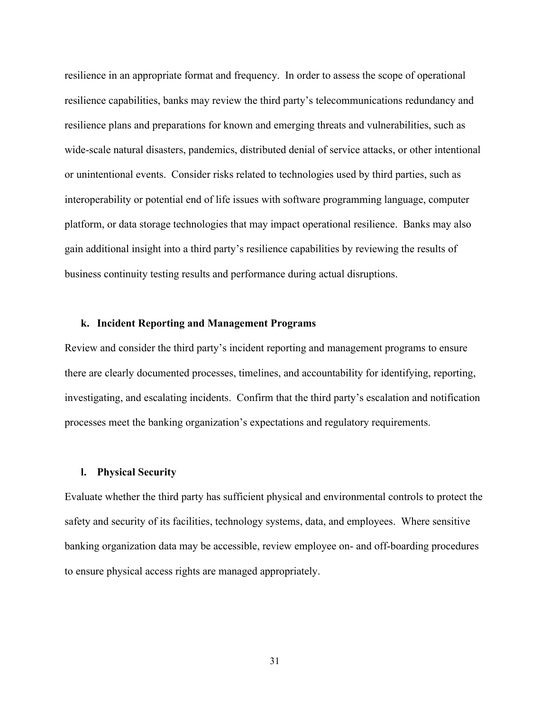resilience in an appropriate format and frequency. In order to assess the scope of operational resilience capabilities, banks may review the third party's telecommunications redundancy and resilience plans and preparations for known and emerging threats and vulnerabilities, such as wide-scale natural disasters, pandemics, distributed denial of service attacks, or other intentional or unintentional events. Consider risks related to technologies used by third parties, such as interoperability or potential end of life issues with software programming language, computer platform, or data storage technologies that may impact operational resilience. Banks may also gain additional insight into a third party's resilience capabilities by reviewing the results of business continuity testing results and performance during actual disruptions.

# **k. Incident Reporting and Management Programs**

Review and consider the third party's incident reporting and management programs to ensure there are clearly documented processes, timelines, and accountability for identifying, reporting, investigating, and escalating incidents. Confirm that the third party's escalation and notification processes meet the banking organization's expectations and regulatory requirements.

#### **l. Physical Security**

Evaluate whether the third party has sufficient physical and environmental controls to protect the safety and security of its facilities, technology systems, data, and employees. Where sensitive banking organization data may be accessible, review employee on- and off-boarding procedures to ensure physical access rights are managed appropriately.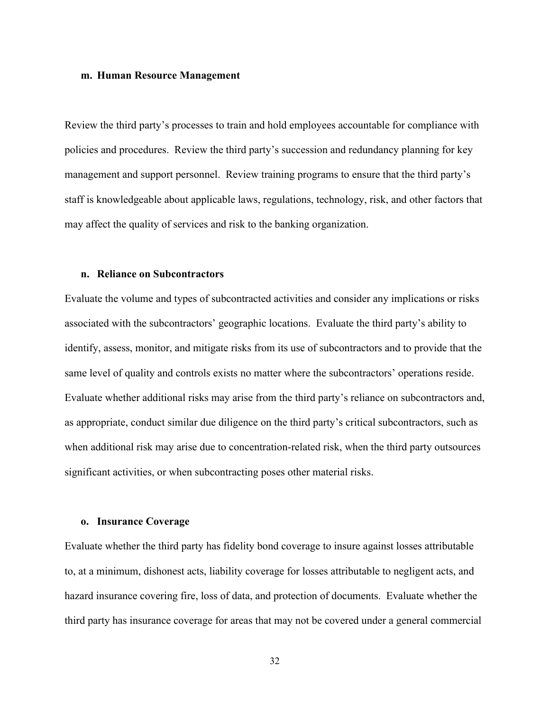#### **m. Human Resource Management**

Review the third party's processes to train and hold employees accountable for compliance with policies and procedures. Review the third party's succession and redundancy planning for key management and support personnel. Review training programs to ensure that the third party's staff is knowledgeable about applicable laws, regulations, technology, risk, and other factors that may affect the quality of services and risk to the banking organization.

## **n. Reliance on Subcontractors**

Evaluate the volume and types of subcontracted activities and consider any implications or risks associated with the subcontractors' geographic locations. Evaluate the third party's ability to identify, assess, monitor, and mitigate risks from its use of subcontractors and to provide that the same level of quality and controls exists no matter where the subcontractors' operations reside. Evaluate whether additional risks may arise from the third party's reliance on subcontractors and, as appropriate, conduct similar due diligence on the third party's critical subcontractors, such as when additional risk may arise due to concentration-related risk, when the third party outsources significant activities, or when subcontracting poses other material risks.

#### **o. Insurance Coverage**

Evaluate whether the third party has fidelity bond coverage to insure against losses attributable to, at a minimum, dishonest acts, liability coverage for losses attributable to negligent acts, and hazard insurance covering fire, loss of data, and protection of documents. Evaluate whether the third party has insurance coverage for areas that may not be covered under a general commercial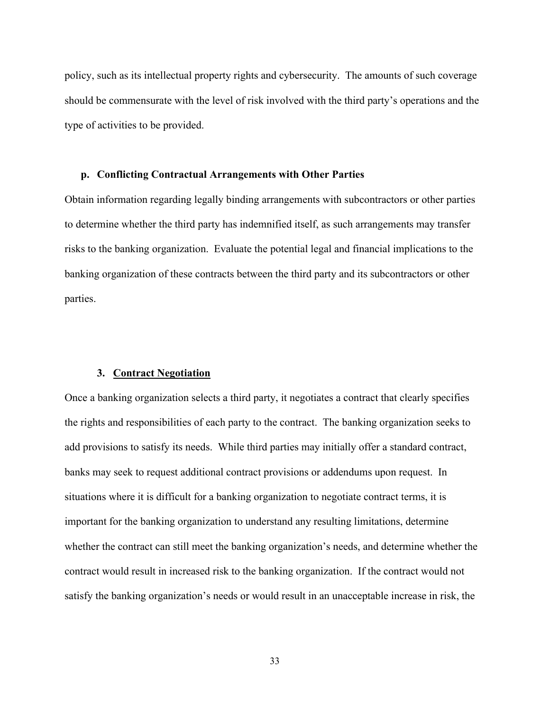policy, such as its intellectual property rights and cybersecurity. The amounts of such coverage should be commensurate with the level of risk involved with the third party's operations and the type of activities to be provided.

# **p. Conflicting Contractual Arrangements with Other Parties**

Obtain information regarding legally binding arrangements with subcontractors or other parties to determine whether the third party has indemnified itself, as such arrangements may transfer risks to the banking organization. Evaluate the potential legal and financial implications to the banking organization of these contracts between the third party and its subcontractors or other parties.

#### **3. Contract Negotiation**

Once a banking organization selects a third party, it negotiates a contract that clearly specifies the rights and responsibilities of each party to the contract. The banking organization seeks to add provisions to satisfy its needs. While third parties may initially offer a standard contract, banks may seek to request additional contract provisions or addendums upon request. In situations where it is difficult for a banking organization to negotiate contract terms, it is important for the banking organization to understand any resulting limitations, determine whether the contract can still meet the banking organization's needs, and determine whether the contract would result in increased risk to the banking organization. If the contract would not satisfy the banking organization's needs or would result in an unacceptable increase in risk, the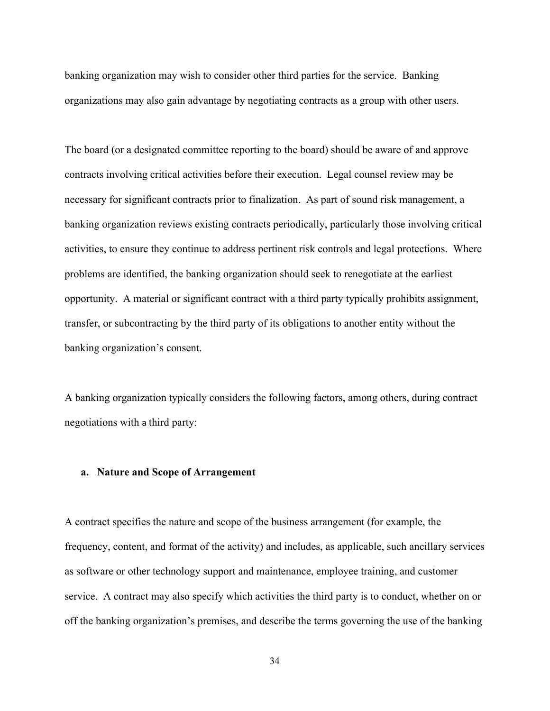banking organization may wish to consider other third parties for the service. Banking organizations may also gain advantage by negotiating contracts as a group with other users.

The board (or a designated committee reporting to the board) should be aware of and approve contracts involving critical activities before their execution. Legal counsel review may be necessary for significant contracts prior to finalization. As part of sound risk management, a banking organization reviews existing contracts periodically, particularly those involving critical activities, to ensure they continue to address pertinent risk controls and legal protections. Where problems are identified, the banking organization should seek to renegotiate at the earliest opportunity. A material or significant contract with a third party typically prohibits assignment, transfer, or subcontracting by the third party of its obligations to another entity without the banking organization's consent.

A banking organization typically considers the following factors, among others, during contract negotiations with a third party:

### **a. Nature and Scope of Arrangement**

A contract specifies the nature and scope of the business arrangement (for example, the frequency, content, and format of the activity) and includes, as applicable, such ancillary services as software or other technology support and maintenance, employee training, and customer service. A contract may also specify which activities the third party is to conduct, whether on or off the banking organization's premises, and describe the terms governing the use of the banking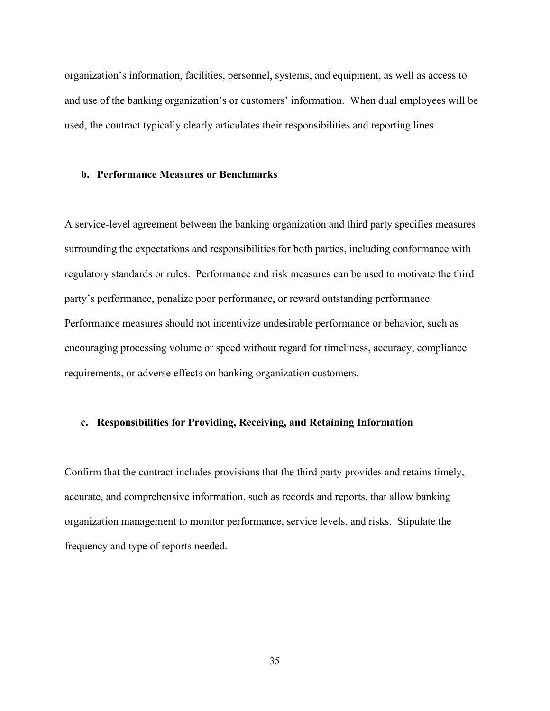organization's information, facilities, personnel, systems, and equipment, as well as access to and use of the banking organization's or customers' information. When dual employees will be used, the contract typically clearly articulates their responsibilities and reporting lines.

# **b. Performance Measures or Benchmarks**

A service-level agreement between the banking organization and third party specifies measures surrounding the expectations and responsibilities for both parties, including conformance with regulatory standards or rules. Performance and risk measures can be used to motivate the third party's performance, penalize poor performance, or reward outstanding performance. Performance measures should not incentivize undesirable performance or behavior, such as encouraging processing volume or speed without regard for timeliness, accuracy, compliance requirements, or adverse effects on banking organization customers.

# **c. Responsibilities for Providing, Receiving, and Retaining Information**

Confirm that the contract includes provisions that the third party provides and retains timely, accurate, and comprehensive information, such as records and reports, that allow banking organization management to monitor performance, service levels, and risks. Stipulate the frequency and type of reports needed.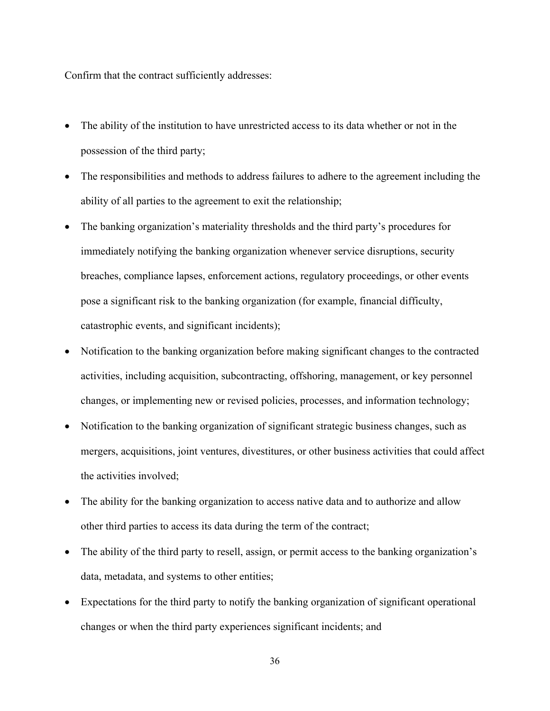Confirm that the contract sufficiently addresses:

- The ability of the institution to have unrestricted access to its data whether or not in the possession of the third party;
- The responsibilities and methods to address failures to adhere to the agreement including the ability of all parties to the agreement to exit the relationship;
- The banking organization's materiality thresholds and the third party's procedures for immediately notifying the banking organization whenever service disruptions, security breaches, compliance lapses, enforcement actions, regulatory proceedings, or other events pose a significant risk to the banking organization (for example, financial difficulty, catastrophic events, and significant incidents);
- Notification to the banking organization before making significant changes to the contracted activities, including acquisition, subcontracting, offshoring, management, or key personnel changes, or implementing new or revised policies, processes, and information technology;
- Notification to the banking organization of significant strategic business changes, such as mergers, acquisitions, joint ventures, divestitures, or other business activities that could affect the activities involved;
- The ability for the banking organization to access native data and to authorize and allow other third parties to access its data during the term of the contract;
- The ability of the third party to resell, assign, or permit access to the banking organization's data, metadata, and systems to other entities;
- Expectations for the third party to notify the banking organization of significant operational changes or when the third party experiences significant incidents; and

36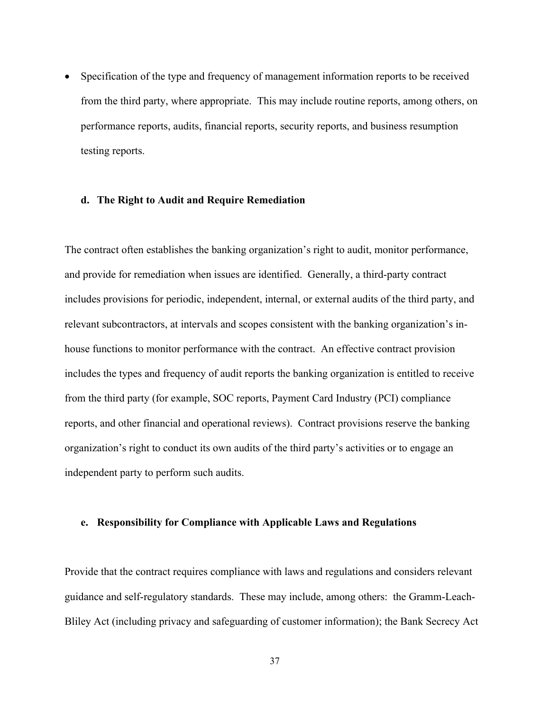• Specification of the type and frequency of management information reports to be received from the third party, where appropriate. This may include routine reports, among others, on performance reports, audits, financial reports, security reports, and business resumption testing reports.

#### **d. The Right to Audit and Require Remediation**

The contract often establishes the banking organization's right to audit, monitor performance, and provide for remediation when issues are identified. Generally, a third-party contract includes provisions for periodic, independent, internal, or external audits of the third party, and relevant subcontractors, at intervals and scopes consistent with the banking organization's inhouse functions to monitor performance with the contract. An effective contract provision includes the types and frequency of audit reports the banking organization is entitled to receive from the third party (for example, SOC reports, Payment Card Industry (PCI) compliance reports, and other financial and operational reviews). Contract provisions reserve the banking organization's right to conduct its own audits of the third party's activities or to engage an independent party to perform such audits.

### **e. Responsibility for Compliance with Applicable Laws and Regulations**

Provide that the contract requires compliance with laws and regulations and considers relevant guidance and self-regulatory standards. These may include, among others: the Gramm-Leach-Bliley Act (including privacy and safeguarding of customer information); the Bank Secrecy Act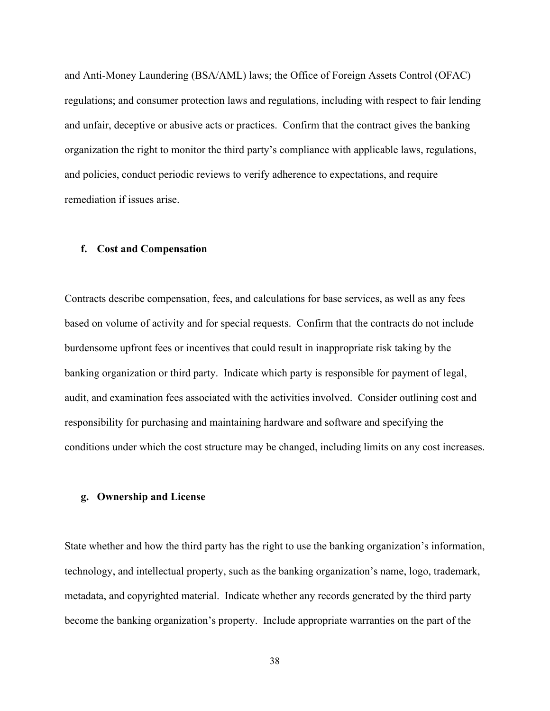and Anti-Money Laundering (BSA/AML) laws; the Office of Foreign Assets Control (OFAC) regulations; and consumer protection laws and regulations, including with respect to fair lending and unfair, deceptive or abusive acts or practices. Confirm that the contract gives the banking organization the right to monitor the third party's compliance with applicable laws, regulations, and policies, conduct periodic reviews to verify adherence to expectations, and require remediation if issues arise.

# **f. Cost and Compensation**

Contracts describe compensation, fees, and calculations for base services, as well as any fees based on volume of activity and for special requests. Confirm that the contracts do not include burdensome upfront fees or incentives that could result in inappropriate risk taking by the banking organization or third party. Indicate which party is responsible for payment of legal, audit, and examination fees associated with the activities involved. Consider outlining cost and responsibility for purchasing and maintaining hardware and software and specifying the conditions under which the cost structure may be changed, including limits on any cost increases.

#### **g. Ownership and License**

State whether and how the third party has the right to use the banking organization's information, technology, and intellectual property, such as the banking organization's name, logo, trademark, metadata, and copyrighted material. Indicate whether any records generated by the third party become the banking organization's property. Include appropriate warranties on the part of the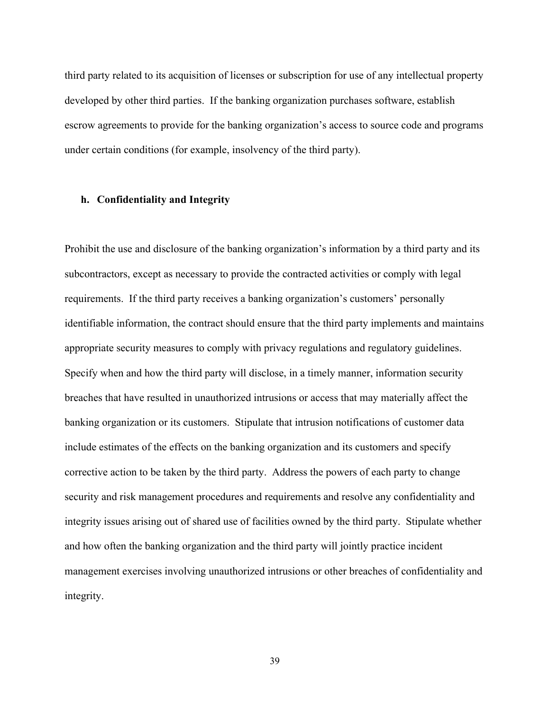third party related to its acquisition of licenses or subscription for use of any intellectual property developed by other third parties. If the banking organization purchases software, establish escrow agreements to provide for the banking organization's access to source code and programs under certain conditions (for example, insolvency of the third party).

### **h. Confidentiality and Integrity**

Prohibit the use and disclosure of the banking organization's information by a third party and its subcontractors, except as necessary to provide the contracted activities or comply with legal requirements. If the third party receives a banking organization's customers' personally identifiable information, the contract should ensure that the third party implements and maintains appropriate security measures to comply with privacy regulations and regulatory guidelines. Specify when and how the third party will disclose, in a timely manner, information security breaches that have resulted in unauthorized intrusions or access that may materially affect the banking organization or its customers. Stipulate that intrusion notifications of customer data include estimates of the effects on the banking organization and its customers and specify corrective action to be taken by the third party. Address the powers of each party to change security and risk management procedures and requirements and resolve any confidentiality and integrity issues arising out of shared use of facilities owned by the third party. Stipulate whether and how often the banking organization and the third party will jointly practice incident management exercises involving unauthorized intrusions or other breaches of confidentiality and integrity.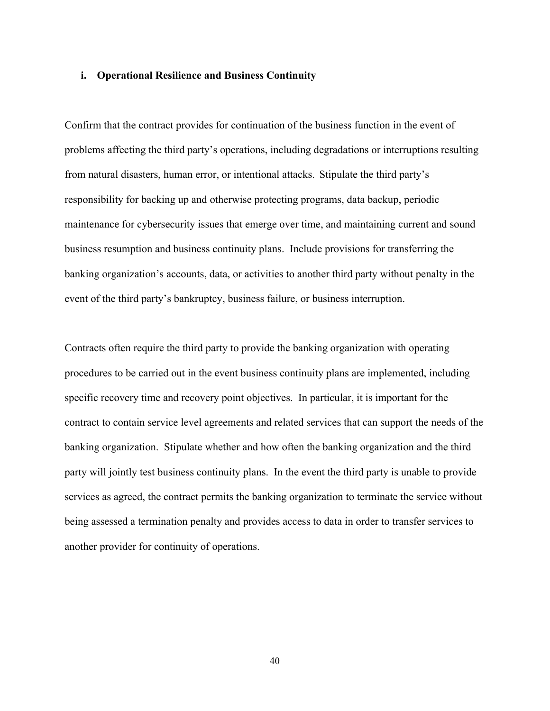#### **i. Operational Resilience and Business Continuity**

Confirm that the contract provides for continuation of the business function in the event of problems affecting the third party's operations, including degradations or interruptions resulting from natural disasters, human error, or intentional attacks. Stipulate the third party's responsibility for backing up and otherwise protecting programs, data backup, periodic maintenance for cybersecurity issues that emerge over time, and maintaining current and sound business resumption and business continuity plans. Include provisions for transferring the banking organization's accounts, data, or activities to another third party without penalty in the event of the third party's bankruptcy, business failure, or business interruption.

Contracts often require the third party to provide the banking organization with operating procedures to be carried out in the event business continuity plans are implemented, including specific recovery time and recovery point objectives. In particular, it is important for the contract to contain service level agreements and related services that can support the needs of the banking organization. Stipulate whether and how often the banking organization and the third party will jointly test business continuity plans. In the event the third party is unable to provide services as agreed, the contract permits the banking organization to terminate the service without being assessed a termination penalty and provides access to data in order to transfer services to another provider for continuity of operations.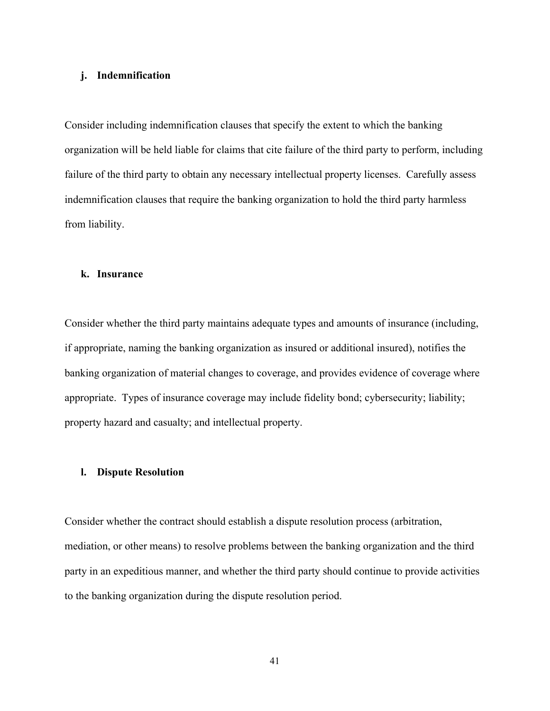# **j. Indemnification**

Consider including indemnification clauses that specify the extent to which the banking organization will be held liable for claims that cite failure of the third party to perform, including failure of the third party to obtain any necessary intellectual property licenses. Carefully assess indemnification clauses that require the banking organization to hold the third party harmless from liability.

#### **k. Insurance**

Consider whether the third party maintains adequate types and amounts of insurance (including, if appropriate, naming the banking organization as insured or additional insured), notifies the banking organization of material changes to coverage, and provides evidence of coverage where appropriate. Types of insurance coverage may include fidelity bond; cybersecurity; liability; property hazard and casualty; and intellectual property.

### **l. Dispute Resolution**

Consider whether the contract should establish a dispute resolution process (arbitration, mediation, or other means) to resolve problems between the banking organization and the third party in an expeditious manner, and whether the third party should continue to provide activities to the banking organization during the dispute resolution period.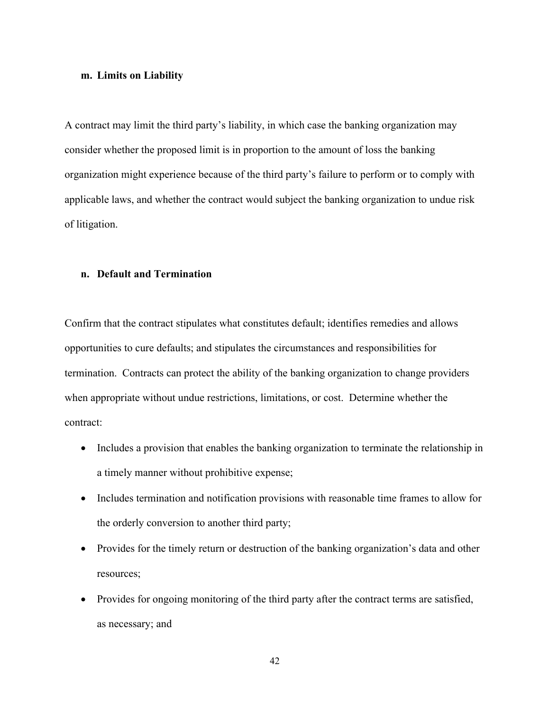#### **m. Limits on Liability**

A contract may limit the third party's liability, in which case the banking organization may consider whether the proposed limit is in proportion to the amount of loss the banking organization might experience because of the third party's failure to perform or to comply with applicable laws, and whether the contract would subject the banking organization to undue risk of litigation.

# **n. Default and Termination**

Confirm that the contract stipulates what constitutes default; identifies remedies and allows opportunities to cure defaults; and stipulates the circumstances and responsibilities for termination. Contracts can protect the ability of the banking organization to change providers when appropriate without undue restrictions, limitations, or cost. Determine whether the contract:

- Includes a provision that enables the banking organization to terminate the relationship in a timely manner without prohibitive expense;
- Includes termination and notification provisions with reasonable time frames to allow for the orderly conversion to another third party;
- Provides for the timely return or destruction of the banking organization's data and other resources;
- Provides for ongoing monitoring of the third party after the contract terms are satisfied, as necessary; and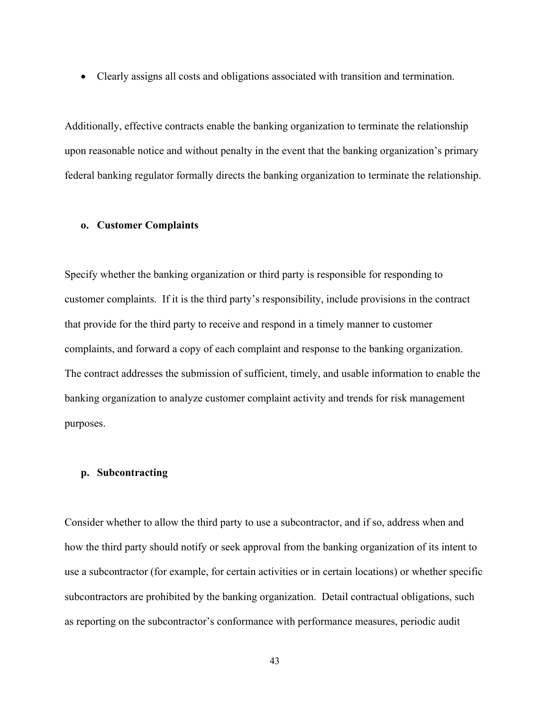• Clearly assigns all costs and obligations associated with transition and termination.

Additionally, effective contracts enable the banking organization to terminate the relationship upon reasonable notice and without penalty in the event that the banking organization's primary federal banking regulator formally directs the banking organization to terminate the relationship.

#### **o. Customer Complaints**

Specify whether the banking organization or third party is responsible for responding to customer complaints. If it is the third party's responsibility, include provisions in the contract that provide for the third party to receive and respond in a timely manner to customer complaints, and forward a copy of each complaint and response to the banking organization. The contract addresses the submission of sufficient, timely, and usable information to enable the banking organization to analyze customer complaint activity and trends for risk management purposes.

#### **p. Subcontracting**

Consider whether to allow the third party to use a subcontractor, and if so, address when and how the third party should notify or seek approval from the banking organization of its intent to use a subcontractor (for example, for certain activities or in certain locations) or whether specific subcontractors are prohibited by the banking organization. Detail contractual obligations, such as reporting on the subcontractor's conformance with performance measures, periodic audit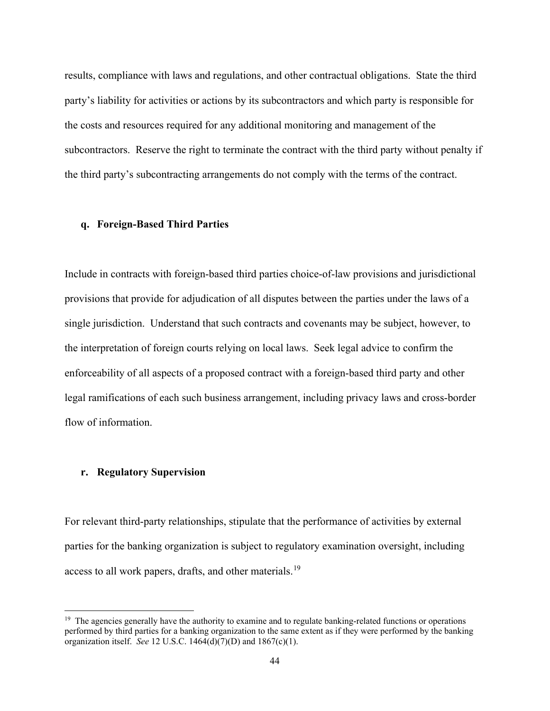results, compliance with laws and regulations, and other contractual obligations. State the third party's liability for activities or actions by its subcontractors and which party is responsible for the costs and resources required for any additional monitoring and management of the subcontractors. Reserve the right to terminate the contract with the third party without penalty if the third party's subcontracting arrangements do not comply with the terms of the contract.

### **q. Foreign-Based Third Parties**

Include in contracts with foreign-based third parties choice-of-law provisions and jurisdictional provisions that provide for adjudication of all disputes between the parties under the laws of a single jurisdiction. Understand that such contracts and covenants may be subject, however, to the interpretation of foreign courts relying on local laws. Seek legal advice to confirm the enforceability of all aspects of a proposed contract with a foreign-based third party and other legal ramifications of each such business arrangement, including privacy laws and cross-border flow of information.

### **r. Regulatory Supervision**

For relevant third-party relationships, stipulate that the performance of activities by external parties for the banking organization is subject to regulatory examination oversight, including access to all work papers, drafts, and other materials.<sup>[19](#page-43-0)</sup>

<span id="page-43-0"></span> $19$  The agencies generally have the authority to examine and to regulate banking-related functions or operations performed by third parties for a banking organization to the same extent as if they were performed by the banking organization itself. *See* 12 U.S.C. 1464(d)(7)(D) and 1867(c)(1).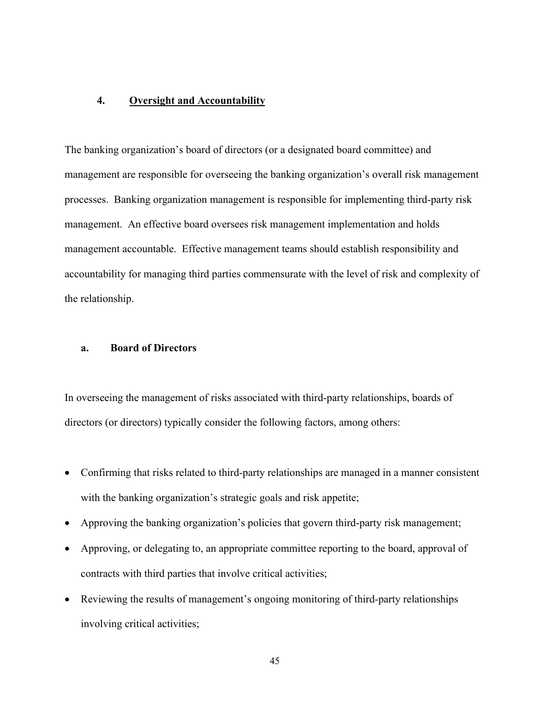# **4. Oversight and Accountability**

The banking organization's board of directors (or a designated board committee) and management are responsible for overseeing the banking organization's overall risk management processes. Banking organization management is responsible for implementing third-party risk management. An effective board oversees risk management implementation and holds management accountable. Effective management teams should establish responsibility and accountability for managing third parties commensurate with the level of risk and complexity of the relationship.

# **a. Board of Directors**

In overseeing the management of risks associated with third-party relationships, boards of directors (or directors) typically consider the following factors, among others:

- Confirming that risks related to third-party relationships are managed in a manner consistent with the banking organization's strategic goals and risk appetite;
- Approving the banking organization's policies that govern third-party risk management;
- Approving, or delegating to, an appropriate committee reporting to the board, approval of contracts with third parties that involve critical activities;
- Reviewing the results of management's ongoing monitoring of third-party relationships involving critical activities;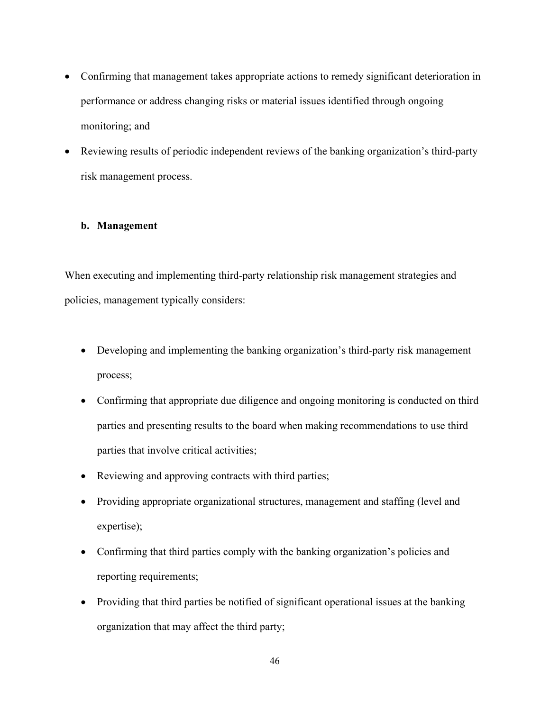- Confirming that management takes appropriate actions to remedy significant deterioration in performance or address changing risks or material issues identified through ongoing monitoring; and
- Reviewing results of periodic independent reviews of the banking organization's third-party risk management process.

# **b. Management**

When executing and implementing third-party relationship risk management strategies and policies, management typically considers:

- Developing and implementing the banking organization's third-party risk management process;
- Confirming that appropriate due diligence and ongoing monitoring is conducted on third parties and presenting results to the board when making recommendations to use third parties that involve critical activities;
- Reviewing and approving contracts with third parties;
- Providing appropriate organizational structures, management and staffing (level and expertise);
- Confirming that third parties comply with the banking organization's policies and reporting requirements;
- Providing that third parties be notified of significant operational issues at the banking organization that may affect the third party;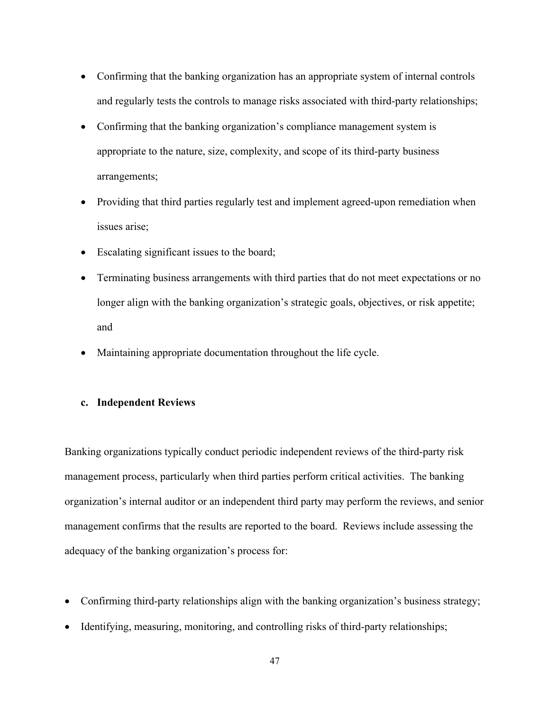- Confirming that the banking organization has an appropriate system of internal controls and regularly tests the controls to manage risks associated with third-party relationships;
- Confirming that the banking organization's compliance management system is appropriate to the nature, size, complexity, and scope of its third-party business arrangements;
- Providing that third parties regularly test and implement agreed-upon remediation when issues arise;
- Escalating significant issues to the board;
- Terminating business arrangements with third parties that do not meet expectations or no longer align with the banking organization's strategic goals, objectives, or risk appetite; and
- Maintaining appropriate documentation throughout the life cycle.

# **c. Independent Reviews**

Banking organizations typically conduct periodic independent reviews of the third-party risk management process, particularly when third parties perform critical activities. The banking organization's internal auditor or an independent third party may perform the reviews, and senior management confirms that the results are reported to the board. Reviews include assessing the adequacy of the banking organization's process for:

- Confirming third-party relationships align with the banking organization's business strategy;
- Identifying, measuring, monitoring, and controlling risks of third-party relationships;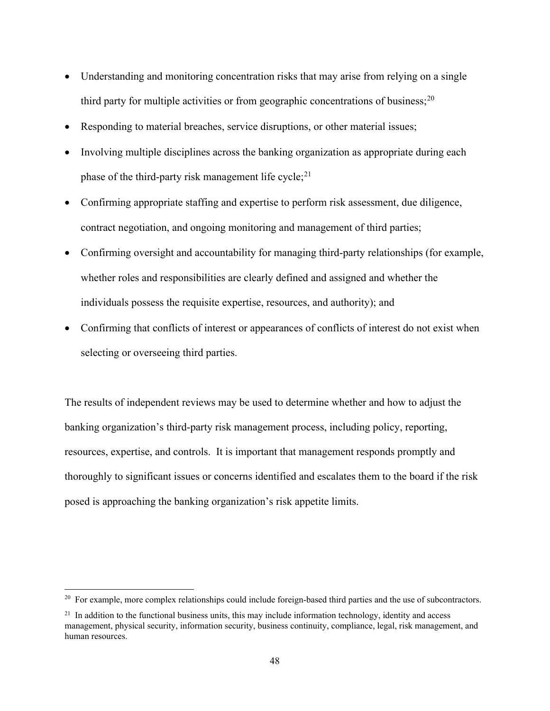- Understanding and monitoring concentration risks that may arise from relying on a single third party for multiple activities or from geographic concentrations of business;<sup>[20](#page-47-0)</sup>
- Responding to material breaches, service disruptions, or other material issues;
- Involving multiple disciplines across the banking organization as appropriate during each phase of the third-party risk management life cycle; $^{21}$  $^{21}$  $^{21}$
- Confirming appropriate staffing and expertise to perform risk assessment, due diligence, contract negotiation, and ongoing monitoring and management of third parties;
- Confirming oversight and accountability for managing third-party relationships (for example, whether roles and responsibilities are clearly defined and assigned and whether the individuals possess the requisite expertise, resources, and authority); and
- Confirming that conflicts of interest or appearances of conflicts of interest do not exist when selecting or overseeing third parties.

The results of independent reviews may be used to determine whether and how to adjust the banking organization's third-party risk management process, including policy, reporting, resources, expertise, and controls. It is important that management responds promptly and thoroughly to significant issues or concerns identified and escalates them to the board if the risk posed is approaching the banking organization's risk appetite limits.

<span id="page-47-0"></span><sup>&</sup>lt;sup>20</sup> For example, more complex relationships could include foreign-based third parties and the use of subcontractors.

<span id="page-47-1"></span> $^{21}$  In addition to the functional business units, this may include information technology, identity and access management, physical security, information security, business continuity, compliance, legal, risk management, and human resources.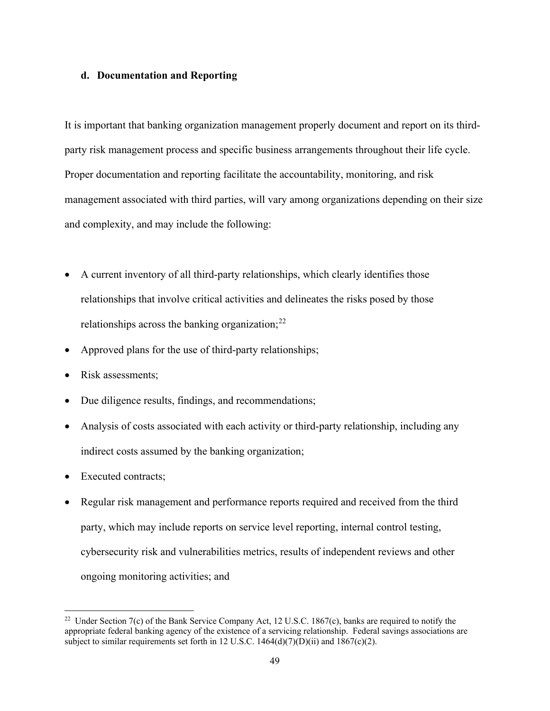### **d. Documentation and Reporting**

It is important that banking organization management properly document and report on its thirdparty risk management process and specific business arrangements throughout their life cycle. Proper documentation and reporting facilitate the accountability, monitoring, and risk management associated with third parties, will vary among organizations depending on their size and complexity, and may include the following:

- A current inventory of all third-party relationships, which clearly identifies those relationships that involve critical activities and delineates the risks posed by those relationships across the banking organization; $^{22}$  $^{22}$  $^{22}$
- Approved plans for the use of third-party relationships;
- Risk assessments;
- Due diligence results, findings, and recommendations;
- Analysis of costs associated with each activity or third-party relationship, including any indirect costs assumed by the banking organization;
- Executed contracts:
- Regular risk management and performance reports required and received from the third party, which may include reports on service level reporting, internal control testing, cybersecurity risk and vulnerabilities metrics, results of independent reviews and other ongoing monitoring activities; and

<span id="page-48-0"></span><sup>&</sup>lt;sup>22</sup> Under Section 7(c) of the Bank Service Company Act, 12 U.S.C. 1867(c), banks are required to notify the appropriate federal banking agency of the existence of a servicing relationship. Federal savings associations are subject to similar requirements set forth in 12 U.S.C. 1464(d)(7)(D)(ii) and 1867(c)(2).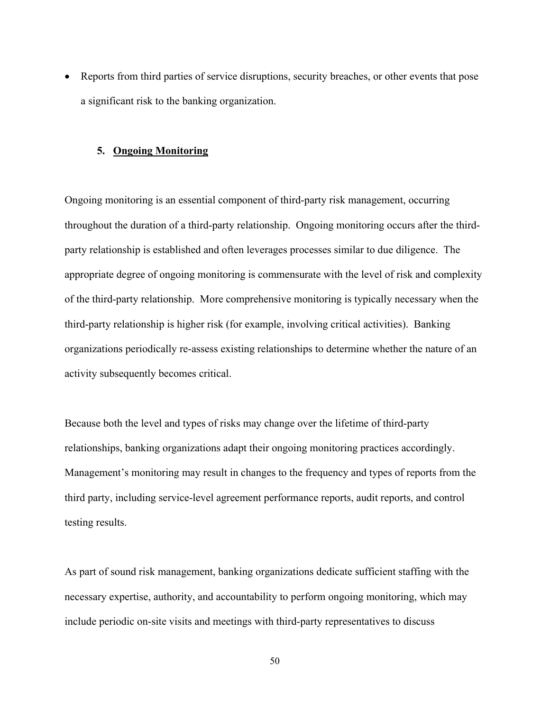• Reports from third parties of service disruptions, security breaches, or other events that pose a significant risk to the banking organization.

## **5. Ongoing Monitoring**

Ongoing monitoring is an essential component of third-party risk management, occurring throughout the duration of a third-party relationship. Ongoing monitoring occurs after the thirdparty relationship is established and often leverages processes similar to due diligence. The appropriate degree of ongoing monitoring is commensurate with the level of risk and complexity of the third-party relationship. More comprehensive monitoring is typically necessary when the third-party relationship is higher risk (for example, involving critical activities). Banking organizations periodically re-assess existing relationships to determine whether the nature of an activity subsequently becomes critical.

Because both the level and types of risks may change over the lifetime of third-party relationships, banking organizations adapt their ongoing monitoring practices accordingly. Management's monitoring may result in changes to the frequency and types of reports from the third party, including service-level agreement performance reports, audit reports, and control testing results.

As part of sound risk management, banking organizations dedicate sufficient staffing with the necessary expertise, authority, and accountability to perform ongoing monitoring, which may include periodic on-site visits and meetings with third-party representatives to discuss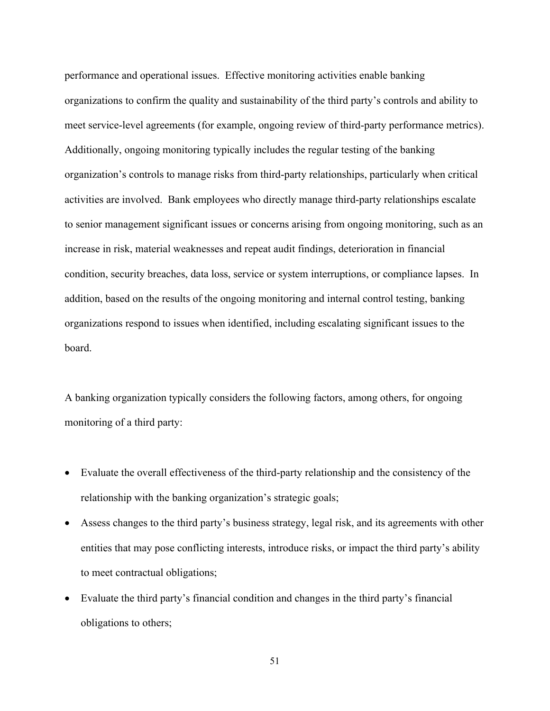performance and operational issues. Effective monitoring activities enable banking organizations to confirm the quality and sustainability of the third party's controls and ability to meet service-level agreements (for example, ongoing review of third-party performance metrics). Additionally, ongoing monitoring typically includes the regular testing of the banking organization's controls to manage risks from third-party relationships, particularly when critical activities are involved. Bank employees who directly manage third-party relationships escalate to senior management significant issues or concerns arising from ongoing monitoring, such as an increase in risk, material weaknesses and repeat audit findings, deterioration in financial condition, security breaches, data loss, service or system interruptions, or compliance lapses. In addition, based on the results of the ongoing monitoring and internal control testing, banking organizations respond to issues when identified, including escalating significant issues to the board.

A banking organization typically considers the following factors, among others, for ongoing monitoring of a third party:

- Evaluate the overall effectiveness of the third-party relationship and the consistency of the relationship with the banking organization's strategic goals;
- Assess changes to the third party's business strategy, legal risk, and its agreements with other entities that may pose conflicting interests, introduce risks, or impact the third party's ability to meet contractual obligations;
- Evaluate the third party's financial condition and changes in the third party's financial obligations to others;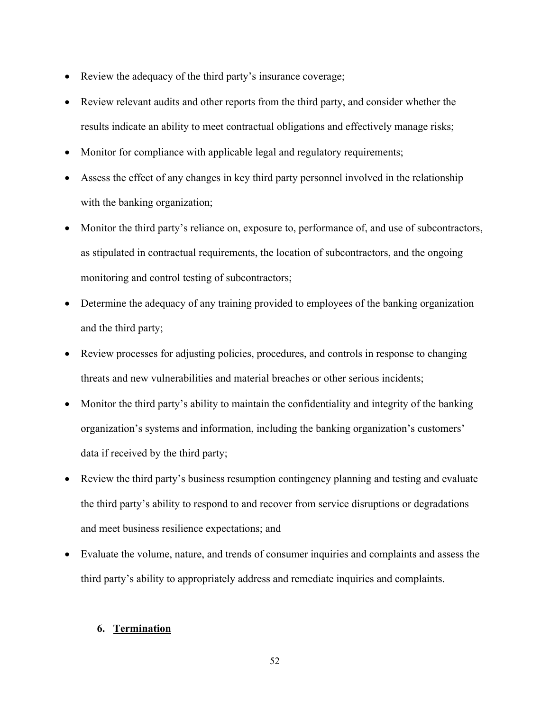- Review the adequacy of the third party's insurance coverage;
- Review relevant audits and other reports from the third party, and consider whether the results indicate an ability to meet contractual obligations and effectively manage risks;
- Monitor for compliance with applicable legal and regulatory requirements;
- Assess the effect of any changes in key third party personnel involved in the relationship with the banking organization;
- Monitor the third party's reliance on, exposure to, performance of, and use of subcontractors, as stipulated in contractual requirements, the location of subcontractors, and the ongoing monitoring and control testing of subcontractors;
- Determine the adequacy of any training provided to employees of the banking organization and the third party;
- Review processes for adjusting policies, procedures, and controls in response to changing threats and new vulnerabilities and material breaches or other serious incidents;
- Monitor the third party's ability to maintain the confidentiality and integrity of the banking organization's systems and information, including the banking organization's customers' data if received by the third party;
- Review the third party's business resumption contingency planning and testing and evaluate the third party's ability to respond to and recover from service disruptions or degradations and meet business resilience expectations; and
- Evaluate the volume, nature, and trends of consumer inquiries and complaints and assess the third party's ability to appropriately address and remediate inquiries and complaints.

# **6. Termination**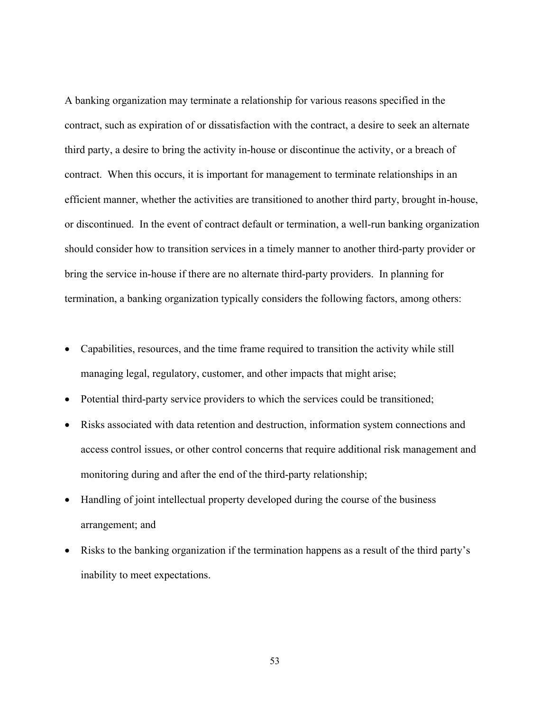A banking organization may terminate a relationship for various reasons specified in the contract, such as expiration of or dissatisfaction with the contract, a desire to seek an alternate third party, a desire to bring the activity in-house or discontinue the activity, or a breach of contract. When this occurs, it is important for management to terminate relationships in an efficient manner, whether the activities are transitioned to another third party, brought in-house, or discontinued. In the event of contract default or termination, a well-run banking organization should consider how to transition services in a timely manner to another third-party provider or bring the service in-house if there are no alternate third-party providers. In planning for termination, a banking organization typically considers the following factors, among others:

- Capabilities, resources, and the time frame required to transition the activity while still managing legal, regulatory, customer, and other impacts that might arise;
- Potential third-party service providers to which the services could be transitioned;
- Risks associated with data retention and destruction, information system connections and access control issues, or other control concerns that require additional risk management and monitoring during and after the end of the third-party relationship;
- Handling of joint intellectual property developed during the course of the business arrangement; and
- Risks to the banking organization if the termination happens as a result of the third party's inability to meet expectations.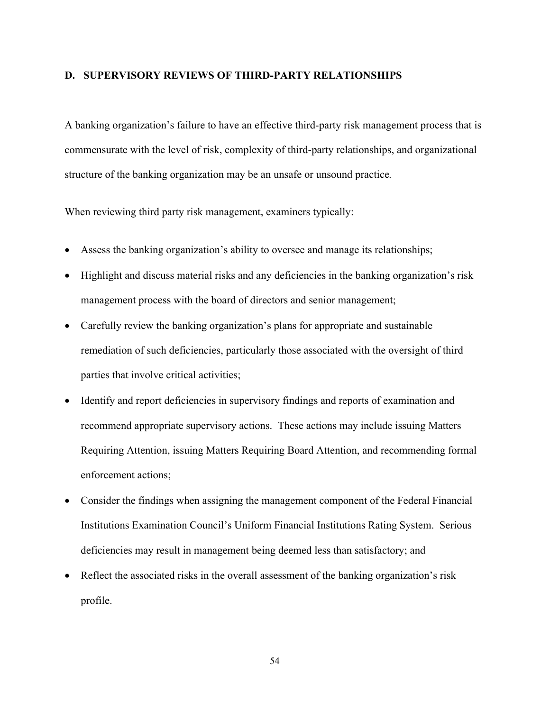## **D. SUPERVISORY REVIEWS OF THIRD-PARTY RELATIONSHIPS**

A banking organization's failure to have an effective third-party risk management process that is commensurate with the level of risk, complexity of third-party relationships, and organizational structure of the banking organization may be an unsafe or unsound practice*.* 

When reviewing third party risk management, examiners typically:

- Assess the banking organization's ability to oversee and manage its relationships;
- Highlight and discuss material risks and any deficiencies in the banking organization's risk management process with the board of directors and senior management;
- Carefully review the banking organization's plans for appropriate and sustainable remediation of such deficiencies, particularly those associated with the oversight of third parties that involve critical activities;
- Identify and report deficiencies in supervisory findings and reports of examination and recommend appropriate supervisory actions. These actions may include issuing Matters Requiring Attention, issuing Matters Requiring Board Attention, and recommending formal enforcement actions;
- Consider the findings when assigning the management component of the Federal Financial Institutions Examination Council's Uniform Financial Institutions Rating System. Serious deficiencies may result in management being deemed less than satisfactory; and
- Reflect the associated risks in the overall assessment of the banking organization's risk profile.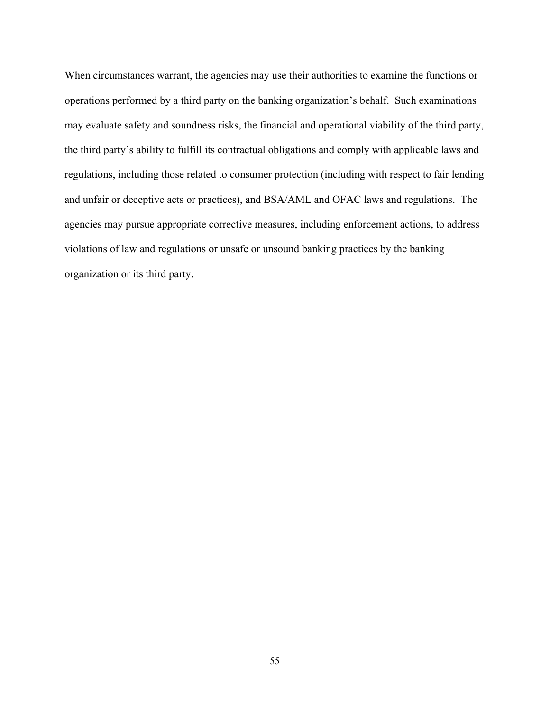When circumstances warrant, the agencies may use their authorities to examine the functions or operations performed by a third party on the banking organization's behalf. Such examinations may evaluate safety and soundness risks, the financial and operational viability of the third party, the third party's ability to fulfill its contractual obligations and comply with applicable laws and regulations, including those related to consumer protection (including with respect to fair lending and unfair or deceptive acts or practices), and BSA/AML and OFAC laws and regulations. The agencies may pursue appropriate corrective measures, including enforcement actions, to address violations of law and regulations or unsafe or unsound banking practices by the banking organization or its third party.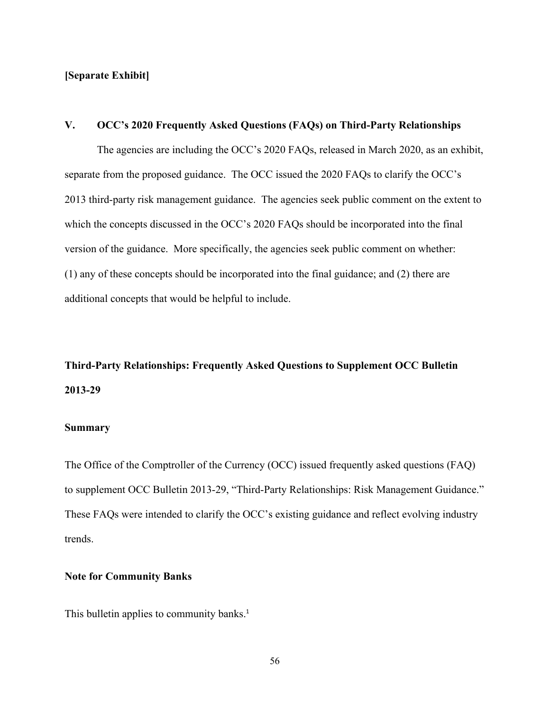## **[Separate Exhibit]**

## **V. OCC's 2020 Frequently Asked Questions (FAQs) on Third-Party Relationships**

The agencies are including the OCC's 2020 FAQs, released in March 2020, as an exhibit, separate from the proposed guidance. The OCC issued the 2020 FAQs to clarify the OCC's 2013 third-party risk management guidance. The agencies seek public comment on the extent to which the concepts discussed in the OCC's 2020 FAQs should be incorporated into the final version of the guidance. More specifically, the agencies seek public comment on whether: (1) any of these concepts should be incorporated into the final guidance; and (2) there are additional concepts that would be helpful to include.

# **Third-Party Relationships: Frequently Asked Questions to Supplement OCC Bulletin 2013-29**

# **Summary**

The Office of the Comptroller of the Currency (OCC) issued frequently asked questions (FAQ) to supplement OCC Bulletin 2013-29, "Third-Party Relationships: Risk Management Guidance." These FAQs were intended to clarify the OCC's existing guidance and reflect evolving industry trends.

### **Note for Community Banks**

This bulletin applies to community banks.<sup>1</sup>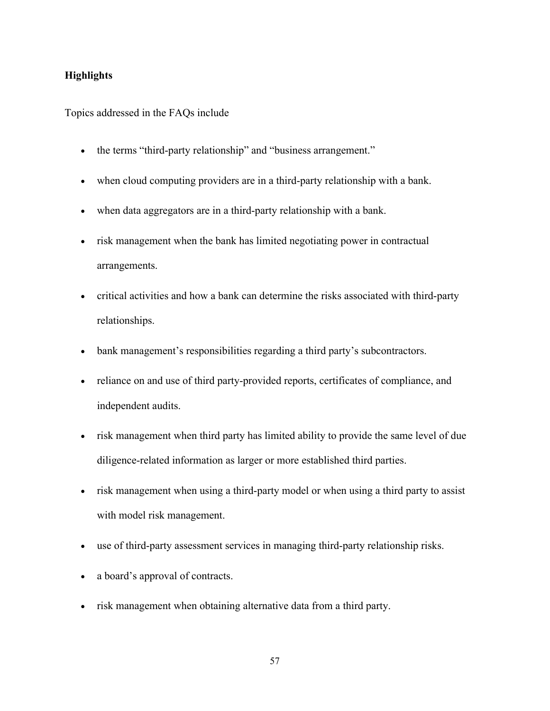# **Highlights**

Topics addressed in the FAQs include

- the terms "third-party relationship" and "business arrangement."
- when cloud computing providers are in a third-party relationship with a bank.
- when data aggregators are in a third-party relationship with a bank.
- risk management when the bank has limited negotiating power in contractual arrangements.
- critical activities and how a bank can determine the risks associated with third-party relationships.
- bank management's responsibilities regarding a third party's subcontractors.
- reliance on and use of third party-provided reports, certificates of compliance, and independent audits.
- risk management when third party has limited ability to provide the same level of due diligence-related information as larger or more established third parties.
- risk management when using a third-party model or when using a third party to assist with model risk management.
- use of third-party assessment services in managing third-party relationship risks.
- a board's approval of contracts.
- risk management when obtaining alternative data from a third party.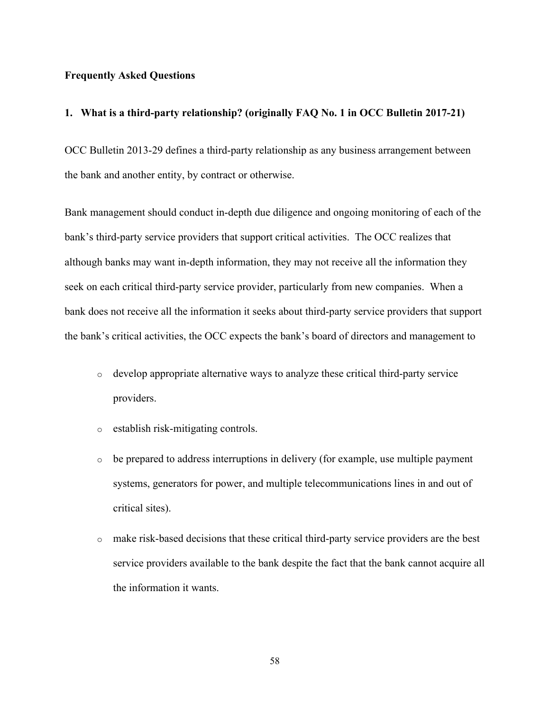### **Frequently Asked Questions**

#### **1. What is a third-party relationship? (originally FAQ No. 1 in OCC Bulletin 2017-21)**

OCC Bulletin 2013-29 defines a third-party relationship as any business arrangement between the bank and another entity, by contract or otherwise.

Bank management should conduct in-depth due diligence and ongoing monitoring of each of the bank's third-party service providers that support critical activities. The OCC realizes that although banks may want in-depth information, they may not receive all the information they seek on each critical third-party service provider, particularly from new companies. When a bank does not receive all the information it seeks about third-party service providers that support the bank's critical activities, the OCC expects the bank's board of directors and management to

- o develop appropriate alternative ways to analyze these critical third-party service providers.
- o establish risk-mitigating controls.
- o be prepared to address interruptions in delivery (for example, use multiple payment systems, generators for power, and multiple telecommunications lines in and out of critical sites).
- o make risk-based decisions that these critical third-party service providers are the best service providers available to the bank despite the fact that the bank cannot acquire all the information it wants.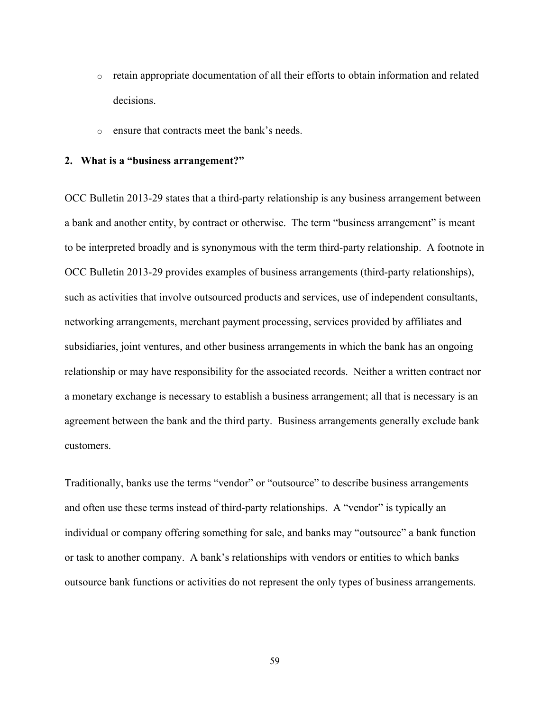- $\circ$  retain appropriate documentation of all their efforts to obtain information and related decisions.
- o ensure that contracts meet the bank's needs.

#### **2. What is a "business arrangement?"**

OCC Bulletin 2013-29 states that a third-party relationship is any business arrangement between a bank and another entity, by contract or otherwise. The term "business arrangement" is meant to be interpreted broadly and is synonymous with the term third-party relationship. A footnote in OCC Bulletin 2013-29 provides examples of business arrangements (third-party relationships), such as activities that involve outsourced products and services, use of independent consultants, networking arrangements, merchant payment processing, services provided by affiliates and subsidiaries, joint ventures, and other business arrangements in which the bank has an ongoing relationship or may have responsibility for the associated records. Neither a written contract nor a monetary exchange is necessary to establish a business arrangement; all that is necessary is an agreement between the bank and the third party. Business arrangements generally exclude bank customers.

Traditionally, banks use the terms "vendor" or "outsource" to describe business arrangements and often use these terms instead of third-party relationships. A "vendor" is typically an individual or company offering something for sale, and banks may "outsource" a bank function or task to another company. A bank's relationships with vendors or entities to which banks outsource bank functions or activities do not represent the only types of business arrangements.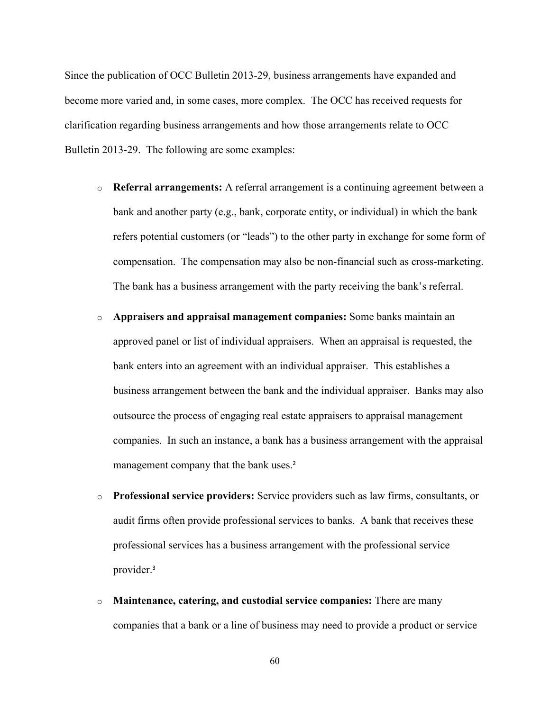Since the publication of OCC Bulletin 2013-29, business arrangements have expanded and become more varied and, in some cases, more complex. The OCC has received requests for clarification regarding business arrangements and how those arrangements relate to OCC Bulletin 2013-29. The following are some examples:

- o **Referral arrangements:** A referral arrangement is a continuing agreement between a bank and another party (e.g., bank, corporate entity, or individual) in which the bank refers potential customers (or "leads") to the other party in exchange for some form of compensation. The compensation may also be non-financial such as cross-marketing. The bank has a business arrangement with the party receiving the bank's referral.
- o **Appraisers and appraisal management companies:** Some banks maintain an approved panel or list of individual appraisers. When an appraisal is requested, the bank enters into an agreement with an individual appraiser. This establishes a business arrangement between the bank and the individual appraiser. Banks may also outsource the process of engaging real estate appraisers to appraisal management companies. In such an instance, a bank has a business arrangement with the appraisal management company that the bank uses.<sup>2</sup>
- o **Professional service providers:** Service providers such as law firms, consultants, or audit firms often provide professional services to banks. A bank that receives these professional services has a business arrangement with the professional service provider. 3
- o **Maintenance, catering, and custodial service companies:** There are many companies that a bank or a line of business may need to provide a product or service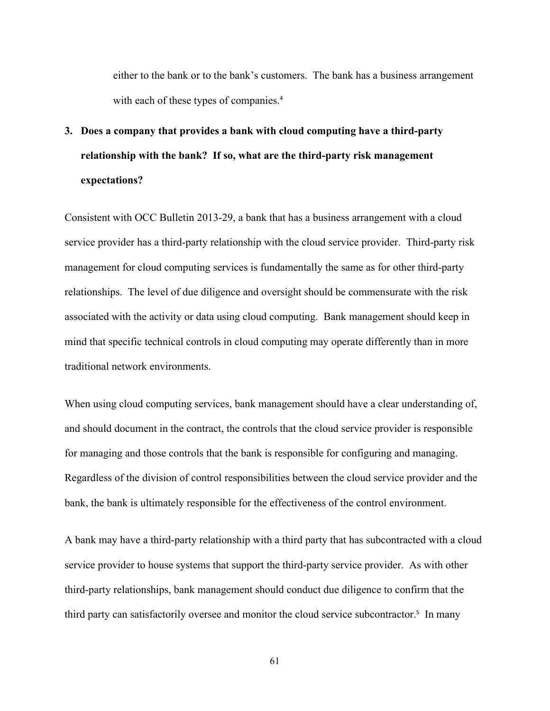either to the bank or to the bank's customers. The bank has a business arrangement with each of these types of companies. 4

# **3. Does a company that provides a bank with cloud computing have a third-party relationship with the bank? If so, what are the third-party risk management expectations?**

Consistent with OCC Bulletin 2013-29, a bank that has a business arrangement with a cloud service provider has a third-party relationship with the cloud service provider. Third-party risk management for cloud computing services is fundamentally the same as for other third-party relationships. The level of due diligence and oversight should be commensurate with the risk associated with the activity or data using cloud computing. Bank management should keep in mind that specific technical controls in cloud computing may operate differently than in more traditional network environments.

When using cloud computing services, bank management should have a clear understanding of, and should document in the contract, the controls that the cloud service provider is responsible for managing and those controls that the bank is responsible for configuring and managing. Regardless of the division of control responsibilities between the cloud service provider and the bank, the bank is ultimately responsible for the effectiveness of the control environment.

A bank may have a third-party relationship with a third party that has subcontracted with a cloud service provider to house systems that support the third-party service provider. As with other third-party relationships, bank management should conduct due diligence to confirm that the third party can satisfactorily oversee and monitor the cloud service subcontractor. <sup>5</sup> In many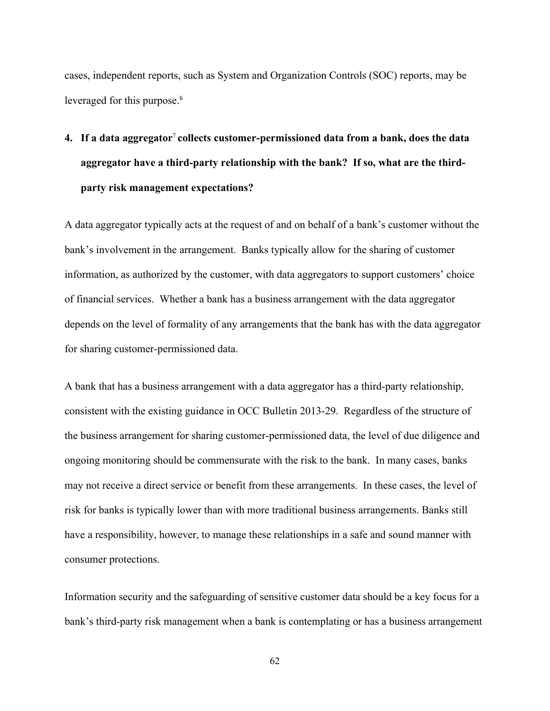cases, independent reports, such as System and Organization Controls (SOC) reports, may be leveraged for this purpose. 6

# **4. If a data aggregator**<sup>7</sup> **collects customer-permissioned data from a bank, does the data aggregator have a third-party relationship with the bank? If so, what are the thirdparty risk management expectations?**

A data aggregator typically acts at the request of and on behalf of a bank's customer without the bank's involvement in the arrangement. Banks typically allow for the sharing of customer information, as authorized by the customer, with data aggregators to support customers' choice of financial services. Whether a bank has a business arrangement with the data aggregator depends on the level of formality of any arrangements that the bank has with the data aggregator for sharing customer-permissioned data.

A bank that has a business arrangement with a data aggregator has a third-party relationship, consistent with the existing guidance in OCC Bulletin 2013-29. Regardless of the structure of the business arrangement for sharing customer-permissioned data, the level of due diligence and ongoing monitoring should be commensurate with the risk to the bank. In many cases, banks may not receive a direct service or benefit from these arrangements. In these cases, the level of risk for banks is typically lower than with more traditional business arrangements. Banks still have a responsibility, however, to manage these relationships in a safe and sound manner with consumer protections.

Information security and the safeguarding of sensitive customer data should be a key focus for a bank's third-party risk management when a bank is contemplating or has a business arrangement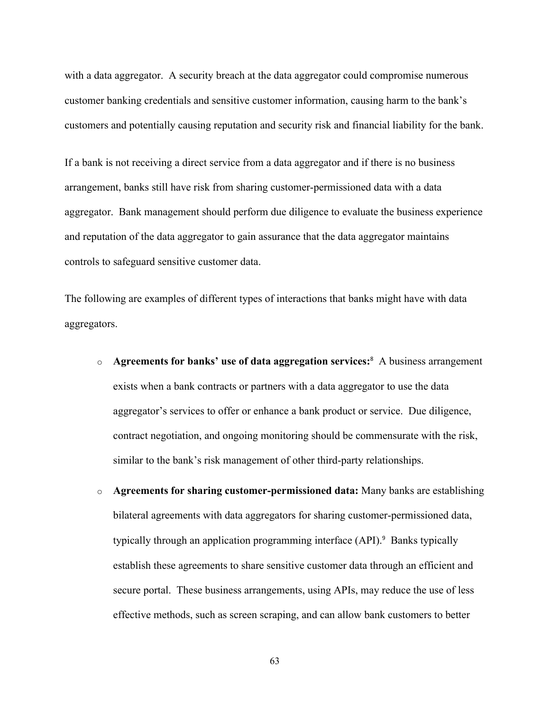with a data aggregator. A security breach at the data aggregator could compromise numerous customer banking credentials and sensitive customer information, causing harm to the bank's customers and potentially causing reputation and security risk and financial liability for the bank.

If a bank is not receiving a direct service from a data aggregator and if there is no business arrangement, banks still have risk from sharing customer-permissioned data with a data aggregator. Bank management should perform due diligence to evaluate the business experience and reputation of the data aggregator to gain assurance that the data aggregator maintains controls to safeguard sensitive customer data.

The following are examples of different types of interactions that banks might have with data aggregators.

- o **Agreements for banks' use of data aggregation services:**<sup>8</sup> A business arrangement exists when a bank contracts or partners with a data aggregator to use the data aggregator's services to offer or enhance a bank product or service. Due diligence, contract negotiation, and ongoing monitoring should be commensurate with the risk, similar to the bank's risk management of other third-party relationships.
- o **Agreements for sharing customer-permissioned data:** Many banks are establishing bilateral agreements with data aggregators for sharing customer-permissioned data, typically through an application programming interface (API).<sup>9</sup> Banks typically establish these agreements to share sensitive customer data through an efficient and secure portal. These business arrangements, using APIs, may reduce the use of less effective methods, such as screen scraping, and can allow bank customers to better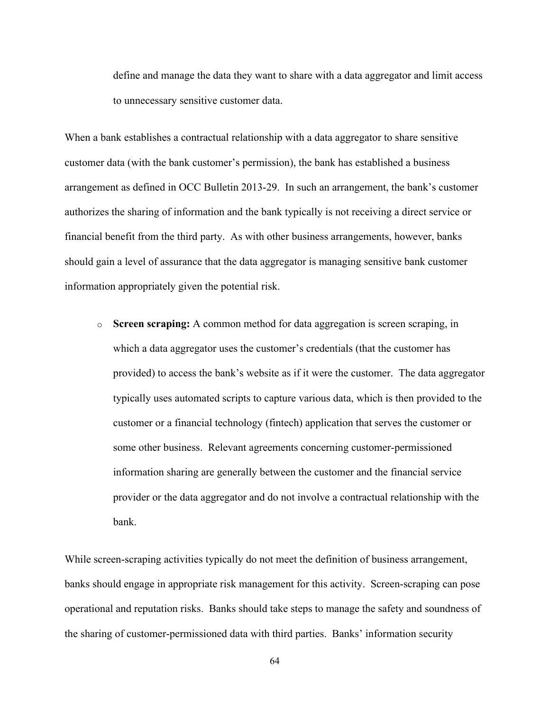define and manage the data they want to share with a data aggregator and limit access to unnecessary sensitive customer data.

When a bank establishes a contractual relationship with a data aggregator to share sensitive customer data (with the bank customer's permission), the bank has established a business arrangement as defined in OCC Bulletin 2013-29. In such an arrangement, the bank's customer authorizes the sharing of information and the bank typically is not receiving a direct service or financial benefit from the third party. As with other business arrangements, however, banks should gain a level of assurance that the data aggregator is managing sensitive bank customer information appropriately given the potential risk.

o **Screen scraping:** A common method for data aggregation is screen scraping, in which a data aggregator uses the customer's credentials (that the customer has provided) to access the bank's website as if it were the customer. The data aggregator typically uses automated scripts to capture various data, which is then provided to the customer or a financial technology (fintech) application that serves the customer or some other business. Relevant agreements concerning customer-permissioned information sharing are generally between the customer and the financial service provider or the data aggregator and do not involve a contractual relationship with the bank.

While screen-scraping activities typically do not meet the definition of business arrangement, banks should engage in appropriate risk management for this activity. Screen-scraping can pose operational and reputation risks. Banks should take steps to manage the safety and soundness of the sharing of customer-permissioned data with third parties. Banks' information security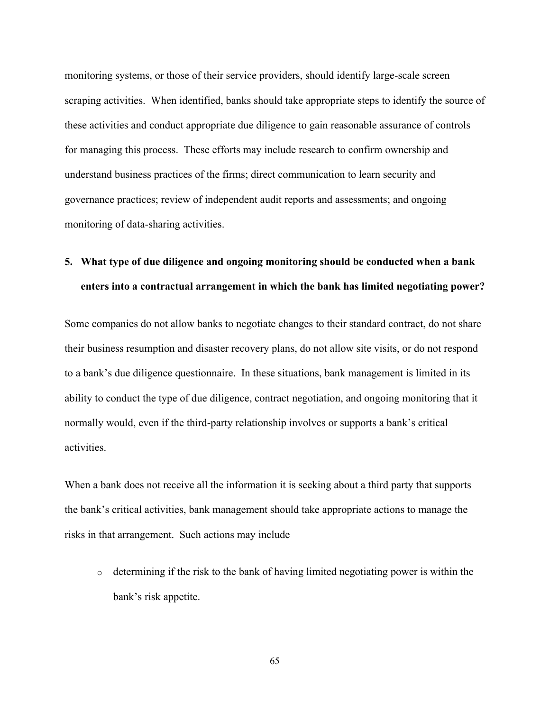monitoring systems, or those of their service providers, should identify large-scale screen scraping activities. When identified, banks should take appropriate steps to identify the source of these activities and conduct appropriate due diligence to gain reasonable assurance of controls for managing this process. These efforts may include research to confirm ownership and understand business practices of the firms; direct communication to learn security and governance practices; review of independent audit reports and assessments; and ongoing monitoring of data-sharing activities.

# **5. What type of due diligence and ongoing monitoring should be conducted when a bank enters into a contractual arrangement in which the bank has limited negotiating power?**

Some companies do not allow banks to negotiate changes to their standard contract, do not share their business resumption and disaster recovery plans, do not allow site visits, or do not respond to a bank's due diligence questionnaire. In these situations, bank management is limited in its ability to conduct the type of due diligence, contract negotiation, and ongoing monitoring that it normally would, even if the third-party relationship involves or supports a bank's critical activities.

When a bank does not receive all the information it is seeking about a third party that supports the bank's critical activities, bank management should take appropriate actions to manage the risks in that arrangement. Such actions may include

o determining if the risk to the bank of having limited negotiating power is within the bank's risk appetite.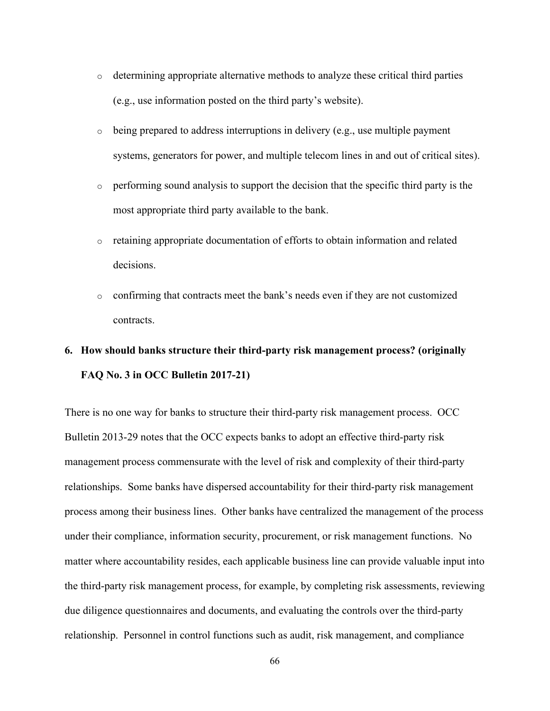- $\circ$  determining appropriate alternative methods to analyze these critical third parties (e.g., use information posted on the third party's website).
- $\circ$  being prepared to address interruptions in delivery (e.g., use multiple payment systems, generators for power, and multiple telecom lines in and out of critical sites).
- o performing sound analysis to support the decision that the specific third party is the most appropriate third party available to the bank.
- o retaining appropriate documentation of efforts to obtain information and related decisions.
- o confirming that contracts meet the bank's needs even if they are not customized contracts.

# **6. How should banks structure their third-party risk management process? (originally FAQ No. 3 in OCC Bulletin 2017-21)**

There is no one way for banks to structure their third-party risk management process. OCC Bulletin 2013-29 notes that the OCC expects banks to adopt an effective third-party risk management process commensurate with the level of risk and complexity of their third-party relationships. Some banks have dispersed accountability for their third-party risk management process among their business lines. Other banks have centralized the management of the process under their compliance, information security, procurement, or risk management functions. No matter where accountability resides, each applicable business line can provide valuable input into the third-party risk management process, for example, by completing risk assessments, reviewing due diligence questionnaires and documents, and evaluating the controls over the third-party relationship. Personnel in control functions such as audit, risk management, and compliance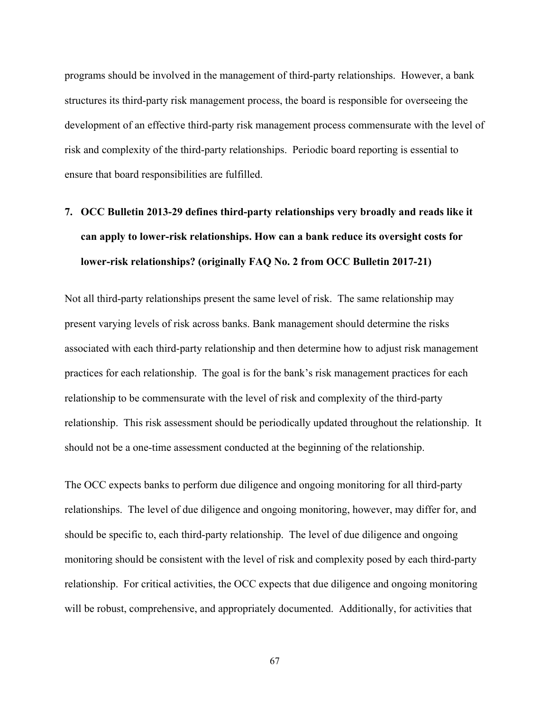programs should be involved in the management of third-party relationships. However, a bank structures its third-party risk management process, the board is responsible for overseeing the development of an effective third-party risk management process commensurate with the level of risk and complexity of the third-party relationships. Periodic board reporting is essential to ensure that board responsibilities are fulfilled.

# **7. OCC Bulletin 2013-29 defines third-party relationships very broadly and reads like it can apply to lower-risk relationships. How can a bank reduce its oversight costs for lower-risk relationships? (originally FAQ No. 2 from OCC Bulletin 2017-21)**

Not all third-party relationships present the same level of risk. The same relationship may present varying levels of risk across banks. Bank management should determine the risks associated with each third-party relationship and then determine how to adjust risk management practices for each relationship. The goal is for the bank's risk management practices for each relationship to be commensurate with the level of risk and complexity of the third-party relationship. This risk assessment should be periodically updated throughout the relationship. It should not be a one-time assessment conducted at the beginning of the relationship.

The OCC expects banks to perform due diligence and ongoing monitoring for all third-party relationships. The level of due diligence and ongoing monitoring, however, may differ for, and should be specific to, each third-party relationship. The level of due diligence and ongoing monitoring should be consistent with the level of risk and complexity posed by each third-party relationship. For critical activities, the OCC expects that due diligence and ongoing monitoring will be robust, comprehensive, and appropriately documented. Additionally, for activities that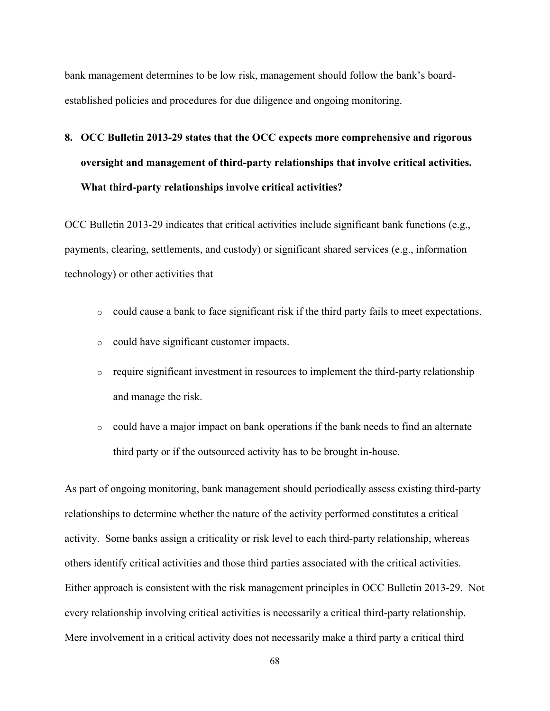bank management determines to be low risk, management should follow the bank's boardestablished policies and procedures for due diligence and ongoing monitoring.

# **8. OCC Bulletin 2013-29 states that the OCC expects more comprehensive and rigorous oversight and management of third-party relationships that involve critical activities. What third-party relationships involve critical activities?**

OCC Bulletin 2013-29 indicates that critical activities include significant bank functions (e.g., payments, clearing, settlements, and custody) or significant shared services (e.g., information technology) or other activities that

- $\circ$  could cause a bank to face significant risk if the third party fails to meet expectations.
- o could have significant customer impacts.
- $\circ$  require significant investment in resources to implement the third-party relationship and manage the risk.
- o could have a major impact on bank operations if the bank needs to find an alternate third party or if the outsourced activity has to be brought in-house.

As part of ongoing monitoring, bank management should periodically assess existing third-party relationships to determine whether the nature of the activity performed constitutes a critical activity. Some banks assign a criticality or risk level to each third-party relationship, whereas others identify critical activities and those third parties associated with the critical activities. Either approach is consistent with the risk management principles in OCC Bulletin 2013-29. Not every relationship involving critical activities is necessarily a critical third-party relationship. Mere involvement in a critical activity does not necessarily make a third party a critical third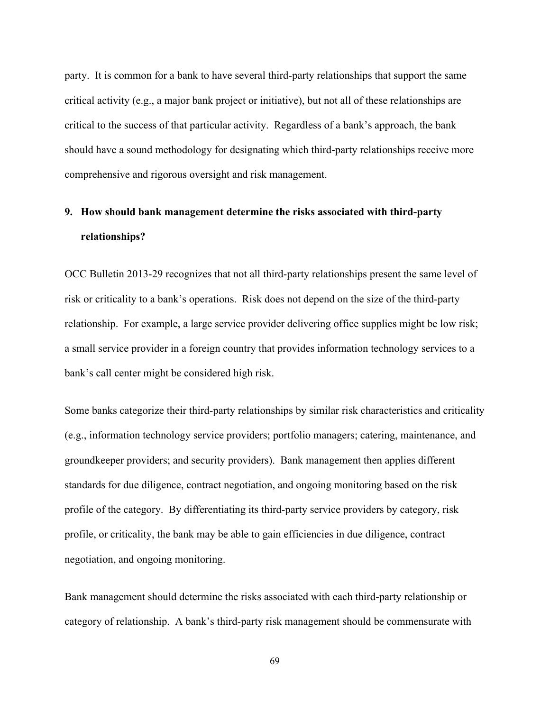party. It is common for a bank to have several third-party relationships that support the same critical activity (e.g., a major bank project or initiative), but not all of these relationships are critical to the success of that particular activity. Regardless of a bank's approach, the bank should have a sound methodology for designating which third-party relationships receive more comprehensive and rigorous oversight and risk management.

# **9. How should bank management determine the risks associated with third-party relationships?**

OCC Bulletin 2013-29 recognizes that not all third-party relationships present the same level of risk or criticality to a bank's operations. Risk does not depend on the size of the third-party relationship. For example, a large service provider delivering office supplies might be low risk; a small service provider in a foreign country that provides information technology services to a bank's call center might be considered high risk.

Some banks categorize their third-party relationships by similar risk characteristics and criticality (e.g., information technology service providers; portfolio managers; catering, maintenance, and groundkeeper providers; and security providers). Bank management then applies different standards for due diligence, contract negotiation, and ongoing monitoring based on the risk profile of the category. By differentiating its third-party service providers by category, risk profile, or criticality, the bank may be able to gain efficiencies in due diligence, contract negotiation, and ongoing monitoring.

Bank management should determine the risks associated with each third-party relationship or category of relationship. A bank's third-party risk management should be commensurate with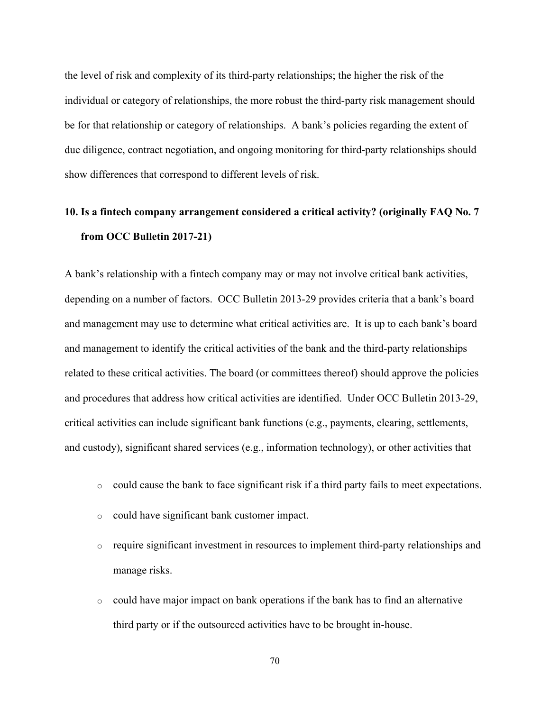the level of risk and complexity of its third-party relationships; the higher the risk of the individual or category of relationships, the more robust the third-party risk management should be for that relationship or category of relationships. A bank's policies regarding the extent of due diligence, contract negotiation, and ongoing monitoring for third-party relationships should show differences that correspond to different levels of risk.

# **10. Is a fintech company arrangement considered a critical activity? (originally FAQ No. 7 from OCC Bulletin 2017-21)**

A bank's relationship with a fintech company may or may not involve critical bank activities, depending on a number of factors. OCC Bulletin 2013-29 provides criteria that a bank's board and management may use to determine what critical activities are. It is up to each bank's board and management to identify the critical activities of the bank and the third-party relationships related to these critical activities. The board (or committees thereof) should approve the policies and procedures that address how critical activities are identified. Under OCC Bulletin 2013-29, critical activities can include significant bank functions (e.g., payments, clearing, settlements, and custody), significant shared services (e.g., information technology), or other activities that

- $\circ$  could cause the bank to face significant risk if a third party fails to meet expectations.
- o could have significant bank customer impact.
- $\circ$  require significant investment in resources to implement third-party relationships and manage risks.
- $\circ$  could have major impact on bank operations if the bank has to find an alternative third party or if the outsourced activities have to be brought in-house.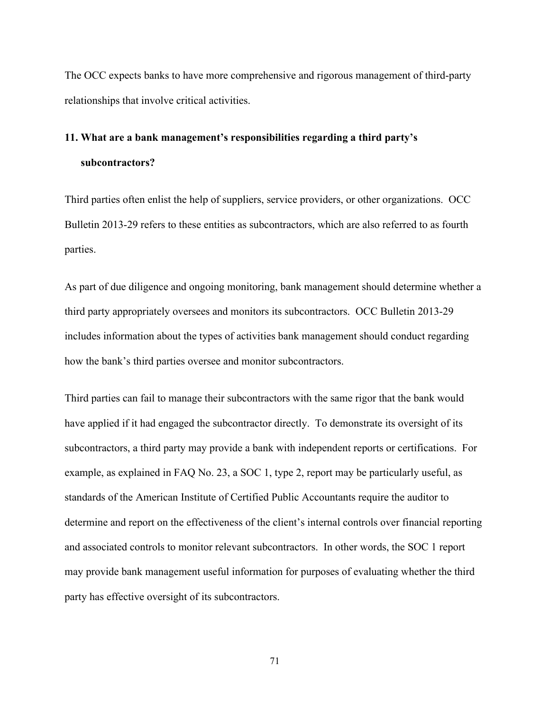The OCC expects banks to have more comprehensive and rigorous management of third-party relationships that involve critical activities.

# **11. What are a bank management's responsibilities regarding a third party's subcontractors?**

Third parties often enlist the help of suppliers, service providers, or other organizations. OCC Bulletin 2013-29 refers to these entities as subcontractors, which are also referred to as fourth parties.

As part of due diligence and ongoing monitoring, bank management should determine whether a third party appropriately oversees and monitors its subcontractors. OCC Bulletin 2013-29 includes information about the types of activities bank management should conduct regarding how the bank's third parties oversee and monitor subcontractors.

Third parties can fail to manage their subcontractors with the same rigor that the bank would have applied if it had engaged the subcontractor directly. To demonstrate its oversight of its subcontractors, a third party may provide a bank with independent reports or certifications. For example, as explained in FAQ No. 23, a SOC 1, type 2, report may be particularly useful, as standards of the American Institute of Certified Public Accountants require the auditor to determine and report on the effectiveness of the client's internal controls over financial reporting and associated controls to monitor relevant subcontractors. In other words, the SOC 1 report may provide bank management useful information for purposes of evaluating whether the third party has effective oversight of its subcontractors.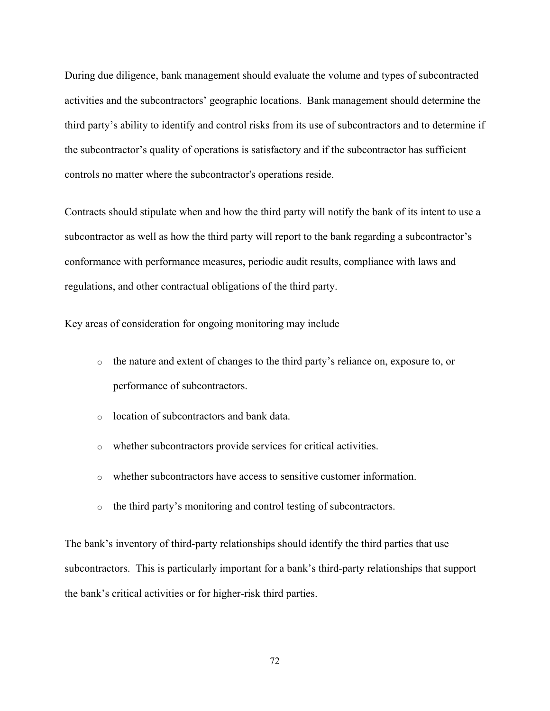During due diligence, bank management should evaluate the volume and types of subcontracted activities and the subcontractors' geographic locations. Bank management should determine the third party's ability to identify and control risks from its use of subcontractors and to determine if the subcontractor's quality of operations is satisfactory and if the subcontractor has sufficient controls no matter where the subcontractor's operations reside.

Contracts should stipulate when and how the third party will notify the bank of its intent to use a subcontractor as well as how the third party will report to the bank regarding a subcontractor's conformance with performance measures, periodic audit results, compliance with laws and regulations, and other contractual obligations of the third party.

Key areas of consideration for ongoing monitoring may include

- o the nature and extent of changes to the third party's reliance on, exposure to, or performance of subcontractors.
- o location of subcontractors and bank data.
- o whether subcontractors provide services for critical activities.
- $\circ$  whether subcontractors have access to sensitive customer information.
- o the third party's monitoring and control testing of subcontractors.

The bank's inventory of third-party relationships should identify the third parties that use subcontractors. This is particularly important for a bank's third-party relationships that support the bank's critical activities or for higher-risk third parties.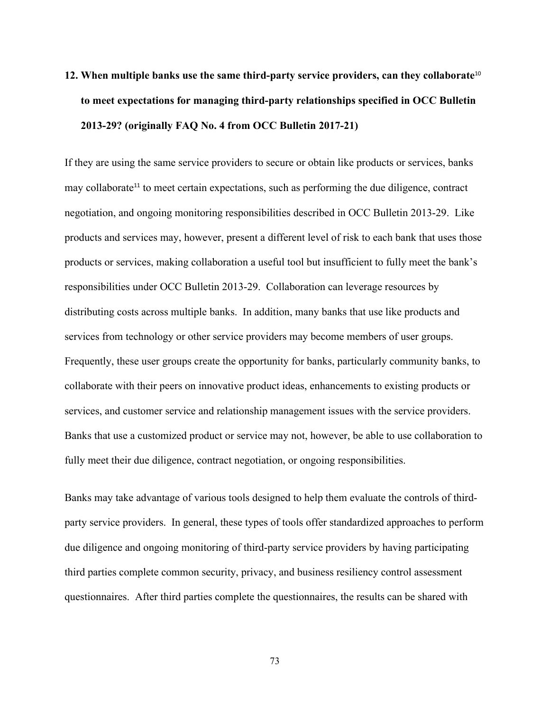# **12. When multiple banks use the same third-party service providers, can they collaborate**<sup>10</sup> **to meet expectations for managing third-party relationships specified in OCC Bulletin 2013-29? (originally FAQ No. 4 from OCC Bulletin 2017-21)**

If they are using the same service providers to secure or obtain like products or services, banks may collaborate<sup>11</sup> to meet certain expectations, such as performing the due diligence, contract negotiation, and ongoing monitoring responsibilities described in OCC Bulletin 2013-29. Like products and services may, however, present a different level of risk to each bank that uses those products or services, making collaboration a useful tool but insufficient to fully meet the bank's responsibilities under OCC Bulletin 2013-29. Collaboration can leverage resources by distributing costs across multiple banks. In addition, many banks that use like products and services from technology or other service providers may become members of user groups. Frequently, these user groups create the opportunity for banks, particularly community banks, to collaborate with their peers on innovative product ideas, enhancements to existing products or services, and customer service and relationship management issues with the service providers. Banks that use a customized product or service may not, however, be able to use collaboration to fully meet their due diligence, contract negotiation, or ongoing responsibilities.

Banks may take advantage of various tools designed to help them evaluate the controls of thirdparty service providers. In general, these types of tools offer standardized approaches to perform due diligence and ongoing monitoring of third-party service providers by having participating third parties complete common security, privacy, and business resiliency control assessment questionnaires. After third parties complete the questionnaires, the results can be shared with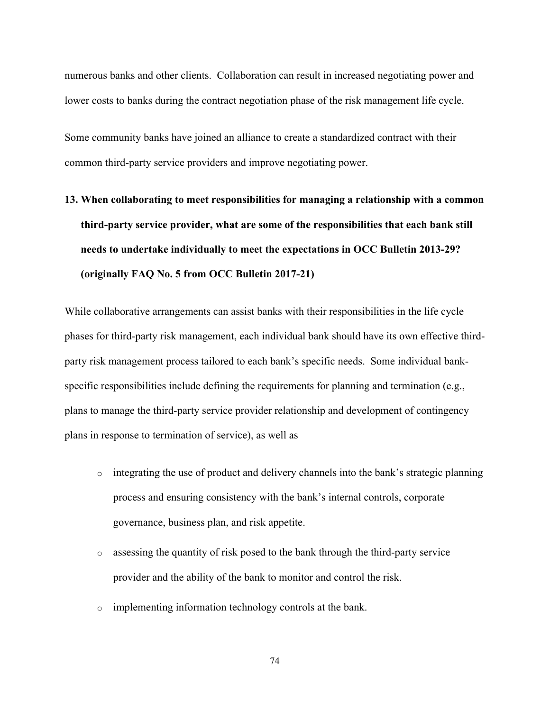numerous banks and other clients. Collaboration can result in increased negotiating power and lower costs to banks during the contract negotiation phase of the risk management life cycle.

Some community banks have joined an alliance to create a standardized contract with their common third-party service providers and improve negotiating power.

**13. When collaborating to meet responsibilities for managing a relationship with a common third-party service provider, what are some of the responsibilities that each bank still needs to undertake individually to meet the expectations in OCC Bulletin 2013-29? (originally FAQ No. 5 from OCC Bulletin 2017-21)**

While collaborative arrangements can assist banks with their responsibilities in the life cycle phases for third-party risk management, each individual bank should have its own effective thirdparty risk management process tailored to each bank's specific needs. Some individual bankspecific responsibilities include defining the requirements for planning and termination (e.g., plans to manage the third-party service provider relationship and development of contingency plans in response to termination of service), as well as

- o integrating the use of product and delivery channels into the bank's strategic planning process and ensuring consistency with the bank's internal controls, corporate governance, business plan, and risk appetite.
- o assessing the quantity of risk posed to the bank through the third-party service provider and the ability of the bank to monitor and control the risk.
- o implementing information technology controls at the bank.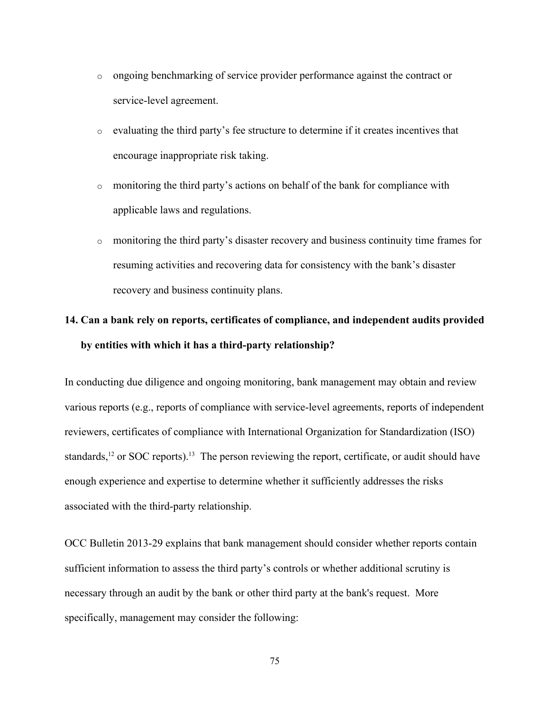- o ongoing benchmarking of service provider performance against the contract or service-level agreement.
- $\circ$  evaluating the third party's fee structure to determine if it creates incentives that encourage inappropriate risk taking.
- o monitoring the third party's actions on behalf of the bank for compliance with applicable laws and regulations.
- o monitoring the third party's disaster recovery and business continuity time frames for resuming activities and recovering data for consistency with the bank's disaster recovery and business continuity plans.

#### **14. Can a bank rely on reports, certificates of compliance, and independent audits provided by entities with which it has a third-party relationship?**

In conducting due diligence and ongoing monitoring, bank management may obtain and review various reports (e.g., reports of compliance with service-level agreements, reports of independent reviewers, certificates of compliance with International Organization for Standardization (ISO) standards,<sup>12</sup> or SOC reports).<sup>13</sup> The person reviewing the report, certificate, or audit should have enough experience and expertise to determine whether it sufficiently addresses the risks associated with the third-party relationship.

OCC Bulletin 2013-29 explains that bank management should consider whether reports contain sufficient information to assess the third party's controls or whether additional scrutiny is necessary through an audit by the bank or other third party at the bank's request. More specifically, management may consider the following: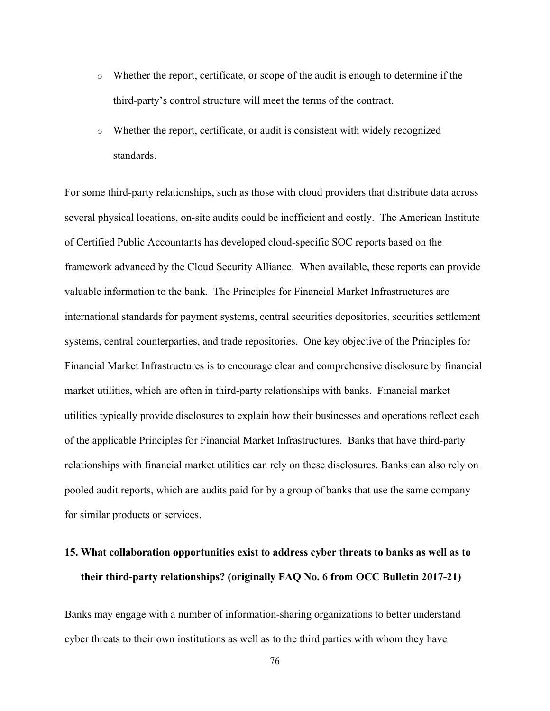- $\circ$  Whether the report, certificate, or scope of the audit is enough to determine if the third-party's control structure will meet the terms of the contract.
- $\circ$  Whether the report, certificate, or audit is consistent with widely recognized standards.

For some third-party relationships, such as those with cloud providers that distribute data across several physical locations, on-site audits could be inefficient and costly. The American Institute of Certified Public Accountants has developed cloud-specific SOC reports based on the framework advanced by the Cloud Security Alliance. When available, these reports can provide valuable information to the bank. The Principles for Financial Market Infrastructures are international standards for payment systems, central securities depositories, securities settlement systems, central counterparties, and trade repositories. One key objective of the Principles for Financial Market Infrastructures is to encourage clear and comprehensive disclosure by financial market utilities, which are often in third-party relationships with banks. Financial market utilities typically provide disclosures to explain how their businesses and operations reflect each of the applicable Principles for Financial Market Infrastructures. Banks that have third-party relationships with financial market utilities can rely on these disclosures. Banks can also rely on pooled audit reports, which are audits paid for by a group of banks that use the same company for similar products or services.

### **15. What collaboration opportunities exist to address cyber threats to banks as well as to their third-party relationships? (originally FAQ No. 6 from OCC Bulletin 2017-21)**

Banks may engage with a number of information-sharing organizations to better understand cyber threats to their own institutions as well as to the third parties with whom they have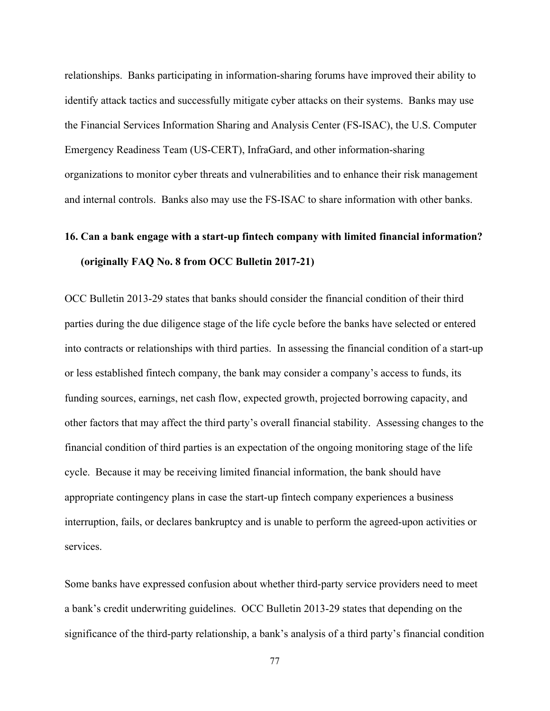relationships. Banks participating in information-sharing forums have improved their ability to identify attack tactics and successfully mitigate cyber attacks on their systems. Banks may use the Financial Services Information Sharing and Analysis Center (FS-ISAC), the U.S. Computer Emergency Readiness Team (US-CERT), InfraGard, and other information-sharing organizations to monitor cyber threats and vulnerabilities and to enhance their risk management and internal controls. Banks also may use the FS-ISAC to share information with other banks.

## **16. Can a bank engage with a start-up fintech company with limited financial information? (originally FAQ No. 8 from OCC Bulletin 2017-21)**

OCC Bulletin 2013-29 states that banks should consider the financial condition of their third parties during the due diligence stage of the life cycle before the banks have selected or entered into contracts or relationships with third parties. In assessing the financial condition of a start-up or less established fintech company, the bank may consider a company's access to funds, its funding sources, earnings, net cash flow, expected growth, projected borrowing capacity, and other factors that may affect the third party's overall financial stability. Assessing changes to the financial condition of third parties is an expectation of the ongoing monitoring stage of the life cycle. Because it may be receiving limited financial information, the bank should have appropriate contingency plans in case the start-up fintech company experiences a business interruption, fails, or declares bankruptcy and is unable to perform the agreed-upon activities or services.

Some banks have expressed confusion about whether third-party service providers need to meet a bank's credit underwriting guidelines. OCC Bulletin 2013-29 states that depending on the significance of the third-party relationship, a bank's analysis of a third party's financial condition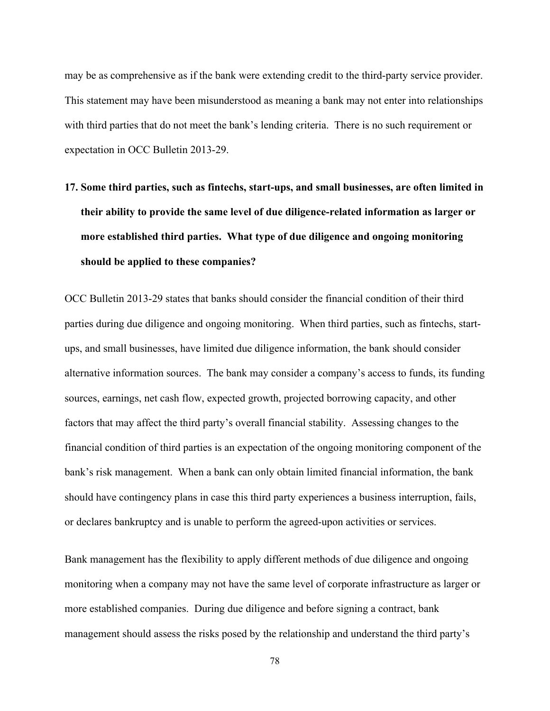may be as comprehensive as if the bank were extending credit to the third-party service provider. This statement may have been misunderstood as meaning a bank may not enter into relationships with third parties that do not meet the bank's lending criteria. There is no such requirement or expectation in OCC Bulletin 2013-29.

**17. Some third parties, such as fintechs, start-ups, and small businesses, are often limited in their ability to provide the same level of due diligence-related information as larger or more established third parties. What type of due diligence and ongoing monitoring should be applied to these companies?**

OCC Bulletin 2013-29 states that banks should consider the financial condition of their third parties during due diligence and ongoing monitoring. When third parties, such as fintechs, startups, and small businesses, have limited due diligence information, the bank should consider alternative information sources. The bank may consider a company's access to funds, its funding sources, earnings, net cash flow, expected growth, projected borrowing capacity, and other factors that may affect the third party's overall financial stability. Assessing changes to the financial condition of third parties is an expectation of the ongoing monitoring component of the bank's risk management. When a bank can only obtain limited financial information, the bank should have contingency plans in case this third party experiences a business interruption, fails, or declares bankruptcy and is unable to perform the agreed-upon activities or services.

Bank management has the flexibility to apply different methods of due diligence and ongoing monitoring when a company may not have the same level of corporate infrastructure as larger or more established companies. During due diligence and before signing a contract, bank management should assess the risks posed by the relationship and understand the third party's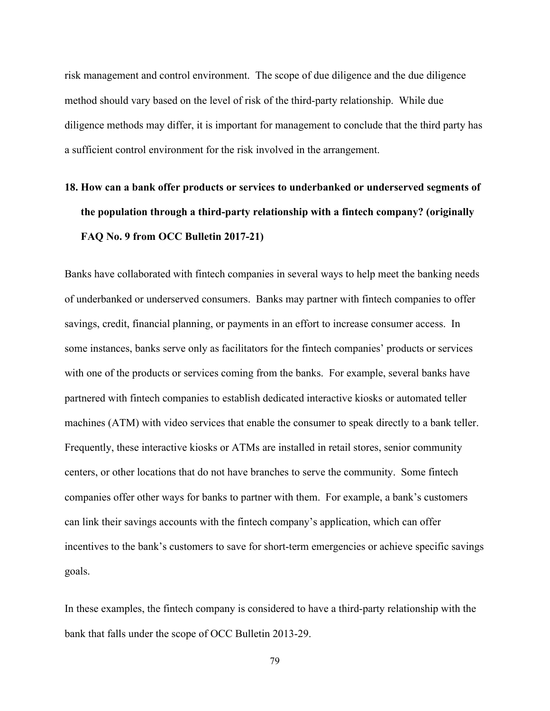risk management and control environment. The scope of due diligence and the due diligence method should vary based on the level of risk of the third-party relationship. While due diligence methods may differ, it is important for management to conclude that the third party has a sufficient control environment for the risk involved in the arrangement.

## **18. How can a bank offer products or services to underbanked or underserved segments of the population through a third-party relationship with a fintech company? (originally FAQ No. 9 from OCC Bulletin 2017-21)**

Banks have collaborated with fintech companies in several ways to help meet the banking needs of underbanked or underserved consumers. Banks may partner with fintech companies to offer savings, credit, financial planning, or payments in an effort to increase consumer access. In some instances, banks serve only as facilitators for the fintech companies' products or services with one of the products or services coming from the banks. For example, several banks have partnered with fintech companies to establish dedicated interactive kiosks or automated teller machines (ATM) with video services that enable the consumer to speak directly to a bank teller. Frequently, these interactive kiosks or ATMs are installed in retail stores, senior community centers, or other locations that do not have branches to serve the community. Some fintech companies offer other ways for banks to partner with them. For example, a bank's customers can link their savings accounts with the fintech company's application, which can offer incentives to the bank's customers to save for short-term emergencies or achieve specific savings goals.

In these examples, the fintech company is considered to have a third-party relationship with the bank that falls under the scope of OCC Bulletin 2013-29.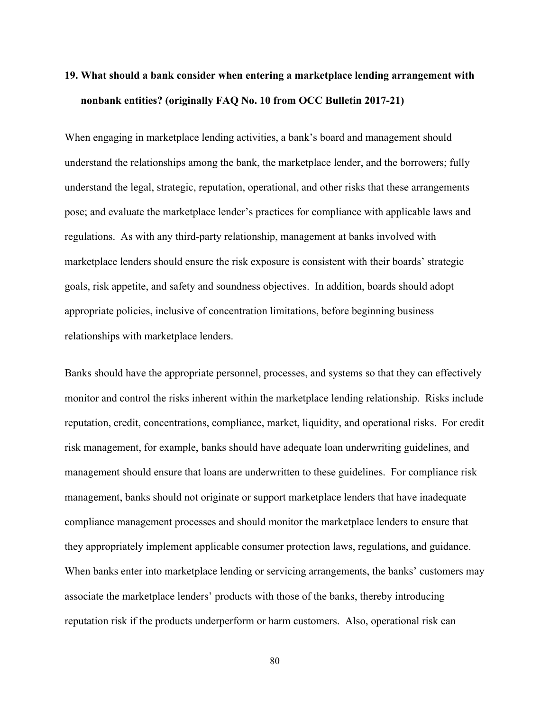## **19. What should a bank consider when entering a marketplace lending arrangement with nonbank entities? (originally FAQ No. 10 from OCC Bulletin 2017-21)**

When engaging in marketplace lending activities, a bank's board and management should understand the relationships among the bank, the marketplace lender, and the borrowers; fully understand the legal, strategic, reputation, operational, and other risks that these arrangements pose; and evaluate the marketplace lender's practices for compliance with applicable laws and regulations. As with any third-party relationship, management at banks involved with marketplace lenders should ensure the risk exposure is consistent with their boards' strategic goals, risk appetite, and safety and soundness objectives. In addition, boards should adopt appropriate policies, inclusive of concentration limitations, before beginning business relationships with marketplace lenders.

Banks should have the appropriate personnel, processes, and systems so that they can effectively monitor and control the risks inherent within the marketplace lending relationship. Risks include reputation, credit, concentrations, compliance, market, liquidity, and operational risks. For credit risk management, for example, banks should have adequate loan underwriting guidelines, and management should ensure that loans are underwritten to these guidelines. For compliance risk management, banks should not originate or support marketplace lenders that have inadequate compliance management processes and should monitor the marketplace lenders to ensure that they appropriately implement applicable consumer protection laws, regulations, and guidance. When banks enter into marketplace lending or servicing arrangements, the banks' customers may associate the marketplace lenders' products with those of the banks, thereby introducing reputation risk if the products underperform or harm customers. Also, operational risk can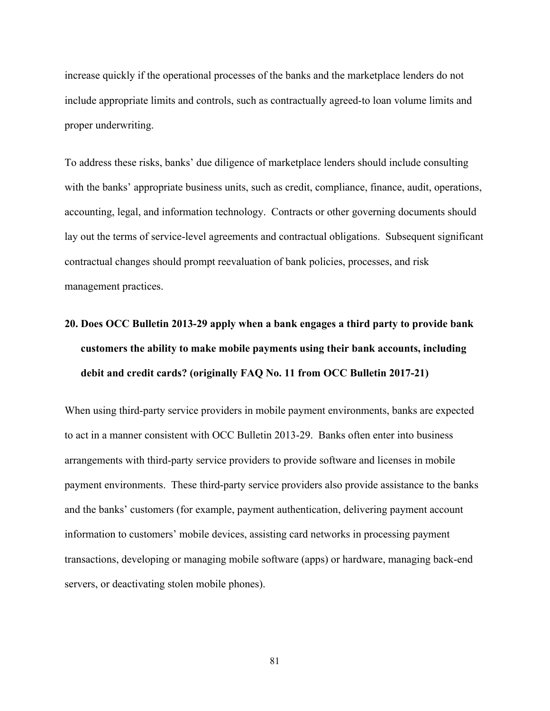increase quickly if the operational processes of the banks and the marketplace lenders do not include appropriate limits and controls, such as contractually agreed-to loan volume limits and proper underwriting.

To address these risks, banks' due diligence of marketplace lenders should include consulting with the banks' appropriate business units, such as credit, compliance, finance, audit, operations, accounting, legal, and information technology. Contracts or other governing documents should lay out the terms of service-level agreements and contractual obligations. Subsequent significant contractual changes should prompt reevaluation of bank policies, processes, and risk management practices.

## **20. Does OCC Bulletin 2013-29 apply when a bank engages a third party to provide bank customers the ability to make mobile payments using their bank accounts, including debit and credit cards? (originally FAQ No. 11 from OCC Bulletin 2017-21)**

When using third-party service providers in mobile payment environments, banks are expected to act in a manner consistent with OCC Bulletin 2013-29. Banks often enter into business arrangements with third-party service providers to provide software and licenses in mobile payment environments. These third-party service providers also provide assistance to the banks and the banks' customers (for example, payment authentication, delivering payment account information to customers' mobile devices, assisting card networks in processing payment transactions, developing or managing mobile software (apps) or hardware, managing back-end servers, or deactivating stolen mobile phones).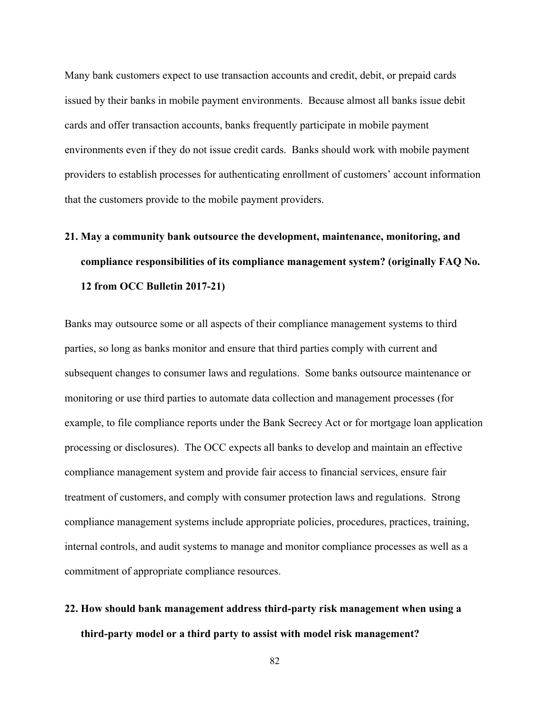Many bank customers expect to use transaction accounts and credit, debit, or prepaid cards issued by their banks in mobile payment environments. Because almost all banks issue debit cards and offer transaction accounts, banks frequently participate in mobile payment environments even if they do not issue credit cards. Banks should work with mobile payment providers to establish processes for authenticating enrollment of customers' account information that the customers provide to the mobile payment providers.

## **21. May a community bank outsource the development, maintenance, monitoring, and compliance responsibilities of its compliance management system? (originally FAQ No. 12 from OCC Bulletin 2017-21)**

Banks may outsource some or all aspects of their compliance management systems to third parties, so long as banks monitor and ensure that third parties comply with current and subsequent changes to consumer laws and regulations. Some banks outsource maintenance or monitoring or use third parties to automate data collection and management processes (for example, to file compliance reports under the Bank Secrecy Act or for mortgage loan application processing or disclosures). The OCC expects all banks to develop and maintain an effective compliance management system and provide fair access to financial services, ensure fair treatment of customers, and comply with consumer protection laws and regulations. Strong compliance management systems include appropriate policies, procedures, practices, training, internal controls, and audit systems to manage and monitor compliance processes as well as a commitment of appropriate compliance resources.

## **22. How should bank management address third-party risk management when using a third-party model or a third party to assist with model risk management?**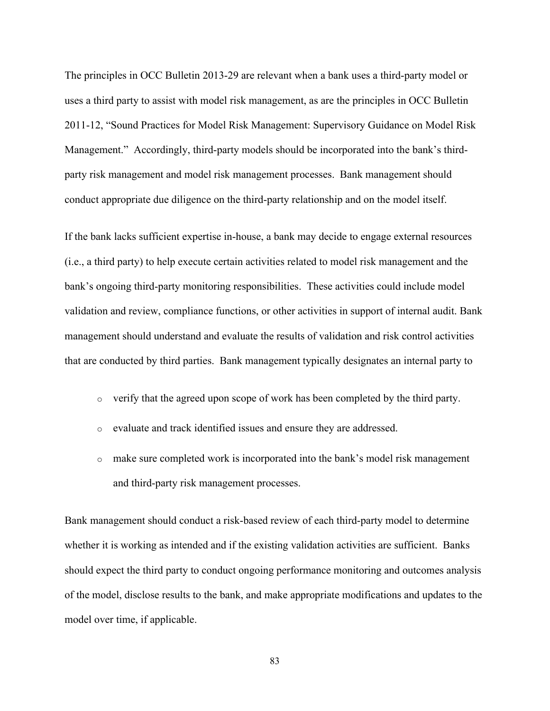The principles in OCC Bulletin 2013-29 are relevant when a bank uses a third-party model or uses a third party to assist with model risk management, as are the principles in OCC Bulletin 2011-12, "Sound Practices for Model Risk Management: Supervisory Guidance on Model Risk Management." Accordingly, third-party models should be incorporated into the bank's thirdparty risk management and model risk management processes. Bank management should conduct appropriate due diligence on the third-party relationship and on the model itself.

If the bank lacks sufficient expertise in-house, a bank may decide to engage external resources (i.e., a third party) to help execute certain activities related to model risk management and the bank's ongoing third-party monitoring responsibilities. These activities could include model validation and review, compliance functions, or other activities in support of internal audit. Bank management should understand and evaluate the results of validation and risk control activities that are conducted by third parties. Bank management typically designates an internal party to

- o verify that the agreed upon scope of work has been completed by the third party.
- o evaluate and track identified issues and ensure they are addressed.
- o make sure completed work is incorporated into the bank's model risk management and third-party risk management processes.

Bank management should conduct a risk-based review of each third-party model to determine whether it is working as intended and if the existing validation activities are sufficient. Banks should expect the third party to conduct ongoing performance monitoring and outcomes analysis of the model, disclose results to the bank, and make appropriate modifications and updates to the model over time, if applicable.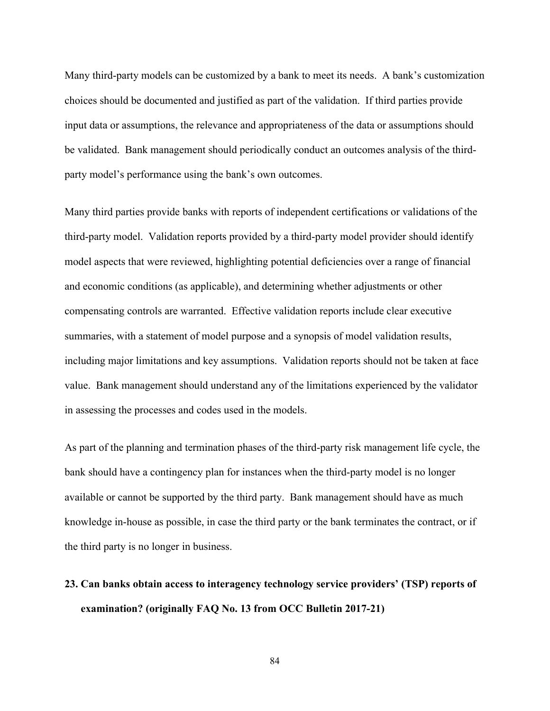Many third-party models can be customized by a bank to meet its needs. A bank's customization choices should be documented and justified as part of the validation. If third parties provide input data or assumptions, the relevance and appropriateness of the data or assumptions should be validated. Bank management should periodically conduct an outcomes analysis of the thirdparty model's performance using the bank's own outcomes.

Many third parties provide banks with reports of independent certifications or validations of the third-party model. Validation reports provided by a third-party model provider should identify model aspects that were reviewed, highlighting potential deficiencies over a range of financial and economic conditions (as applicable), and determining whether adjustments or other compensating controls are warranted. Effective validation reports include clear executive summaries, with a statement of model purpose and a synopsis of model validation results, including major limitations and key assumptions. Validation reports should not be taken at face value. Bank management should understand any of the limitations experienced by the validator in assessing the processes and codes used in the models.

As part of the planning and termination phases of the third-party risk management life cycle, the bank should have a contingency plan for instances when the third-party model is no longer available or cannot be supported by the third party. Bank management should have as much knowledge in-house as possible, in case the third party or the bank terminates the contract, or if the third party is no longer in business.

**23. Can banks obtain access to interagency technology service providers' (TSP) reports of examination? (originally FAQ No. 13 from OCC Bulletin 2017-21)**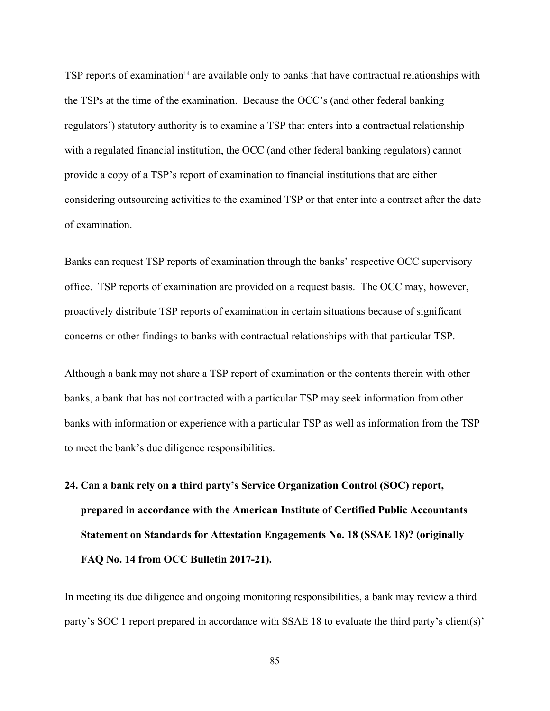TSP reports of examination<sup>14</sup> are available only to banks that have contractual relationships with the TSPs at the time of the examination. Because the OCC's (and other federal banking regulators') statutory authority is to examine a TSP that enters into a contractual relationship with a regulated financial institution, the OCC (and other federal banking regulators) cannot provide a copy of a TSP's report of examination to financial institutions that are either considering outsourcing activities to the examined TSP or that enter into a contract after the date of examination.

Banks can request TSP reports of examination through the banks' respective OCC supervisory office. TSP reports of examination are provided on a request basis. The OCC may, however, proactively distribute TSP reports of examination in certain situations because of significant concerns or other findings to banks with contractual relationships with that particular TSP.

Although a bank may not share a TSP report of examination or the contents therein with other banks, a bank that has not contracted with a particular TSP may seek information from other banks with information or experience with a particular TSP as well as information from the TSP to meet the bank's due diligence responsibilities.

# **24. Can a bank rely on a third party's Service Organization Control (SOC) report, prepared in accordance with the American Institute of Certified Public Accountants Statement on Standards for Attestation Engagements No. 18 (SSAE 18)? (originally FAQ No. 14 from OCC Bulletin 2017-21).**

In meeting its due diligence and ongoing monitoring responsibilities, a bank may review a third party's SOC 1 report prepared in accordance with SSAE 18 to evaluate the third party's client(s)'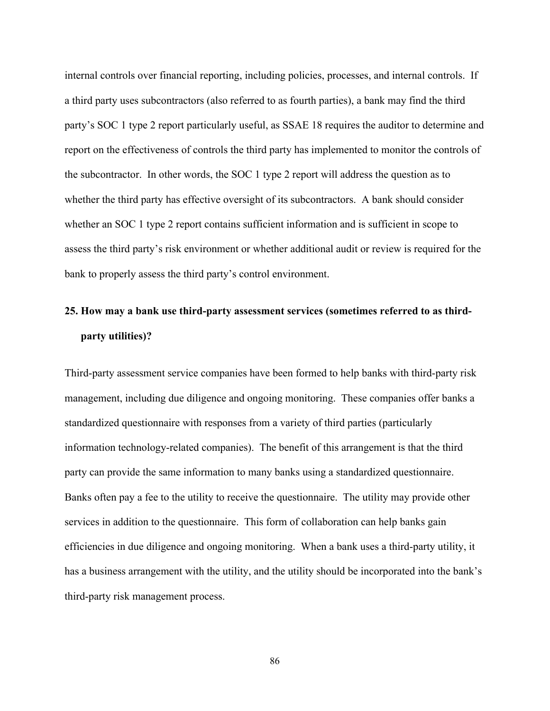internal controls over financial reporting, including policies, processes, and internal controls. If a third party uses subcontractors (also referred to as fourth parties), a bank may find the third party's SOC 1 type 2 report particularly useful, as SSAE 18 requires the auditor to determine and report on the effectiveness of controls the third party has implemented to monitor the controls of the subcontractor. In other words, the SOC 1 type 2 report will address the question as to whether the third party has effective oversight of its subcontractors. A bank should consider whether an SOC 1 type 2 report contains sufficient information and is sufficient in scope to assess the third party's risk environment or whether additional audit or review is required for the bank to properly assess the third party's control environment.

## **25. How may a bank use third-party assessment services (sometimes referred to as thirdparty utilities)?**

Third-party assessment service companies have been formed to help banks with third-party risk management, including due diligence and ongoing monitoring. These companies offer banks a standardized questionnaire with responses from a variety of third parties (particularly information technology-related companies). The benefit of this arrangement is that the third party can provide the same information to many banks using a standardized questionnaire. Banks often pay a fee to the utility to receive the questionnaire. The utility may provide other services in addition to the questionnaire. This form of collaboration can help banks gain efficiencies in due diligence and ongoing monitoring. When a bank uses a third-party utility, it has a business arrangement with the utility, and the utility should be incorporated into the bank's third-party risk management process.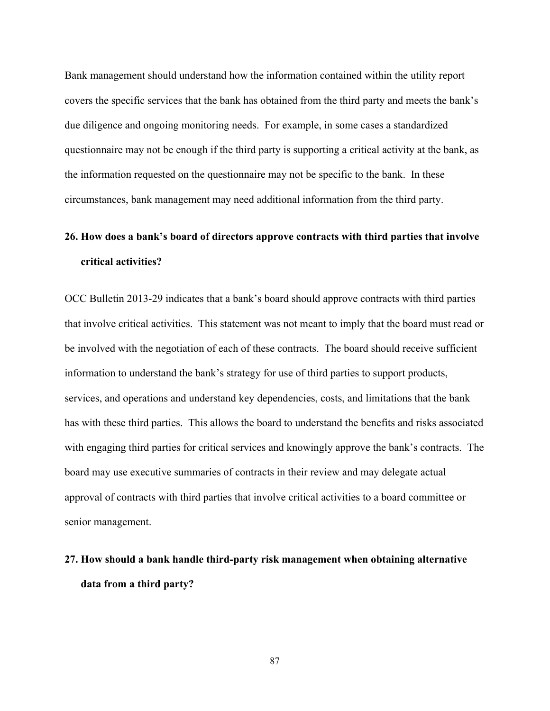Bank management should understand how the information contained within the utility report covers the specific services that the bank has obtained from the third party and meets the bank's due diligence and ongoing monitoring needs. For example, in some cases a standardized questionnaire may not be enough if the third party is supporting a critical activity at the bank, as the information requested on the questionnaire may not be specific to the bank. In these circumstances, bank management may need additional information from the third party.

## **26. How does a bank's board of directors approve contracts with third parties that involve critical activities?**

OCC Bulletin 2013-29 indicates that a bank's board should approve contracts with third parties that involve critical activities. This statement was not meant to imply that the board must read or be involved with the negotiation of each of these contracts. The board should receive sufficient information to understand the bank's strategy for use of third parties to support products, services, and operations and understand key dependencies, costs, and limitations that the bank has with these third parties. This allows the board to understand the benefits and risks associated with engaging third parties for critical services and knowingly approve the bank's contracts. The board may use executive summaries of contracts in their review and may delegate actual approval of contracts with third parties that involve critical activities to a board committee or senior management.

#### **27. How should a bank handle third-party risk management when obtaining alternative data from a third party?**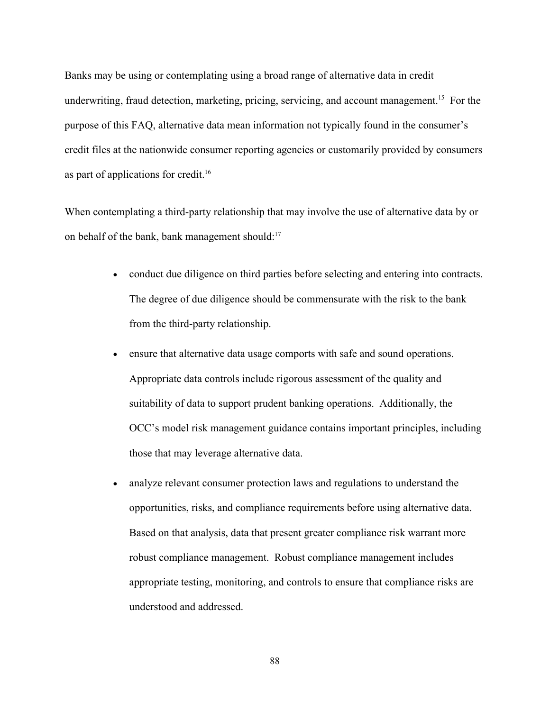Banks may be using or contemplating using a broad range of alternative data in credit underwriting, fraud detection, marketing, pricing, servicing, and account management.<sup>15</sup> For the purpose of this FAQ, alternative data mean information not typically found in the consumer's credit files at the nationwide consumer reporting agencies or customarily provided by consumers as part of applications for credit.<sup>16</sup>

When contemplating a third-party relationship that may involve the use of alternative data by or on behalf of the bank, bank management should:<sup>17</sup>

- conduct due diligence on third parties before selecting and entering into contracts. The degree of due diligence should be commensurate with the risk to the bank from the third-party relationship.
- ensure that alternative data usage comports with safe and sound operations. Appropriate data controls include rigorous assessment of the quality and suitability of data to support prudent banking operations. Additionally, the OCC's model risk management guidance contains important principles, including those that may leverage alternative data.
- analyze relevant consumer protection laws and regulations to understand the opportunities, risks, and compliance requirements before using alternative data. Based on that analysis, data that present greater compliance risk warrant more robust compliance management. Robust compliance management includes appropriate testing, monitoring, and controls to ensure that compliance risks are understood and addressed.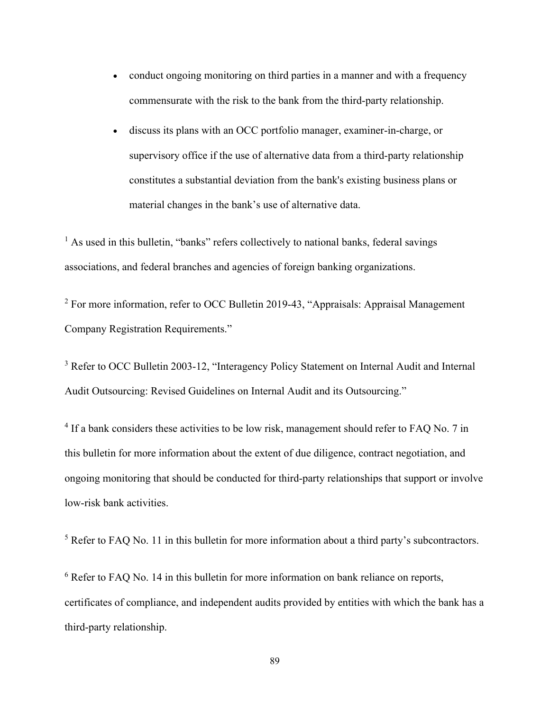- conduct ongoing monitoring on third parties in a manner and with a frequency commensurate with the risk to the bank from the third-party relationship.
- discuss its plans with an OCC portfolio manager, examiner-in-charge, or supervisory office if the use of alternative data from a third-party relationship constitutes a substantial deviation from the bank's existing business plans or material changes in the bank's use of alternative data.

 $<sup>1</sup>$  As used in this bulletin, "banks" refers collectively to national banks, federal savings</sup> associations, and federal branches and agencies of foreign banking organizations.

<sup>2</sup> For more information, refer to OCC Bulletin 2019-43, "Appraisals: Appraisal Management Company Registration Requirements."

<sup>3</sup> Refer to OCC Bulletin 2003-12, "Interagency Policy Statement on Internal Audit and Internal Audit Outsourcing: Revised Guidelines on Internal Audit and its Outsourcing."

<sup>4</sup> If a bank considers these activities to be low risk, management should refer to FAQ No. 7 in this bulletin for more information about the extent of due diligence, contract negotiation, and ongoing monitoring that should be conducted for third-party relationships that support or involve low-risk bank activities.

<sup>5</sup> Refer to FAQ No. 11 in this bulletin for more information about a third party's subcontractors.

<sup>6</sup> Refer to FAQ No. 14 in this bulletin for more information on bank reliance on reports, certificates of compliance, and independent audits provided by entities with which the bank has a third-party relationship.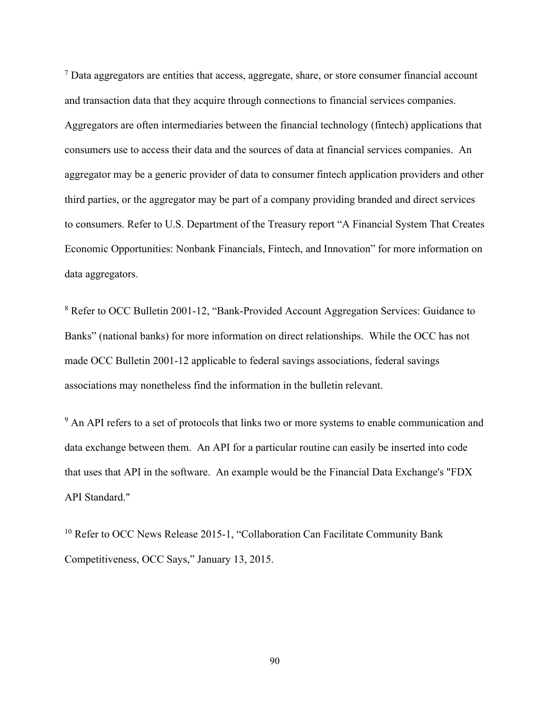$<sup>7</sup>$  Data aggregators are entities that access, aggregate, share, or store consumer financial account</sup> and transaction data that they acquire through connections to financial services companies. Aggregators are often intermediaries between the financial technology (fintech) applications that consumers use to access their data and the sources of data at financial services companies. An aggregator may be a generic provider of data to consumer fintech application providers and other third parties, or the aggregator may be part of a company providing branded and direct services to consumers. Refer to U.S. Department of the Treasury report "A Financial System That Creates Economic Opportunities: Nonbank Financials, Fintech, and Innovation" for more information on data aggregators.

<sup>8</sup> Refer to OCC Bulletin 2001-12, "Bank-Provided Account Aggregation Services: Guidance to Banks" (national banks) for more information on direct relationships. While the OCC has not made OCC Bulletin 2001-12 applicable to federal savings associations, federal savings associations may nonetheless find the information in the bulletin relevant.

<sup>9</sup> An API refers to a set of protocols that links two or more systems to enable communication and data exchange between them. An API for a particular routine can easily be inserted into code that uses that API in the software. An example would be the Financial Data Exchange's "FDX API Standard."

<sup>10</sup> Refer to OCC News Release 2015-1, "Collaboration Can Facilitate Community Bank Competitiveness, OCC Says," January 13, 2015.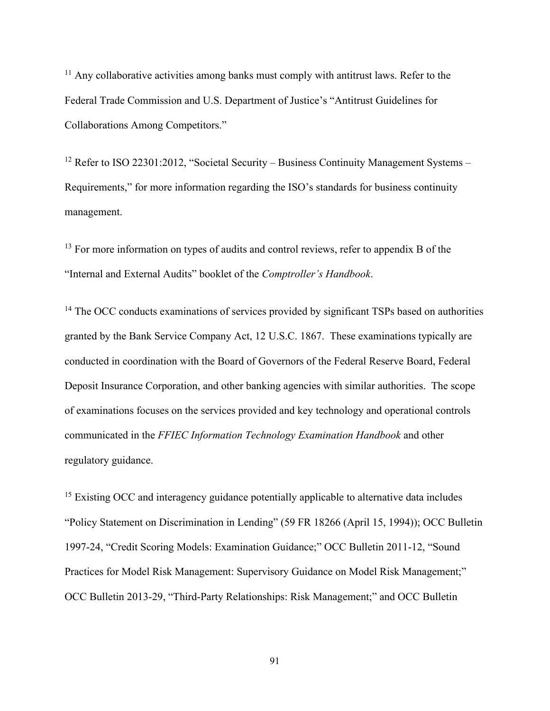$11$  Any collaborative activities among banks must comply with antitrust laws. Refer to the Federal Trade Commission and U.S. Department of Justice's "Antitrust Guidelines for Collaborations Among Competitors."

<sup>12</sup> Refer to ISO 22301:2012, "Societal Security – Business Continuity Management Systems – Requirements," for more information regarding the ISO's standards for business continuity management.

 $13$  For more information on types of audits and control reviews, refer to appendix B of the "Internal and External Audits" booklet of the *Comptroller's Handbook*.

<sup>14</sup> The OCC conducts examinations of services provided by significant TSPs based on authorities granted by the Bank Service Company Act, 12 U.S.C. 1867. These examinations typically are conducted in coordination with the Board of Governors of the Federal Reserve Board, Federal Deposit Insurance Corporation, and other banking agencies with similar authorities. The scope of examinations focuses on the services provided and key technology and operational controls communicated in the *FFIEC Information Technology Examination Handbook* and other regulatory guidance.

<sup>15</sup> Existing OCC and interagency guidance potentially applicable to alternative data includes "Policy Statement on Discrimination in Lending" (59 FR 18266 (April 15, 1994)); OCC Bulletin 1997-24, "Credit Scoring Models: Examination Guidance;" OCC Bulletin 2011-12, "Sound Practices for Model Risk Management: Supervisory Guidance on Model Risk Management;" OCC Bulletin 2013-29, "Third-Party Relationships: Risk Management;" and OCC Bulletin